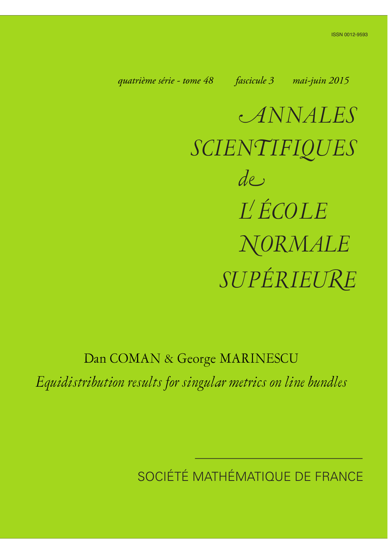<span id="page-0-0"></span>*quatrième série - tome 48 fascicule 3 mai-juin 2015*

a*NNALES SCIEN*n*IFIQUES SUPÉRIEU*k*<sup>E</sup> de L ÉCOLE*  $NORMALE$ 

## Dan COMAN & George MARINESCU

*Equidistribution results for singular metrics on line bundles*

SOCIÉTÉ MATHÉMATIQUE DE FRANCE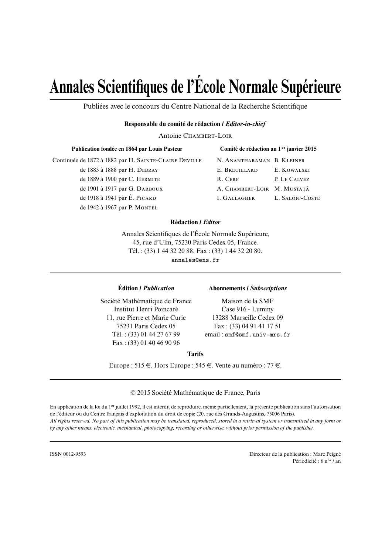# **Annales Scientifiques de l'École Normale Supérieure**

Publiées avec le concours du Centre National de la Recherche Scientifique

#### **Responsable du comité de rédaction /** *Editor-in-chief*

Antoine CHAMBERT-LOIR

| Publication fondée en 1864 par Louis Pasteur          |  |
|-------------------------------------------------------|--|
| Continuée de 1872 à 1882 par H. SAINTE-CLAIRE DEVILLE |  |
| de 1883 à 1888 par H. DEBRAY                          |  |
| de 1889 à 1900 par C. HERMITE                         |  |
| de 1901 à 1917 par G. DARBOUX                         |  |
| de 1918 à 1941 par É. PICARD                          |  |
| de 1942 à 1967 par P. MONTEL                          |  |

| Comité de rédaction au 1 <sup>er</sup> janvier 2015 |                 |  |
|-----------------------------------------------------|-----------------|--|
| N. Anantharaman B. Kleiner                          |                 |  |
| E. Breuillard                                       | E. KOWALSKI     |  |
| R. Cerf                                             | P. LE CALVEZ    |  |
| A. CHAMBERT-LOIR M. MUSTAȚĂ                         |                 |  |
| I. Gallagher                                        | L. SALOFF-COSTE |  |

#### **Rédaction /** *Editor*

Annales Scientifiques de l'École Normale Supérieure, 45, rue d'Ulm, 75230 Paris Cedex 05, France. Tél. : (33) 1 44 32 20 88. Fax : (33) 1 44 32 20 80. annales@ens.fr

#### **Édition /** *Publication* **Abonnements /** *Subscriptions*

Société Mathématique de France Maison de la SMF Institut Henri Poincaré Case 916 - Luminy 11, rue Pierre et Marie Curie 13288 Marseille Cedex 09 Fax : (33) 01 40 46 90 96

75231 Paris Cedex 05 Fax : (33) 04 91 41 17 51 Tél. : (33) 01 44 27 67 99 email : smf@smf.univ-mrs.fr

#### **Tarifs**

Europe : 515  $\in$ . Hors Europe : 545  $\in$ . Vente au numéro : 77  $\in$ .

© 2015 Société Mathématique de France, Paris

En application de la loi du 1er juillet 1992, il est interdit de reproduire, même partiellement, la présente publication sans l'autorisation de l'éditeur ou du Centre français d'exploitation du droit de copie (20, rue des Grands-Augustins, 75006 Paris). *All rights reserved. No part of this publication may be translated, reproduced, stored in a retrieval system or transmitted in any form or by any other means, electronic, mechanical, photocopying, recording or otherwise, without prior permission of the publisher.*

ISSN 0012-9593 Directeur de la publication : Marc Peigné Périodicité : 6 nos / an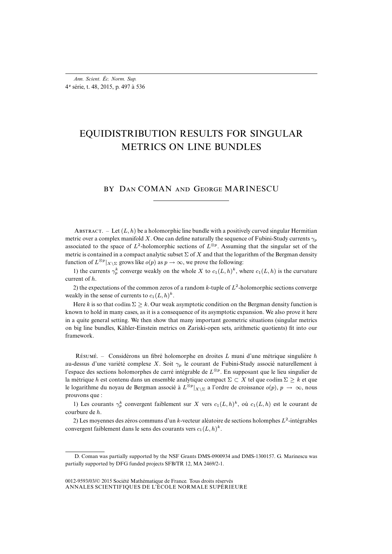## EQUIDISTRIBUTION RESULTS FOR SINGULAR METRICS ON LINE BUNDLES

### BY DAN COMAN AND GEORGE MARINESCU

ABSTRACT. – Let  $(L, h)$  be a holomorphic line bundle with a positively curved singular Hermitian metric over a complex manifold X. One can define naturally the sequence of Fubini-Study currents  $\gamma_p$ associated to the space of  $L^2$ -holomorphic sections of  $L^{\otimes p}$ . Assuming that the singular set of the metric is contained in a compact analytic subset  $\Sigma$  of X and that the logarithm of the Bergman density function of  $L^{\otimes p}|_{X \setminus \Sigma}$  grows like  $o(p)$  as  $p \to \infty$ , we prove the following:

1) the currents  $\gamma_p^k$  converge weakly on the whole X to  $c_1(L, h)^k$ , where  $c_1(L, h)$  is the curvature current of h.

2) the expectations of the common zeros of a random k-tuple of  $L^2$ -holomorphic sections converge weakly in the sense of currents to  $c_1(L, h)^k$ .

Here k is so that codim  $\Sigma > k$ . Our weak asymptotic condition on the Bergman density function is known to hold in many cases, as it is a consequence of its asymptotic expansion. We also prove it here in a quite general setting. We then show that many important geometric situations (singular metrics on big line bundles, Kähler-Einstein metrics on Zariski-open sets, arithmetic quotients) fit into our framework.

RÉSUMÉ. – Considérons un fibré holomorphe en droites L muni d'une métrique singulière  $h$ au-dessus d'une variété complexe X. Soit  $\gamma_p$  le courant de Fubini-Study associé naturellement à l'espace des sections holomorphes de carré intégrable de  $L^{\otimes p}$ . En supposant que le lieu singulier de la métrique h est contenu dans un ensemble analytique compact  $\Sigma \subset X$  tel que codim  $\Sigma \geq k$  et que le logarithme du noyau de Bergman associé à  $L^{\otimes p}|_{X\setminus\Sigma}$  a l'ordre de croissance  $o(p)$ ,  $p \to \infty$ , nous prouvons que :

1) Les courants  $\gamma_p^k$  convergent faiblement sur X vers  $c_1(L, h)^k$ , où  $c_1(L, h)$  est le courant de courbure de h.

2) Les moyennes des zéros communs d'un k-vecteur aléatoire de sections holomphes  $L^2$ -intégrables convergent faiblement dans le sens des courants vers  $c_1(L, h)^k$ .

D. Coman was partially supported by the NSF Grants DMS-0900934 and DMS-1300157. G. Marinescu was partially supported by DFG funded projects SFB/TR 12, MA 2469/2-1.

ANNALES SCIENTIFIQUES DE L'ÉCOLE NORMALE SUPÉRIEURE 0012-9593/03/© 2015 Société Mathématique de France. Tous droits réservés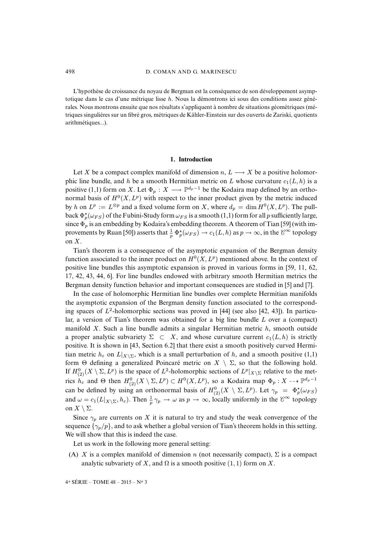L'hypothèse de croissance du noyau de Bergman est la conséquence de son développement asymptotique dans le cas d'une métrique lisse h. Nous la démontrons ici sous des conditions assez générales. Nous montrons ensuite que nos résultats s'appliquent à nombre de situations géométriques (métriques singulières sur un fibré gros, métriques de Kähler-Einstein sur des ouverts de Zariski, quotients arithmétiques...).

#### **1. Introduction**

Let X be a compact complex manifold of dimension  $n, L \longrightarrow X$  be a positive holomorphic line bundle, and h be a smooth Hermitian metric on L whose curvature  $c_1(L, h)$  is a positive (1,1) form on X. Let  $\Phi_p: X \longrightarrow \mathbb{P}^{d_p-1}$  be the Kodaira map defined by an orthonormal basis of  $H^0(X, L^p)$  with respect to the inner product given by the metric induced by h on  $L^p := L^{\otimes p}$  and a fixed volume form on X, where  $d_p = \dim H^0(X, L^p)$ . The pullback  $\Phi_p^{\star}(\omega_{FS})$  of the Fubini-Study form  $\omega_{FS}$  is a smooth (1,1) form for all p sufficiently large, since  $\Phi_p$  is an embedding by Kodaira's embedding theorem. A theorem of Tian [\[59\]](#page-41-0) (with im-provements by Ruan [\[50\]](#page-40-0)) asserts that  $\frac{1}{p} \Phi_p^{\star}(\omega_{FS}) \to c_1(L, h)$  as  $p \to \infty$ , in the  $\mathcal{C}^{\infty}$  topology on X.

Tian's theorem is a consequence of the asymptotic expansion of the Bergman density function associated to the inner product on  $H^0(X, L^p)$  mentioned above. In the context of positive line bundles this asymptotic expansion is proved in various forms in [\[59,](#page-41-0) [11,](#page-38-0) [62,](#page-41-1) [17,](#page-39-0) [42,](#page-40-1) [43,](#page-40-2) [44,](#page-40-3) [6\]](#page-38-1). For line bundles endowed with arbitrary smooth Hermitian metrics the Bergman density function behavior and important consequences are studied in [\[5\]](#page-38-2) and [\[7\]](#page-38-3).

In the case of holomorphic Hermitian line bundles over complete Hermitian manifolds the asymptotic expansion of the Bergman density function associated to the corresponding spaces of  $L^2$ -holomorphic sections was proved in [\[44\]](#page-40-3) (see also [\[42,](#page-40-1) [43\]](#page-40-2)). In particular, a version of Tian's theorem was obtained for a big line bundle  $L$  over a (compact) manifold X. Such a line bundle admits a singular Hermitian metric  $h$ , smooth outside a proper analytic subvariety  $\Sigma \subset X$ , and whose curvature current  $c_1(L, h)$  is strictly positive. It is shown in [\[43,](#page-40-2) Section 6.2] that there exist a smooth positively curved Hermitian metric  $h_{\varepsilon}$  on  $L|_{X\setminus\Sigma}$ , which is a small perturbation of h, and a smooth positive (1,1) form  $\Theta$  defining a generalized Poincaré metric on  $X \setminus \Sigma$ , so that the following hold. If  $H^0_{(2)}(X \setminus \Sigma, L^p)$  is the space of  $L^2$ -holomorphic sections of  $L^p|_{X \setminus \Sigma}$  relative to the metrics  $h_{\varepsilon}$  and  $\Theta$  then  $H^0_{(2)}(X \setminus \Sigma, L^p) \subset H^0(X, L^p)$ , so a Kodaira map  $\Phi_p: X \dashrightarrow \mathbb{P}^{d_p-1}$ can be defined by using an orthonormal basis of  $H^0_{(2)}(X \setminus \Sigma, L^p)$ . Let  $\gamma_p = \Phi_p^{\star}(\omega_{FS})$ and  $\omega = c_1(L|_{X \setminus \Sigma}, h_\varepsilon)$ . Then  $\frac{1}{p} \gamma_p \to \omega$  as  $p \to \infty$ , locally uniformly in the  $\mathscr{C}^\infty$  topology on  $X \setminus \Sigma$ .

Since  $\gamma_p$  are currents on X it is natural to try and study the weak convergence of the sequence  $\{\gamma_p/p\}$ , and to ask whether a global version of Tian's theorem holds in this setting. We will show that this is indeed the case.

Let us work in the following more general setting:

(A) X is a complex manifold of dimension n (not necessarily compact),  $\Sigma$  is a compact analytic subvariety of X, and  $\Omega$  is a smooth positive (1, 1) form on X.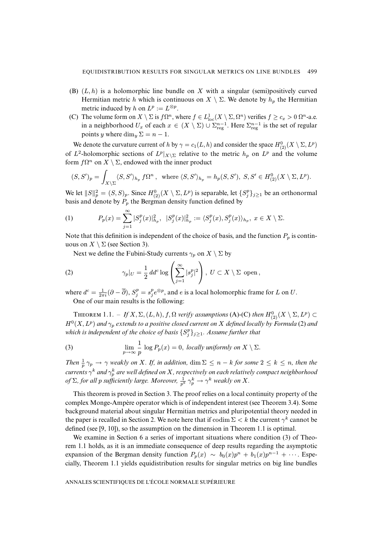- (B)  $(L, h)$  is a holomorphic line bundle on X with a singular (semi)positively curved Hermitian metric h which is continuous on  $X \setminus \Sigma$ . We denote by  $h_p$  the Hermitian metric induced by h on  $L^p := L^{\otimes p}$ .
- (C) The volume form on  $X \setminus \Sigma$  is  $f\Omega^n$ , where  $f \in L^1_{loc}(X \setminus \Sigma, \Omega^n)$  verifies  $f \ge c_x > 0$   $\Omega^n$ -a.e. in a neighborhood  $U_x$  of each  $x \in (X \setminus \Sigma) \cup \Sigma_{\text{reg}}^{n-1}$ . Here  $\Sigma_{\text{reg}}^{n-1}$  is the set of regular points y where  $\dim_{\mathfrak{U}} \Sigma = n - 1$ .

We denote the curvature current of h by  $\gamma = c_1(L, h)$  and consider the space  $H^0_{(2)}(X \setminus \Sigma, L^p)$ of  $L^2$ -holomorphic sections of  $L^p|_{X \setminus \Sigma}$  relative to the metric  $h_p$  on  $L^p$  and the volume form  $f\Omega^n$  on  $X \setminus \Sigma$ , endowed with the inner product

$$
(S, S')_p = \int_{X \setminus \Sigma} \langle S, S' \rangle_{h_p} f \Omega^n, \text{ where } \langle S, S' \rangle_{h_p} = h_p(S, S'), S, S' \in H^0_{(2)}(X \setminus \Sigma, L^p).
$$

We let  $||S||_p^2 = (S, S)_p$ . Since  $H^0_{(2)}(X \setminus \Sigma, L^p)$  is separable, let  $\{S_j^p\}_{j \geq 1}$  be an orthonormal basis and denote by  $P_p$  the Bergman density function defined by

<span id="page-4-2"></span>(1) 
$$
P_p(x) = \sum_{j=1}^{\infty} |S_j^p(x)|_{h_p}^2, \ \ |S_j^p(x)|_{h_p}^2 := \langle S_j^p(x), S_j^p(x) \rangle_{h_p}, \ x \in X \setminus \Sigma.
$$

Note that this definition is independent of the choice of basis, and the function  $P_p$  is continuous on  $X \setminus \Sigma$  (see Section [3\)](#page-9-0).

<span id="page-4-0"></span>Next we define the Fubini-Study currents  $\gamma_p$  on  $X \setminus \Sigma$  by

(2) 
$$
\gamma_p|_U = \frac{1}{2} \, dd^c \log \left( \sum_{j=1}^{\infty} |s_j^p|^2 \right), \ U \subset X \setminus \Sigma \text{ open},
$$

where  $d^c = \frac{1}{2\pi i} (\partial - \overline{\partial}), S_j^p = s_j^p e^{\otimes p}$ , and e is a local holomorphic frame for L on U. One of our main results is the following:

THEOREM  $1.1. - If X, \Sigma, (L, h), f, \Omega$  *verify assumptions* (A)-(C) *then*  $H^0_{(2)}(X \setminus \Sigma, L^p) \subset$  $H^0(X, L^p)$  and  $\gamma_p$  extends to a positive closed current on X defined locally by Formula [\(2\)](#page-4-0) and which is independent of the choice of basis  $\{S_j^p\}_{j\geq 1}$ . Assume further that

<span id="page-4-1"></span>(3) 
$$
\lim_{p \to \infty} \frac{1}{p} \log P_p(x) = 0, \text{ locally uniformly on } X \setminus \Sigma.
$$

*Then*  $\frac{1}{p} \gamma_p \to \gamma$  *weakly on* X*. If, in addition,* dim  $\Sigma \leq n - k$  *for some*  $2 \leq k \leq n$ *, then the*  $\alpha$  *currents*  $\gamma^k$  *and*  $\gamma^k_p$  *are well defined on X* , respectively on each relatively compact neighborhood *of*  $\Sigma$ , for all p sufficiently large. Moreover,  $\frac{1}{p^k} \gamma_p^k \to \gamma^k$  weakly on X.

This theorem is proved in Section [3.](#page-9-0) The proof relies on a local continuity property of the complex Monge-Ampère operator which is of independent interest (see Theorem [3.4\)](#page-0-0). Some background material about singular Hermitian metrics and pluripotential theory needed in the paper is recalled in Section [2.](#page-6-0) We note here that if  $\text{codim }\Sigma < k$  the current  $\gamma^k$  cannot be defined (see [\[9,](#page-38-4) [10\]](#page-38-5)), so the assumption on the dimension in Theorem [1.1](#page-0-0) is optimal.

We examine in Section [6](#page-25-0) a series of important situations where condition [\(3\)](#page-4-1) of Theorem [1.1](#page-0-0) holds, as it is an immediate consequence of deep results regarding the asymptotic expansion of the Bergman density function  $P_p(x) \sim b_0(x)p^n + b_1(x)p^{n-1} + \cdots$ . Especially, Theorem [1.1](#page-0-0) yields equidistribution results for singular metrics on big line bundles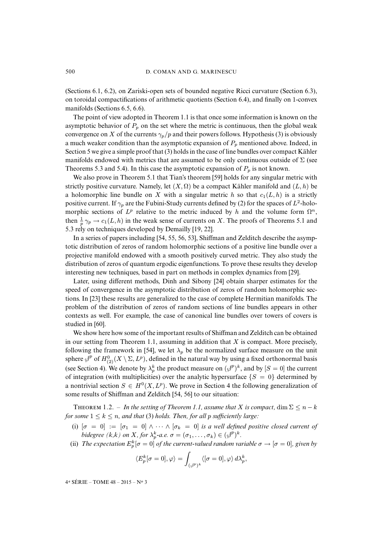(Sections [6.1,](#page-25-1) [6.2\)](#page-27-0), on Zariski-open sets of bounded negative Ricci curvature (Section [6.3\)](#page-28-0), on toroidal compactifications of arithmetic quotients (Section [6.4\)](#page-31-0), and finally on 1-convex manifolds (Sections [6.5,](#page-34-0) [6.6\)](#page-36-0).

The point of view adopted in Theorem [1.1](#page-0-0) is that once some information is known on the asymptotic behavior of  $P_p$  on the set where the metric is continuous, then the global weak convergence on X of the currents  $\gamma_p/p$  and their powers follows. Hypothesis [\(3\)](#page-4-1) is obviously a much weaker condition than the asymptotic expansion of  $P_p$  mentioned above. Indeed, in Section [5](#page-22-0) we give a simple proof that [\(3\)](#page-4-1) holds in the case of line bundles over compact Kähler manifolds endowed with metrics that are assumed to be only continuous outside of  $\Sigma$  (see Theorems [5.3](#page-0-0) and [5.4\)](#page-0-0). In this case the asymptotic expansion of  $P_p$  is not known.

We also prove in Theorem [5.1](#page-0-0) that Tian's theorem [\[59\]](#page-41-0) holds for any singular metric with strictly positive curvature. Namely, let  $(X, \Omega)$  be a compact Kähler manifold and  $(L, h)$  be a holomorphic line bundle on X with a singular metric h so that  $c_1(L, h)$  is a strictly positive current. If  $\gamma_p$  are the Fubini-Study currents defined by [\(2\)](#page-4-0) for the spaces of  $L^2$ -holomorphic sections of  $L^p$  relative to the metric induced by h and the volume form  $\Omega^n$ , then  $\frac{1}{p} \gamma_p \to c_1(L, h)$  in the weak sense of currents on X. The proofs of Theorems [5.1](#page-0-0) and [5.3](#page-0-0) rely on techniques developed by Demailly [\[19,](#page-39-1) [22\]](#page-39-2).

In a series of papers including [\[54,](#page-40-4) [55,](#page-40-5) [56,](#page-40-6) [53\]](#page-40-7), Shiffman and Zelditch describe the asymptotic distribution of zeros of random holomorphic sections of a positive line bundle over a projective manifold endowed with a smooth positively curved metric. They also study the distribution of zeros of quantum ergodic eigenfunctions. To prove these results they develop interesting new techniques, based in part on methods in complex dynamics from [\[29\]](#page-39-3).

Later, using different methods, Dinh and Sibony [\[24\]](#page-39-4) obtain sharper estimates for the speed of convergence in the asymptotic distribution of zeros of random holomorphic sections. In [\[23\]](#page-39-5) these results are generalized to the case of complete Hermitian manifolds. The problem of the distribution of zeros of random sections of line bundles appears in other contexts as well. For example, the case of canonical line bundles over towers of covers is studied in [\[60\]](#page-41-2).

We show here how some of the important results of Shiffman and Zelditch can be obtained in our setting from Theorem [1.1,](#page-0-0) assuming in addition that  $X$  is compact. More precisely, following the framework in [\[54\]](#page-40-4), we let  $\lambda_p$  be the normalized surface measure on the unit sphere  $\beta^p$  of  $H^0_{(2)}(X \setminus \Sigma, L^p)$ , defined in the natural way by using a fixed orthonormal basis (see Section [4\)](#page-15-0). We denote by  $\lambda_p^k$  the product measure on  $({\mathcal{J}}^p)^k$ , and by  $[S = 0]$  the current of integration (with multiplicities) over the analytic hypersurface  $\{S = 0\}$  determined by a nontrivial section  $S \in H^0(X, L^p)$ . We prove in Section [4](#page-15-0) the following generalization of some results of Shiffman and Zelditch [\[54,](#page-40-4) [56\]](#page-40-6) to our situation:

THEOREM 1.2. – *In the setting of Theorem [1.1,](#page-0-0) assume that* X *is compact*, dim  $\Sigma \le n - k$ *for some*  $1 \leq k \leq n$ *, and that* [\(3\)](#page-4-1) *holds. Then, for all p sufficiently large:* 

- (i)  $\sigma = 0$  :=  $\sigma_1 = 0$   $\wedge \cdots \wedge \sigma_k = 0$  *is a well defined positive closed current of bidegree*  $(k, k)$  *on X, for*  $\lambda_p^k$ *-a.e.*  $\sigma = (\sigma_1, \ldots, \sigma_k) \in (\mathcal{J}^p)^k$ *.*
- (ii) The expectation  $E_p^k[\sigma=0]$  of the current-valued random variable  $\sigma \to [\sigma=0]$ , given by

$$
\langle E_p^k[\sigma=0],\varphi\rangle=\int_{(\varphi^p)^k}\langle [\sigma=0],\varphi\rangle\,d\lambda_p^k,
$$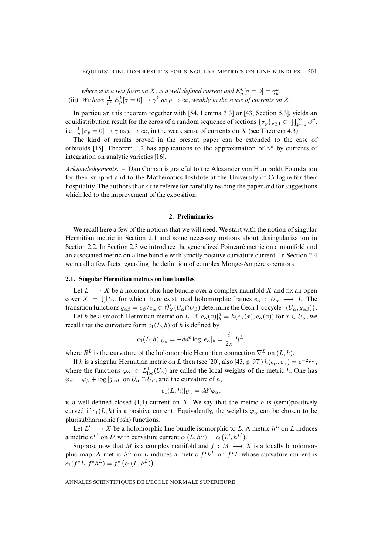where  $\varphi$  is a test form on X, is a well defined current and  $E_p^k[\sigma=0]=\gamma_p^k$ . (iii) We have  $\frac{1}{p^k} E_p^k [\sigma = 0] \to \gamma^k$  as  $p \to \infty$ , weakly in the sense of currents on X.

In particular, this theorem together with [\[54,](#page-40-4) Lemma 3.3] or [\[43,](#page-40-2) Section 5.3], yields an equidistribution result for the zeros of a random sequence of sections  $\{\sigma_p\}_{p\geq 1} \in \prod_{p=1}^{\infty} \varphi^p$ , i.e.,  $\frac{1}{p} [\sigma_p = 0] \rightarrow \gamma$  as  $p \rightarrow \infty$ , in the weak sense of currents on X (see Theorem [4.3\)](#page-0-0).

The kind of results proved in the present paper can be extended to the case of orbifolds [\[15\]](#page-38-6). Theorem 1.2 has applications to the approximation of  $\gamma^k$  by currents of integration on analytic varieties [\[16\]](#page-38-7).

*Acknowledgements*. – Dan Coman is grateful to the Alexander von Humboldt Foundation for their support and to the Mathematics Institute at the University of Cologne for their hospitality. The authors thank the referee for carefully reading the paper and for suggestions which led to the improvement of the exposition.

#### **2. Preliminaries**

<span id="page-6-0"></span>We recall here a few of the notions that we will need. We start with the notion of singular Hermitian metric in Section [2.1](#page-6-1) and some necessary notions about desingularization in Section [2.2.](#page-7-0) In Section [2.3](#page-7-1) we introduce the generalized Poincaré metric on a manifold and an associated metric on a line bundle with strictly positive curvature current. In Section [2.4](#page-9-1) we recall a few facts regarding the definition of complex Monge-Ampère operators.

#### <span id="page-6-1"></span>**2.1. Singular Hermitian metrics on line bundles**

Let  $L \longrightarrow X$  be a holomorphic line bundle over a complex manifold X and fix an open cover  $X = \bigcup U_\alpha$  for which there exist local holomorphic frames  $e_\alpha : U_\alpha \longrightarrow L$ . The transition functions  $g_{\alpha\beta} = e_{\beta}/e_{\alpha} \in \mathcal{O}_X^{\star}(U_{\alpha} \cap U_{\beta})$  determine the Čech 1-cocycle  $\{(U_{\alpha}, g_{\alpha\beta})\}.$ 

Let h be a smooth Hermitian metric on L. If  $|e_{\alpha}(x)|_{h}^{2} = h(e_{\alpha}(x), e_{\alpha}(x))$  for  $x \in U_{\alpha}$ , we recall that the curvature form  $c_1(L, h)$  of h is defined by

$$
c_1(L, h)|_{U_{\alpha}} = -dd^c \log |e_{\alpha}|_h = \frac{i}{2\pi} R^L,
$$

where  $R^L$  is the curvature of the holomorphic Hermitian connection  $\nabla^L$  on  $(L, h)$ .

If h is a singular Hermitian metric on L then (see [\[20\]](#page-39-6), also [\[43,](#page-40-2) p. 97])  $h(e_\alpha, e_\alpha) = e^{-2\varphi_\alpha}$ , where the functions  $\varphi_{\alpha} \in L^1_{loc}(U_{\alpha})$  are called the local weights of the metric h. One has  $\varphi_{\alpha} = \varphi_{\beta} + \log |g_{\alpha\beta}|$  on  $U_{\alpha} \cap U_{\beta}$ , and the curvature of h,

$$
c_1(L, h)|_{U_{\alpha}} = dd^c \varphi_{\alpha},
$$

is a well defined closed  $(1,1)$  current on X. We say that the metric h is (semi)positively curved if  $c_1(L, h)$  is a positive current. Equivalently, the weights  $\varphi_\alpha$  can be chosen to be plurisubharmonic (psh) functions.

Let  $L' \longrightarrow X$  be a holomorphic line bundle isomorphic to L. A metric  $h^L$  on L induces a metric  $h^{L'}$  on  $L'$  with curvature current  $c_1(L, h^L) = c_1(L', h^{L'}).$ 

Suppose now that M is a complex manifold and  $f : M \longrightarrow X$  is a locally biholomorphic map. A metric  $h^L$  on L induces a metric  $f^{\star}h^L$  on  $f^{\star}L$  whose curvature current is  $c_1(f^{\star}L, f^{\star}h^L) = f^{\star}(c_1(L, h^L)).$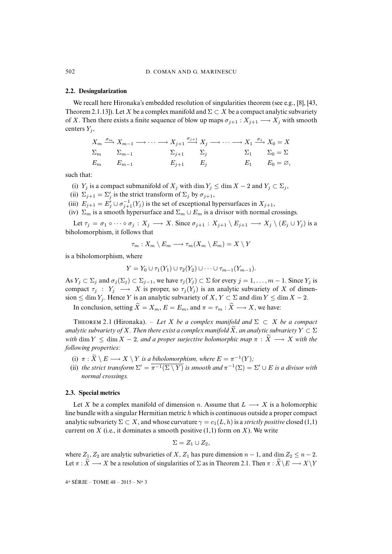#### <span id="page-7-0"></span>**2.2. Desingularization**

We recall here Hironaka's embedded resolution of singularities theorem (see e.g., [\[8\]](#page-38-8), [\[43,](#page-40-2) Theorem 2.1.13]). Let X be a complex manifold and  $\Sigma \subset X$  be a compact analytic subvariety of X. Then there exists a finite sequence of blow up maps  $\sigma_{j+1} : X_{j+1} \longrightarrow X_j$  with smooth centers  $Y_i$ ,

$$
X_m \xrightarrow{\sigma_m} X_{m-1} \longrightarrow \cdots \longrightarrow X_{j+1} \xrightarrow{\sigma_{j+1}} X_j \longrightarrow \cdots \longrightarrow X_1 \xrightarrow{\sigma_1} X_0 = X
$$
  

$$
\Sigma_m \qquad \Sigma_{m-1} \qquad \qquad \Sigma_{j+1} \qquad \Sigma_j \qquad \qquad \Sigma_1 \qquad \Sigma_0 = \Sigma
$$
  

$$
E_m \qquad E_{m-1} \qquad \qquad E_{j+1} \qquad E_j \qquad \qquad E_1 \qquad E_0 = \emptyset,
$$

such that:

(i)  $Y_j$  is a compact submanifold of  $X_j$  with dim  $Y_j \leq \dim X - 2$  and  $Y_j \subset \Sigma_j$ ,

(ii)  $\Sigma_{j+1} = \Sigma'_j$  is the strict transform of  $\Sigma_j$  by  $\sigma_{j+1}$ ,

(iii)  $E_{j+1} = E'_{j} \cup \sigma_{j+1}^{-1}(Y_{j})$  is the set of exceptional hypersurfaces in  $X_{j+1}$ ,

(iv)  $\Sigma_m$  is a smooth hypersurface and  $\Sigma_m \cup E_m$  is a divisor with normal crossings.

Let  $\tau_j = \sigma_1 \circ \cdots \circ \sigma_j : X_j \longrightarrow X$ . Since  $\sigma_{j+1} : X_{j+1} \setminus E_{j+1} \longrightarrow X_j \setminus (E_j \cup Y_j)$  is a biholomorphism, it follows that

$$
\tau_m: X_m \setminus E_m \longrightarrow \tau_m(X_m \setminus E_m) = X \setminus Y
$$

is a biholomorphism, where

$$
Y = Y_0 \cup \tau_1(Y_1) \cup \tau_2(Y_2) \cup \cdots \cup \tau_{m-1}(Y_{m-1}).
$$

As  $Y_j \subset \Sigma_j$  and  $\sigma_j(\Sigma_j) \subset \Sigma_{j-1}$ , we have  $\tau_j(Y_j) \subset \Sigma$  for every  $j = 1, \ldots, m-1$ . Since  $Y_j$  is compact  $\tau_j$  :  $Y_j \longrightarrow X$  is proper, so  $\tau_j(Y_j)$  is an analytic subvariety of X of dimension  $\leq \dim Y_j$ . Hence Y is an analytic subvariety of X,  $Y \subset \Sigma$  and  $\dim Y \leq \dim X - 2$ .

In conclusion, setting  $\widetilde{X} = X_m$ ,  $E = E_m$ , and  $\pi = \tau_m : \widetilde{X} \longrightarrow X$ , we have:

THEOREM 2.1 (Hironaka). – *Let* X *be a complex manifold and*  $\Sigma \subset X$  *be a compact analytic subvariety of* X. Then there exist a complex manifold  $\widetilde{X}$ , an analytic subvariety  $Y \subset \Sigma$ *with* dim  $Y \leq \dim X - 2$ , and a proper surjective holomorphic map  $\pi : \tilde{X} \longrightarrow X$  with the *following properties:*

- (i)  $\pi : \tilde{X} \setminus E \longrightarrow X \setminus Y$  *is a biholomorphism, where*  $E = \pi^{-1}(Y)$ *;*
- (ii) *the strict transform*  $\Sigma' = \overline{\pi^{-1}(\Sigma \setminus Y)}$  *is smooth and*  $\pi^{-1}(\Sigma) = \Sigma' \cup E$  *is a divisor with normal crossings.*

#### <span id="page-7-1"></span>**2.3. Special metrics**

Let X be a complex manifold of dimension n. Assume that  $L \longrightarrow X$  is a holomorphic line bundle with a singular Hermitian metric  $h$  which is continuous outside a proper compact analytic subvariety  $\Sigma \subset X$ , and whose curvature  $\gamma = c_1(L, h)$  is a *strictly positive* closed (1,1) current on  $X$  (i.e., it dominates a smooth positive  $(1,1)$  form on  $X$ ). We write

$$
\Sigma = Z_1 \cup Z_2,
$$

where  $Z_1, Z_2$  are analytic subvarieties of X,  $Z_1$  has pure dimension  $n - 1$ , and dim  $Z_2 \leq n - 2$ . Let  $\pi : \widetilde{X} \longrightarrow X$  be a resolution of singularities of  $\Sigma$  as in Theorem [2.1.](#page-0-0) Then  $\pi : \widetilde{X} \backslash E \longrightarrow X\backslash Y$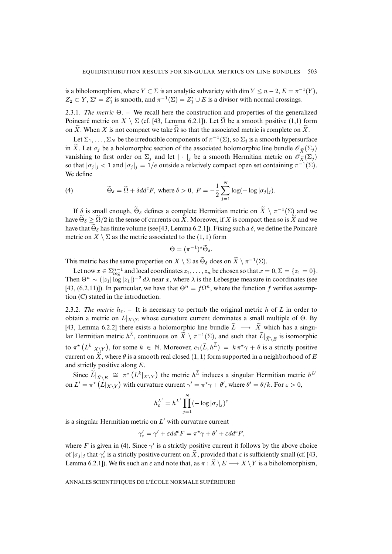is a biholomorphism, where  $Y \subset \Sigma$  is an analytic subvariety with  $\dim Y \leq n-2$ ,  $E = \pi^{-1}(Y)$ ,  $Z_2 \subset Y$ ,  $\Sigma' = Z_1'$  is smooth, and  $\pi^{-1}(\Sigma) = Z_1' \cup E$  is a divisor with normal crossings.

<span id="page-8-1"></span>2.3.1*. The metric* Θ. – We recall here the construction and properties of the generalized Poincaré metric on  $X \setminus \Sigma$  (cf. [\[43,](#page-40-2) Lemma 6.2.1]). Let  $\Omega$  be a smooth positive (1,1) form on X. When X is not compact we take  $\Omega$  so that the associated metric is complete on X.

Let  $\Sigma_1, \ldots, \Sigma_N$  be the irreducible components of  $\pi^{-1}(\Sigma)$ , so  $\Sigma_j$  is a smooth hypersurface in X. Let  $\sigma_i$  be a holomorphic section of the associated holomorphic line bundle  $\mathscr{O}_{\tilde{\mathbf{Y}}}(\Sigma_i)$ vanishing to first order on  $\Sigma_i$  and let  $|\cdot|_i$  be a smooth Hermitian metric on  $\mathscr{O}_{\widetilde{X}}(\Sigma_i)$ so that  $|\sigma_j|_j < 1$  and  $|\sigma_j|_j = 1/e$  outside a relatively compact open set containing  $\pi^{-1}(\Sigma)$ . We define

<span id="page-8-0"></span>(4) 
$$
\widetilde{\Theta}_{\delta} = \widetilde{\Omega} + \delta dd^c F, \text{ where } \delta > 0, F = -\frac{1}{2} \sum_{j=1}^N \log(-\log |\sigma_j|_j).
$$

If  $\delta$  is small enough,  $\Theta_{\delta}$  defines a complete Hermitian metric on  $\widetilde{X} \setminus \pi^{-1}(\Sigma)$  and we have  $\widetilde{\Theta}_{\delta} \geq \widetilde{\Omega}/2$  in the sense of currents on  $\widetilde{X}$ . Moreover, if X is compact then so is  $\widetilde{X}$  and we have that  $\tilde{\Theta}_{\delta}$  has finite volume (see [\[43,](#page-40-2) Lemma 6.2.1]). Fixing such a  $\delta$ , we define the Poincaré metric on  $X \setminus \Sigma$  as the metric associated to the (1, 1) form

$$
\Theta = (\pi^{-1})^{\star} \widetilde{\Theta}_{\delta}.
$$

This metric has the same properties on  $X \setminus \Sigma$  as  $\widetilde{\Theta}_{\delta}$  does on  $\widetilde{X} \setminus \pi^{-1}(\Sigma)$ .

Let now  $x \in \sum_{reg}^{n-1}$  and local coordinates  $z_1, \ldots, z_n$  be chosen so that  $x = 0, \Sigma = \{z_1 = 0\}.$ Then  $\Theta^n \sim (|z_1| \log |z_1|)^{-2} d\lambda$  near x, where  $\lambda$  is the Lebesgue measure in coordinates (see [\[43,](#page-40-2) (6.2.11)]). In particular, we have that  $\Theta^n = f\Omega^n$ , where the function f verifies assumption (C) stated in the introduction.

<span id="page-8-2"></span>2.3.2*. The metric*  $h_{\varepsilon}$ . – It is necessary to perturb the original metric h of L in order to obtain a metric on  $L|_{X\setminus\Sigma}$  whose curvature current dominates a small multiple of  $\Theta$ . By [\[43,](#page-40-2) Lemma 6.2.2] there exists a holomorphic line bundle  $\widetilde{L} \longrightarrow \widetilde{X}$  which has a singular Hermitian metric  $h^L$ , continuous on  $\widetilde{X} \setminus \pi^{-1}(\Sigma)$ , and such that  $\widetilde{L}|_{\widetilde{X} \setminus E}$  is isomorphic to  $\pi^* (L^k|_{X\setminus Y})$ , for some  $k \in \mathbb{N}$ . Moreover,  $c_1(\widetilde{L}, h^{\widetilde{L}}) = k \pi^* \gamma + \theta$  is a strictly positive current on  $\widetilde{X}$ , where  $\theta$  is a smooth real closed (1, 1) form supported in a neighborhood of E and strictly positive along E.

Since  $\widetilde{L}|_{\widetilde{X}\setminus E} \cong \pi^* (L^k|_{X\setminus Y})$  the metric  $h^{\widetilde{L}}$  induces a singular Hermitian metric  $h^{L'}$ on  $L' = \pi^* (L|_{X\setminus Y})$  with curvature current  $\gamma' = \pi^* \gamma + \theta'$ , where  $\theta' = \theta/k$ . For  $\varepsilon > 0$ ,

$$
h_{\varepsilon}^{L'} = h^{L'} \prod_{j=1}^{N} (-\log |\sigma_j|_j)^{\varepsilon}
$$

is a singular Hermitian metric on  $L'$  with curvature current

$$
\gamma'_{\varepsilon} = \gamma' + \varepsilon dd^c F = \pi^* \gamma + \theta' + \varepsilon dd^c F,
$$

where F is given in [\(4\)](#page-8-0). Since  $\gamma'$  is a strictly positive current it follows by the above choice of  $|\sigma_j|_j$  that  $\gamma'_\varepsilon$  is a strictly positive current on  $\widetilde{X}$ , provided that  $\varepsilon$  is sufficiently small (cf. [\[43,](#page-40-2) Lemma 6.2.1]). We fix such an  $\varepsilon$  and note that, as  $\pi : \widetilde{X} \setminus E \longrightarrow X \setminus Y$  is a biholomorphism,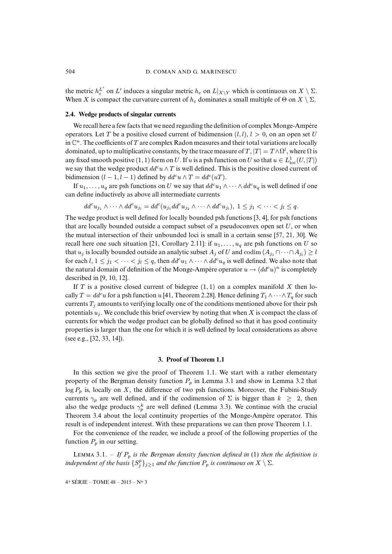the metric  $h_{\varepsilon}^{L'}$  on  $L'$  induces a singular metric  $h_{\varepsilon}$  on  $L|_{X\setminus Y}$  which is continuous on  $X\setminus \Sigma$ . When X is compact the curvature current of  $h_{\varepsilon}$  dominates a small multiple of  $\Theta$  on  $X \setminus \Sigma$ .

#### <span id="page-9-1"></span>**2.4. Wedge products of singular currents**

We recall here a few facts that we need regarding the definition of complex Monge-Ampère operators. Let T be a positive closed current of bidimension  $(l, l)$ ,  $l > 0$ , on an open set U in  $\mathbb{C}^n$ . The coefficients of T are complex Radon measures and their total variations are locally dominated, up to multiplicative constants, by the trace measure of  $T, |T| = T \wedge \Omega^l$ , where  $\Omega$  is any fixed smooth positive  $(1, 1)$  form on U. If u is a psh function on U so that  $u \in L^1_{loc}(U, |T|)$ we say that the wedge product  $dd^c u \wedge T$  is well defined. This is the positive closed current of bidimension  $(l - 1, l - 1)$  defined by  $dd^c u \wedge T = dd^c(uT)$ .

If  $u_1, \ldots, u_q$  are psh functions on U we say that  $dd^c u_1 \wedge \cdots \wedge dd^c u_q$  is well defined if one can define inductively as above all intermediate currents

$$
dd^{c}u_{j_{1}} \wedge \cdots \wedge dd^{c}u_{j_{l}} = dd^{c}(u_{j_{1}}dd^{c}u_{j_{2}} \wedge \cdots \wedge dd^{c}u_{j_{l}}), \ 1 \leq j_{1} < \cdots < j_{l} \leq q.
$$

The wedge product is well defined for locally bounded psh functions [\[3,](#page-38-9) [4\]](#page-38-10), for psh functions that are locally bounded outside a compact subset of a pseudoconvex open set  $U$ , or when the mutual intersection of their unbounded loci is small in a certain sense [\[57,](#page-41-3) [21,](#page-39-7) [30\]](#page-39-8). We recall here one such situation [\[21,](#page-39-7) Corollary 2.11]: if  $u_1, \ldots, u_q$  are psh functions on U so that  $u_j$  is locally bounded outside an analytic subset  $A_j$  of  $U$  and  $\operatorname{codim}\,(A_{j_1}\cap\cdots\cap A_{j_l})\geq l$ for each  $l, 1 \le j_1 < \cdots < j_l \le q$ , then  $dd^c u_1 \wedge \cdots \wedge dd^c u_q$  is well defined. We also note that the natural domain of definition of the Monge-Ampère operator  $u \to (dd^c u)^n$  is completely described in [\[9,](#page-38-4) [10,](#page-38-5) [12\]](#page-38-11).

If T is a positive closed current of bidegree  $(1, 1)$  on a complex manifold X then locally  $T = dd^c u$  for a psh function u [\[41,](#page-40-8) Theorem 2.28]. Hence defining  $T_1 \wedge \cdots \wedge T_q$  for such currents  $T_i$  amounts to verifying locally one of the conditions mentioned above for their psh potentials  $u_i$ . We conclude this brief overview by noting that when X is compact the class of currents for which the wedge product can be globally defined so that it has good continuity properties is larger than the one for which it is well defined by local considerations as above (see e.g., [\[32,](#page-39-9) [33,](#page-39-10) [14\]](#page-38-12)).

#### **3. Proof of Theorem [1.1](#page-0-0)**

<span id="page-9-0"></span>In this section we give the proof of Theorem [1.1.](#page-0-0) We start with a rather elementary property of the Bergman density function  $P_p$  in Lemma [3.1](#page-0-0) and show in Lemma [3.2](#page-0-0) that  $\log P_p$  is, locally on X, the difference of two psh functions. Moreover, the Fubini-Study currents  $\gamma_p$  are well defined, and if the codimension of  $\Sigma$  is bigger than  $k \geq 2$ , then also the wedge products  $\gamma_p^k$  are well defined (Lemma [3.3\)](#page-0-0). We continue with the crucial Theorem [3.4](#page-0-0) about the local continuity properties of the Monge-Ampère operator. This result is of independent interest. With these preparations we can then prove Theorem [1.1.](#page-0-0)

For the convenience of the reader, we include a proof of the following properties of the function  $P_p$  in our setting.

LEMMA 3.1. – If  $P_p$  *is the Bergman density function defined in* [\(1\)](#page-4-2) *then the definition is independent of the basis*  $\{S_j^p\}_{j\geq 1}$  *and the function*  $P_p$  *is continuous on*  $X \setminus \Sigma$ *.*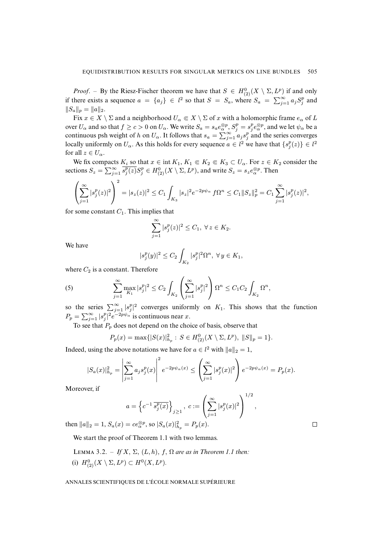*Proof.* – By the Riesz-Fischer theorem we have that  $S \in H^0_{(2)}(X \setminus \Sigma, L^p)$  if and only if there exists a sequence  $a = \{a_j\} \in l^2$  so that  $S = S_a$ , where  $S_a = \sum_{j=1}^{\infty} a_j S_j^p$  and  $||S_a||_p = ||a||_2.$ 

Fix  $x \in X \setminus \Sigma$  and a neighborhood  $U_\alpha \Subset X \setminus \Sigma$  of x with a holomorphic frame  $e_\alpha$  of L over  $U_\alpha$  and so that  $f \ge c > 0$  on  $U_\alpha$ . We write  $S_a = s_a e_\alpha^{\otimes p}$ ,  $S_j^p = s_j^p e_\alpha^{\otimes p}$ , and we let  $\psi_\alpha$  be a continuous psh weight of h on  $U_\alpha$ . It follows that  $s_\alpha = \sum_{j=1}^\infty a_j s_j^p$  and the series converges locally uniformly on  $U_{\alpha}$ . As this holds for every sequence  $a \in l^2$  we have that  $\{s_j^p(z)\} \in l^2$ for all  $z \in U_\alpha$ .

We fix compacts  $K_i$  so that  $x \in \text{int } K_1, K_1 \in K_2 \in K_3 \subset U_\alpha$ . For  $z \in K_2$  consider the sections  $S_z = \sum_{j=1}^{\infty} \overline{s_j^p(z)} S_j^p \in H^0_{(2)}(X \setminus \Sigma, L^p)$ , and write  $S_z = s_z e_{\alpha}^{\otimes p}$ . Then

$$
\left(\sum_{j=1}^{\infty} |s_j^p(z)|^2\right)^2 = |s_z(z)|^2 \le C_1 \int_{K_3} |s_z|^2 e^{-2p\psi_{\alpha}} f\Omega^n \le C_1 ||S_z||_p^2 = C_1 \sum_{j=1}^{\infty} |s_j^p(z)|^2,
$$

for some constant  $C_1$ . This implies that

$$
\sum_{j=1}^{\infty} |s_j^p(z)|^2 \le C_1, \ \forall \, z \in K_2.
$$

We have

<span id="page-10-0"></span>
$$
|s_j^p(y)|^2 \le C_2 \int_{K_2} |s_j^p|^2 \Omega^n, \ \forall \, y \in K_1,
$$

where  $C_2$  is a constant. Therefore

(5) 
$$
\sum_{j=1}^{\infty} \max_{K_1} |s_j^p|^2 \le C_2 \int_{K_2} \left( \sum_{j=1}^{\infty} |s_j^p|^2 \right) \Omega^n \le C_1 C_2 \int_{K_2} \Omega^n,
$$

so the series  $\sum_{j=1}^{\infty} |s_j^p|^2$  converges uniformly on  $K_1$ . This shows that the function  $P_p = \sum_{j=1}^{\infty} |s_j^p|^2 e^{-2p\psi_\alpha}$  is continuous near x.

To see that  $P_p$  does not depend on the choice of basis, observe that

$$
P_p(x) = \max\{|S(x)|_{h_p}^2 : S \in H_{(2)}^0(X \setminus \Sigma, L^p), \|S\|_p = 1\}.
$$

Indeed, using the above notations we have for  $a \in l^2$  with  $||a||_2 = 1$ ,

$$
|S_a(x)|_{h_p}^2 = \left| \sum_{j=1}^{\infty} a_j s_j^p(x) \right|^2 e^{-2p\psi_{\alpha}(x)} \le \left( \sum_{j=1}^{\infty} |s_j^p(x)|^2 \right) e^{-2p\psi_{\alpha}(x)} = P_p(x).
$$

Moreover, if

$$
a = \left\{ c^{-1} \overline{s_j^p(x)} \right\}_{j \ge 1}, \ c := \left( \sum_{j=1}^{\infty} |s_j^p(x)|^2 \right)^{1/2}
$$

then  $||a||_2 = 1$ ,  $S_a(x) = ce_{\alpha}^{\otimes p}$ , so  $|S_a(x)|_{h_p}^2 = P_p(x)$ .

We start the proof of Theorem [1.1](#page-0-0) with two lemmas.

LEMMA 3.2. – *If*  $X$ ,  $\Sigma$ ,  $(L, h)$ ,  $f$ ,  $\Omega$  *are as in Theorem [1.1](#page-0-0) then:* (i)  $H^0_{(2)}(X \setminus \Sigma, L^p) \subset H^0(X, L^p)$ .

#### ANNALES SCIENTIFIQUES DE L'ÉCOLE NORMALE SUPÉRIEURE

 $\Box$ 

,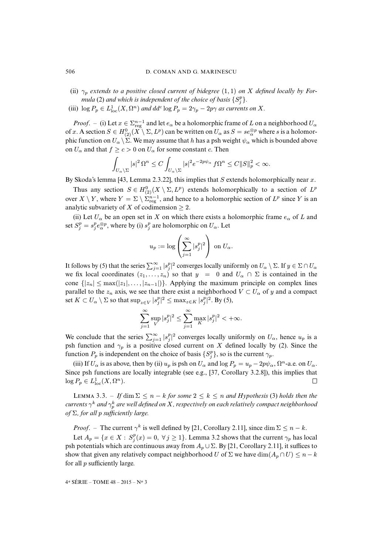- (ii)  $\gamma_p$  *extends to a positive closed current of bidegree* (1, 1) *on* X *defined locally by Formula* [\(2\)](#page-4-0) and which is independent of the choice of basis  $\{S_j^p\}$ .
- (iii)  $\log P_p \in L^1_{\text{loc}}(X, \Omega^n)$  *and dd<sup>c</sup>*  $\log P_p = 2\gamma_p 2p\gamma$  *as currents on* X.

*Proof.* – (i) Let  $x \in \sum_{reg}^{n-1}$  and let  $e_\alpha$  be a holomorphic frame of L on a neighborhood  $U_\alpha$ of x. A section  $S \in H^0_{(2)}(X \setminus \Sigma, L^p)$  can be written on  $U_\alpha$  as  $S = s e_\alpha^{\otimes p}$  where s is a holomorphic function on  $U_\alpha \backslash \Sigma$ . We may assume that h has a psh weight  $\psi_\alpha$  which is bounded above on  $U_{\alpha}$  and that  $f \ge c > 0$  on  $U_{\alpha}$  for some constant c. Then

$$
\int_{U_{\alpha}\backslash\Sigma}|s|^{2}\,\Omega^{n}\leq C\int_{U_{\alpha}\backslash\Sigma}|s|^{2}e^{-2p\psi_{\alpha}}\,f\Omega^{n}\leq C\|S\|_{p}^{2}<\infty.
$$

By Skoda's lemma [\[43,](#page-40-2) Lemma 2.3.22], this implies that S extends holomorphically near  $x$ .

Thus any section  $S \in H^0_{(2)}(X \setminus \Sigma, L^p)$  extends holomorphically to a section of  $L^p$ over  $X \setminus Y$ , where  $Y = \Sigma \setminus \overline{\Sigma_{\text{reg}}^{n-1}}$ , and hence to a holomorphic section of  $L^p$  since Y is an analytic subvariety of X of codimension  $\geq 2$ .

(ii) Let  $U_{\alpha}$  be an open set in X on which there exists a holomorphic frame  $e_{\alpha}$  of L and set  $S_j^p = s_j^p e_\alpha^{\otimes p}$ , where by (i)  $s_j^p$  are holomorphic on  $U_\alpha$ . Let

$$
u_p := \log \left( \sum_{j=1}^{\infty} |s_j^p|^2 \right)
$$
 on  $U_{\alpha}$ .

It follows by [\(5\)](#page-10-0) that the series  $\sum_{j=1}^{\infty} |s_j^p|^2$  converges locally uniformly on  $U_\alpha \setminus \Sigma$ . If  $y \in \Sigma \cap U_\alpha$ we fix local coordinates  $(z_1, \ldots, z_n)$  so that  $y = 0$  and  $U_\alpha \cap \Sigma$  is contained in the cone  $\{|z_n| \leq \max(|z_1|, \ldots, |z_{n-1}|\})$ . Applying the maximum principle on complex lines parallel to the  $z_n$  axis, we see that there exist a neighborhood  $V \subset U_\alpha$  of y and a compact set  $K \subset U_\alpha \setminus \Sigma$  so that  $\sup_{z \in V} |s_j^p|^2 \leq \max_{z \in K} |s_j^p|^2$ . By [\(5\)](#page-10-0),

$$
\sum_{j=1}^\infty \sup_{V} |s_j^p|^2 \leq \sum_{j=1}^\infty \max_{K} |s_j^p|^2 < +\infty.
$$

We conclude that the series  $\sum_{j=1}^{\infty} |s_j^p|^2$  converges locally uniformly on  $U_\alpha$ , hence  $u_p$  is a psh function and  $\gamma_p$  is a positive closed current on X defined locally by [\(2\)](#page-4-0). Since the function  $P_p$  is independent on the choice of basis  $\{S_j^p\}$ , so is the current  $\gamma_p$ .

(iii) If  $U_\alpha$  is as above, then by (ii)  $u_p$  is psh on  $U_\alpha$  and  $\log P_p = u_p - 2p\psi_\alpha$ ,  $\Omega^n$ -a.e. on  $U_\alpha$ . Since psh functions are locally integrable (see e.g., [\[37,](#page-40-9) Corollary 3.2.8]), this implies that  $\log P_p \in L^1_{\text{loc}}(X, \Omega^n).$  $\Box$ 

LEMMA 3.3. – *If* dim  $\Sigma \leq n - k$  *for some*  $2 \leq k \leq n$  *and Hypothesis* [\(3\)](#page-4-1) *holds then the*  $\alpha$  *currents*  $\gamma^k$  *and*  $\gamma^k_p$  *are well defined on X* , respectively on each relatively compact neighborhood *of* Σ*, for all* p *sufficiently large.*

*Proof.* – The current  $\gamma^k$  is well defined by [\[21,](#page-39-7) Corollary 2.11], since dim  $\Sigma \leq n - k$ .

Let  $A_p = \{x \in X : S_j^p(x) = 0, \forall j \ge 1\}$ . Lemma [3.2](#page-0-0) shows that the current  $\gamma_p$  has local psh potentials which are continuous away from  $A_p \cup \Sigma$ . By [\[21,](#page-39-7) Corollary 2.11], it suffices to show that given any relatively compact neighborhood U of  $\Sigma$  we have  $\dim(A_p \cap U) \leq n - k$ for all  $p$  sufficiently large.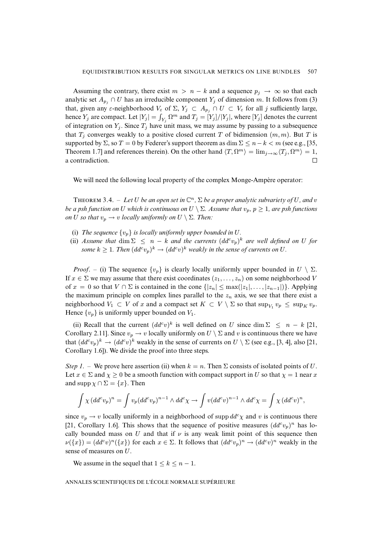Assuming the contrary, there exist  $m > n - k$  and a sequence  $p_j \to \infty$  so that each analytic set  $A_{p_i} \cap U$  has an irreducible component  $Y_j$  of dimension m. It follows from [\(3\)](#page-4-1) that, given any  $\varepsilon$ -neighborhood  $V_{\varepsilon}$  of  $\Sigma$ ,  $Y_j \subset A_{p_j} \cap U \subset V_{\varepsilon}$  for all j sufficiently large, hence  $Y_j$  are compact. Let  $|Y_j| = \int_{Y_j} \Omega^m$  and  $T_j = [Y_j]/|Y_j|$ , where  $[Y_j]$  denotes the current of integration on  $Y_j$ . Since  $T_j$  have unit mass, we may assume by passing to a subsequence that  $T_i$  converges weakly to a positive closed current T of bidimension  $(m, m)$ . But T is supported by  $\Sigma$ , so  $T = 0$  by Federer's support theorem as dim  $\Sigma \le n - k < m$  (see e.g., [\[35,](#page-39-11) Theorem 1.7] and references therein). On the other hand  $\langle T, \Omega^m \rangle = \lim_{j \to \infty} \langle T_j, \Omega^m \rangle = 1$ ,  $\Box$ a contradiction.

We will need the following local property of the complex Monge-Ampère operator:

**THEOREM** 3.4. – Let U be an open set in  $\mathbb{C}^n$ ,  $\Sigma$  be a proper analytic subvariety of U, and v *be a psh function on* U *which is continuous on*  $U \setminus \Sigma$ *. Assume that*  $v_p$ *,*  $p \geq 1$ *, are psh functions on U so that*  $v_p \rightarrow v$  *locally uniformly on*  $U \setminus \Sigma$ *. Then:* 

- (i) *The sequence*  $\{v_n\}$  *is locally uniformly upper bounded in U.*
- (ii) Assume that  $\dim \Sigma \leq n k$  and the currents  $(dd^c v_p)^k$  are well defined on U for some  $k \geq 1$ . Then  $(dd^c v_p)^k \to (dd^c v)^k$  weakly in the sense of currents on U.

*Proof.* – (i) The sequence  $\{v_p\}$  is clearly locally uniformly upper bounded in  $U \setminus \Sigma$ . If  $x \in \Sigma$  we may assume that there exist coordinates  $(z_1, \ldots, z_n)$  on some neighborhood V of  $x = 0$  so that  $V \cap \Sigma$  is contained in the cone  $\{|z_n| \leq \max(|z_1|, \ldots, |z_{n-1}|\})$ . Applying the maximum principle on complex lines parallel to the  $z_n$  axis, we see that there exist a neighborhood  $V_1 \subset V$  of x and a compact set  $K \subset V \setminus \Sigma$  so that  $\sup_{V_1} v_p \leq \sup_K v_p$ . Hence  $\{v_p\}$  is uniformly upper bounded on  $V_1$ .

(ii) Recall that the current  $(dd^c v)^k$  is well defined on U since dim  $\Sigma \leq n - k$  [\[21,](#page-39-7) Corollary 2.11]. Since  $v_p \to v$  locally uniformly on  $U \setminus \Sigma$  and v is continuous there we have that  $(dd^c v_p)^k \to (dd^c v)^k$  weakly in the sense of currents on  $U \setminus \Sigma$  (see e.g., [\[3,](#page-38-9) [4\]](#page-38-10), also [\[21,](#page-39-7) Corollary 1.6]). We divide the proof into three steps.

*Step 1.* – We prove here assertion (ii) when  $k = n$ . Then  $\Sigma$  consists of isolated points of U. Let  $x \in \Sigma$  and  $\chi \ge 0$  be a smooth function with compact support in U so that  $\chi = 1$  near x and supp  $\chi \cap \Sigma = \{x\}$ . Then

$$
\int \chi (dd^c v_p)^n = \int v_p (dd^c v_p)^{n-1} \wedge dd^c \chi \to \int v (dd^c v)^{n-1} \wedge dd^c \chi = \int \chi (dd^c v)^n,
$$

since  $v_p \to v$  locally uniformly in a neighborhood of supp  $dd^c \chi$  and v is continuous there [\[21,](#page-39-7) Corollary 1.6]. This shows that the sequence of positive measures  $(dd^c v_p)^n$  has locally bounded mass on U and that if  $\nu$  is any weak limit point of this sequence then  $\nu({x}) = (dd^c v)^n({x})$  for each  $x \in \Sigma$ . It follows that  $(dd^c v_p)^n \to (dd^c v)^n$  weakly in the sense of measures on U.

We assume in the sequel that  $1 \leq k \leq n-1$ .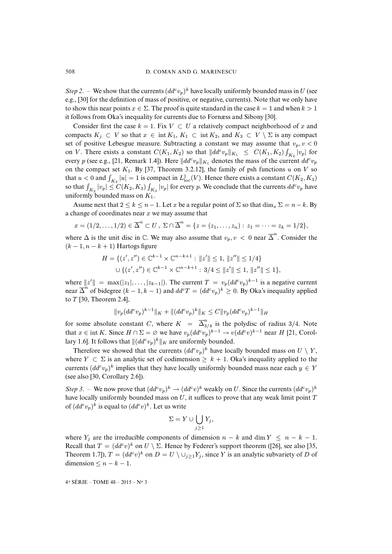*Step 2.* – We show that the currents  $(dd^c v_p)^k$  have locally uniformly bounded mass in U (see e.g., [\[30\]](#page-39-8) for the definition of mass of positive, or negative, currents). Note that we only have to show this near points  $x \in \Sigma$ . The proof is quite standard in the case  $k = 1$  and when  $k > 1$ it follows from Oka's inequality for currents due to Fornæss and Sibony [\[30\]](#page-39-8).

Consider first the case  $k = 1$ . Fix  $V \subset U$  a relatively compact neighborhood of x and compacts  $K_j \subset V$  so that  $x \in \text{int } K_1, K_1 \subset \text{int } K_2$ , and  $K_3 \subset V \setminus \Sigma$  is any compact set of positive Lebesgue measure. Subtracting a constant we may assume that  $v_p, v < 0$ on V. There exists a constant  $C(K_1, K_2)$  so that  $||dd^c v_p||_{K_1} \leq C(K_1, K_2) \int_{K_2} |v_p|$  for every p (see e.g., [\[21,](#page-39-7) Remark 1.4]). Here  $\|dd^cv_p\|_{K_1}$  denotes the mass of the current  $dd^cv_p$ on the compact set  $K_1$ . By [\[37,](#page-40-9) Theorem 3.2.12], the family of psh functions u on V so that  $u < 0$  and  $\int_{K_3} |u| = 1$  is compact in  $L^1_{loc}(V)$ . Hence there exists a constant  $C(K_2, K_3)$ so that  $\int_{K_2}|v_p|\leq C(K_2,K_3)\int_{K_3}|v_p|$  for every  $p.$  We conclude that the currents  $dd^cv_p$  have uniformly bounded mass on  $K_1$ .

Asume next that  $2 \le k \le n-1$ . Let x be a regular point of  $\Sigma$  so that  $\dim_{\mathfrak{X}} \Sigma = n-k$ . By a change of coordinates near  $x$  we may assume that

$$
x = (1/2, ..., 1/2) \in \overline{\Delta}^n \subset U
$$
,  $\Sigma \cap \overline{\Delta}^n = \{z = (z_1, ..., z_n) : z_1 = \cdots = z_k = 1/2\}$ ,

where  $\Delta$  is the unit disc in  $\mathbb C$ . We may also assume that  $v_p, v < 0$  near  $\overline{\Delta}^n$ . Consider the  $(k-1, n-k+1)$  Hartogs figure

$$
H = \{ (z', z'') \in \mathbb{C}^{k-1} \times \mathbb{C}^{n-k+1} : ||z'|| \le 1, ||z''|| \le 1/4 \}
$$
  

$$
\cup \{ (z', z'') \in \mathbb{C}^{k-1} \times \mathbb{C}^{n-k+1} : 3/4 \le ||z'|| \le 1, ||z''|| \le 1 \},\
$$

where  $||z'|| = \max(|z_1|, \ldots, |z_{k-1}|)$ . The current  $T = v_p(dd^c v_p)^{k-1}$  is a negative current near  $\overline{\Delta}^n$  of bidegree  $(k-1, k-1)$  and  $dd^cT = (dd^c v_p)^k \geq 0$ . By Oka's inequality applied to  $T$  [\[30,](#page-39-8) Theorem 2.4],

$$
||v_p(dd^cv_p)^{k-1}||_K + ||(dd^cv_p)^k||_K \leq C||v_p(dd^cv_p)^{k-1}||_H
$$

for some absolute constant C, where  $K = \overline{\Delta}_3^n$  $\int_{3/4}^{6}$  is the polydisc of radius 3/4. Note that  $x \in \text{int } K$ . Since  $H \cap \Sigma = \varnothing$  we have  $v_p(dd^c v_p)^{k-1} \to v(dd^c v)^{k-1}$  near  $H$  [\[21,](#page-39-7) Corollary 1.6]. It follows that  $\|(dd^cv_p)^k\|_K$  are uniformly bounded.

Therefore we showed that the currents  $(dd^c v_p)^k$  have locally bounded mass on  $U \setminus Y$ , where  $Y \subset \Sigma$  is an analytic set of codimension  $\geq k + 1$ . Oka's inequality applied to the currents  $(dd^c v_p)^k$  implies that they have locally uniformly bounded mass near each  $y \in Y$ (see also [\[30,](#page-39-8) Corollary 2.6]).

*Step 3.* – We now prove that  $(dd^c v_p)^k \to (dd^c v)^k$  weakly on U. Since the currents  $(dd^c v_p)^k$ have locally uniformly bounded mass on  $U$ , it suffices to prove that any weak limit point  $T$ of  $(dd^c v_p)^k$  is equal to  $(dd^c v)^k$ . Let us write

$$
\Sigma = Y \cup \bigcup_{j \ge 1} Y_j,
$$

where  $Y_j$  are the irreducible components of dimension  $n - k$  and dim  $Y \leq n - k - 1$ . Recall that  $T = (dd^c v)^k$  on  $U \setminus \Sigma$ . Hence by Federer's support theorem ([\[26\]](#page-39-12), see also [\[35,](#page-39-11) Theorem 1.7]),  $T = (dd^c v)^k$  on  $D = U \setminus \bigcup_{j \geq 1} Y_j$ , since Y is an analytic subvariety of D of dimension  $\leq n - k - 1$ .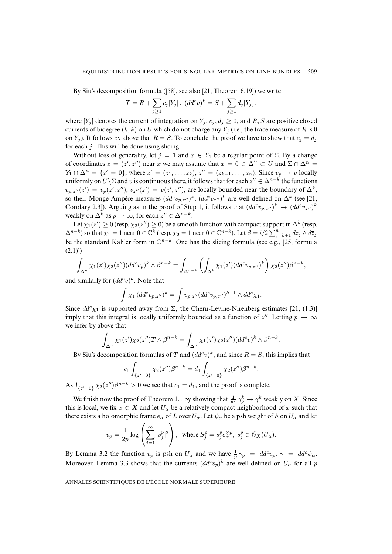By Siu's decomposition formula ([\[58\]](#page-41-4), see also [\[21,](#page-39-7) Theorem 6.19]) we write

$$
T = R + \sum_{j\geq 1} c_j[Y_j], \ (dd^c v)^k = S + \sum_{j\geq 1} d_j[Y_j],
$$

where  $[Y_i]$  denotes the current of integration on  $Y_i$ ,  $c_i$ ,  $d_i \geq 0$ , and R, S are positive closed currents of bidegree  $(k, k)$  on U which do not charge any  $Y_i$  (i.e., the trace measure of R is 0 on  $Y_i$ ). It follows by above that  $R = S$ . To conclude the proof we have to show that  $c_i = d_i$ for each  $j$ . This will be done using slicing.

Without loss of generality, let  $j = 1$  and  $x \in Y_1$  be a regular point of  $\Sigma$ . By a change of coordinates  $z = (z', z'')$  near x we may assume that  $x = 0 \in \overline{\Delta}^n \subset U$  and  $\Sigma \cap \Delta^n =$  $Y_1 \cap \Delta^n = \{z' = 0\}$ , where  $z' = (z_1, \ldots, z_k)$ ,  $z'' = (z_{k+1}, \ldots, z_n)$ . Since  $v_p \to v$  locally uniformly on  $U\setminus\Sigma$  and v is continuous there, it follows that for each  $z'' \in \Delta^{n-k}$  the functions  $v_{p,z''}(z') = v_p(z',z''), v_{z''}(z') = v(z',z''),$  are locally bounded near the boundary of  $\Delta^k$ , so their Monge-Ampère measures  $(dd^c v_{p,z''})^k$ ,  $(dd^c v_{z''})^k$  are well defined on  $\Delta^k$  (see [\[21,](#page-39-7) Corolary 2.3]). Arguing as in the proof of Step 1, it follows that  $(dd^c v_{p,z''})^k \to (dd^c v_{z''})^k$ weakly on  $\Delta^k$  as  $p \to \infty$ , for each  $z'' \in \Delta^{n-k}$ .

Let  $\chi_1(z') \geq 0$  (resp.  $\chi_2(z'') \geq 0$ ) be a smooth function with compact support in  $\Delta^k$  (resp.  $\Delta^{n-k}$ ) so that  $\chi_1 = 1$  near  $0 \in \mathbb{C}^k$  (resp.  $\chi_2 = 1$  near  $0 \in \mathbb{C}^{n-k}$ ). Let  $\beta = i/2 \sum_{j=k+1}^n dz_j \wedge d\overline{z}_j$ be the standard Kähler form in  $\mathbb{C}^{n-k}$ . One has the slicing formula (see e.g., [\[25,](#page-39-13) formula  $(2.1)$ ])

$$
\int_{\Delta^n} \chi_1(z') \chi_2(z'')(dd^c v_p)^k \wedge \beta^{n-k} = \int_{\Delta^{n-k}} \left( \int_{\Delta^k} \chi_1(z') (dd^c v_{p,z''})^k \right) \chi_2(z'') \beta^{n-k},
$$

and similarly for  $(dd^c v)^k$ . Note that

$$
\int \chi_1 (dd^c v_{p,z''})^k = \int v_{p,z''} (dd^c v_{p,z''})^{k-1} \wedge dd^c \chi_1.
$$

Since  $dd^c \chi_1$  is supported away from  $\Sigma$ , the Chern-Levine-Nirenberg estimates [\[21,](#page-39-7) (1.3)] imply that this integral is locally uniformly bounded as a function of  $z''$ . Letting  $p \to \infty$ we infer by above that

$$
\int_{\Delta^n} \chi_1(z') \chi_2(z'') T \wedge \beta^{n-k} = \int_{\Delta^n} \chi_1(z') \chi_2(z'')(dd^c v)^k \wedge \beta^{n-k}
$$

.

 $\Box$ 

By Siu's decomposition formulas of T and  $(dd^c v)^k$ , and since  $R = S$ , this implies that

$$
c_1 \int_{\{z'=0\}} \chi_2(z'') \beta^{n-k} = d_1 \int_{\{z'=0\}} \chi_2(z'') \beta^{n-k}.
$$

As  $\int_{\{z'=0\}} \chi_2(z'')\beta^{n-k} > 0$  we see that  $c_1 = d_1$ , and the proof is complete.

We finish now the proof of Theorem [1.1](#page-0-0) by showing that  $\frac{1}{p^k} \gamma_p^k \to \gamma^k$  weakly on X. Since this is local, we fix  $x \in X$  and let  $U_\alpha$  be a relatively compact neighborhood of x such that there exists a holomorphic frame  $e_\alpha$  of L over  $U_\alpha$ . Let  $\psi_\alpha$  be a psh weight of h on  $U_\alpha$  and let

$$
v_p = \frac{1}{2p} \log \left( \sum_{j=1}^{\infty} |s_j^p|^2 \right), \text{ where } S_j^p = s_j^p e_{\alpha}^{\otimes p}, \ s_j^p \in \mathcal{O}_X(U_\alpha).
$$

By Lemma [3.2](#page-0-0) the function  $v_p$  is psh on  $U_\alpha$  and we have  $\frac{1}{p}\gamma_p = dd^c v_p$ ,  $\gamma = dd^c \psi_\alpha$ . Moreover, Lemma [3.3](#page-0-0) shows that the currents  $(dd^c v_p)^k$  are well defined on  $U_\alpha$  for all p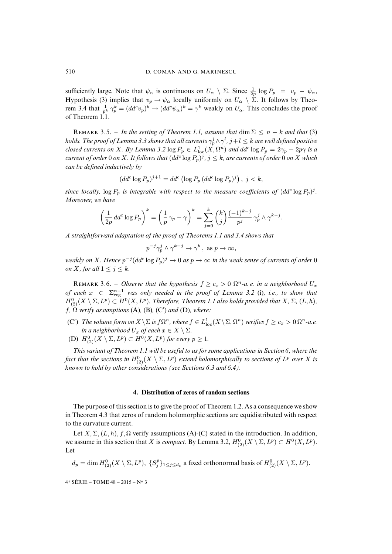sufficiently large. Note that  $\psi_{\alpha}$  is continuous on  $U_{\alpha} \setminus \Sigma$ . Since  $\frac{1}{2p} \log P_p = v_p - \psi_{\alpha}$ , Hypothesis [\(3\)](#page-4-1) implies that  $v_p \to \psi_\alpha$  locally uniformly on  $U_\alpha \setminus \Sigma$ . It follows by Theo-rem [3.4](#page-0-0) that  $\frac{1}{p^k} \gamma_p^k = (dd^c v_p)^k \to (dd^c \psi_\alpha)^k = \gamma^k$  weakly on  $U_\alpha$ . This concludes the proof of Theorem [1.1.](#page-0-0)

REMARK 3.5. – *In the setting of Theorem [1.1,](#page-0-0) assume that* dim  $\Sigma \leq n - k$  *and that* [\(3\)](#page-4-1) holds. The proof of Lemma [3.3](#page-0-0) shows that all currents  $\gamma^j_p\wedge\gamma^l$ ,  $j+l\leq k$  are well defined positive *closed currents on* X. By Lemma [3.2](#page-0-0)  $\log P_p \in L^1_{\text{loc}}(X, \Omega^n)$  and  $dd^c \log P_p = 2\gamma_p - 2p\gamma$  is a *current of order* 0 *on X*. It follows that  $(dd^c\log P_p)^j$ ,  $j\leq k$ , are currents of order 0 *on X which can be defined inductively by*

$$
(dd^c \log P_p)^{j+1} = dd^c \left( \log P_p \left( dd^c \log P_p \right)^j \right), \ j < k,
$$

since locally,  $\log P_p$  is integrable with respect to the measure coefficients of  $(dd^c\log P_p)^j$ . *Moreover, we have*

$$
\left(\frac{1}{2p}\,dd^c\log P_p\right)^k=\left(\frac{1}{p}\,\gamma_p-\gamma\right)^k=\sum_{j=0}^k\binom{k}{j}\frac{(-1)^{k-j}}{p^j}\,\gamma_p^j\wedge\gamma^{k-j}.
$$

*A straightforward adaptation of the proof of Theorems [1.1](#page-0-0) and [3.4](#page-0-0) shows that*

$$
p^{-j}\gamma_p^j\wedge\gamma^{k-j}\to\gamma^k\,,\text{ as }p\to\infty,
$$

weakly on X. Hence  $p^{-j} (dd^c \log P_p)^j \to 0$  as  $p \to \infty$  in the weak sense of currents of order 0 *on X, for all*  $1 \leq j \leq k$ *.* 

REMARK 3.6. – *Observe that the hypothesis*  $f \geq c_x > 0$   $\Omega^n$ -a.e. in a neighborhood  $U_x$ *of each*  $x \in \sum_{reg}^{n-1}$  was only needed in the proof of Lemma [3.2](#page-0-0) (i), i.e., to show that  $H^0_{(2)}(X\setminus\Sigma,L^p)\subset H^0(X,L^p).$  Therefore, Theorem [1.1](#page-0-0) also holds provided that  $X$ ,  $\Sigma$ ,  $(L,h)$ ,  $f$ ,  $\Omega$  *verify assumptions* (A), (B), (C') and (D), where:

- (C') *The volume form on*  $X \setminus \Sigma$  *is*  $f\Omega^n$ *, where*  $f \in L^1_{loc}(X \setminus \Sigma, \Omega^n)$  *verifies*  $f \ge c_x > 0$   $\Omega^n$ -a.e. *in a neighborhood*  $U_x$  *of each*  $x \in X \setminus \Sigma$ *.*
- (D)  $H^0_{(2)}(X \setminus \Sigma, L^p) \subset H^0(X, L^p)$  for every  $p \geq 1$ .

*This variant of Theorem [1.1](#page-0-0) will be useful to us for some applications in Section [6,](#page-25-0) where the* fact that the sections in  $H^0_{(2)}(X\setminus\Sigma,L^p)$  extend holomorphically to sections of  $L^p$  over  $X$  is *known to hold by other considerations (see Sections [6.3](#page-28-0) and [6.4\)](#page-31-0).*

#### **4. Distribution of zeros of random sections**

<span id="page-15-0"></span>The purpose of this section is to give the proof of Theorem [1.2.](#page-0-0) As a consequence we show in Theorem [4.3](#page-0-0) that zeros of random holomorphic sections are equidistributed with respect to the curvature current.

Let  $X, \Sigma, (L, h), f, \Omega$  verify assumptions (A)-(C) stated in the introduction. In addition, we assume in this section that X is *compact*. By Lemma [3.2,](#page-0-0)  $H^0_{(2)}(X \setminus \Sigma, L^p) \subset H^0(X, L^p)$ . Let

 $d_p = \dim H_{(2)}^0(X \setminus \Sigma, L^p), \ \{S_j^p\}_{1 \leq j \leq d_p}$  a fixed orthonormal basis of  $H_{(2)}^0(X \setminus \Sigma, L^p)$ .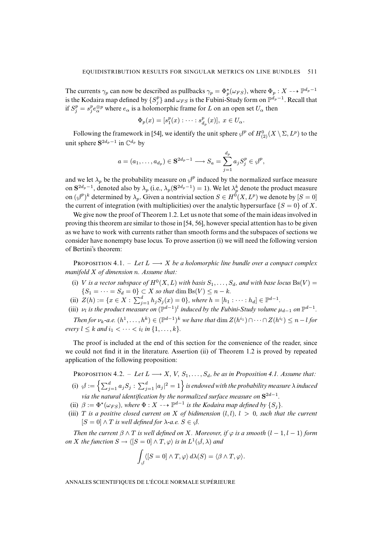The currents  $\gamma_p$  can now be described as pullbacks  $\gamma_p = \Phi_p^{\star}(\omega_{FS})$ , where  $\Phi_p: X \dashrightarrow \mathbb{P}^{d_p-1}$ is the Kodaira map defined by  $\{S_j^p\}$  and  $\omega_{FS}$  is the Fubini-Study form on  $\mathbb{P}^{d_p-1}.$  Recall that if  $S_j^p = s_j^p e_\alpha^{\otimes p}$  where  $e_\alpha$  is a holomorphic frame for L on an open set  $U_\alpha$  then

$$
\Phi_p(x) = [s_1^p(x) : \cdots : s_{d_p}^p(x)], x \in U_\alpha.
$$

Following the framework in [\[54\]](#page-40-4), we identify the unit sphere  $\beta^p$  of  $H^0_{(2)}(X \setminus \Sigma, L^p)$  to the unit sphere  $S^{2d_p-1}$  in  $\mathbb{C}^{d_p}$  by

$$
a=(a_1,\ldots,a_{d_p})\in \mathbf{S}^{2d_p-1}\longrightarrow S_a=\sum_{j=1}^{d_p}a_jS_j^p\in \mathcal{J}^p,
$$

and we let  $\lambda_p$  be the probability measure on  $\mathcal{J}^p$  induced by the normalized surface measure on  $S^{2d_p-1}$ , denoted also by  $\lambda_p$  (i.e.,  $\lambda_p(S^{2d_p-1})=1$ ). We let  $\lambda_p^k$  denote the product measure on  $(\mathcal{J}^p)^k$  determined by  $\lambda_p$ . Given a nontrivial section  $S \in H^0(X, L^p)$  we denote by  $[S = 0]$ the current of integration (with multiplicities) over the analytic hypersurface  $\{S = 0\}$  of X.

We give now the proof of Theorem [1.2.](#page-0-0) Let us note that some of the main ideas involved in proving this theorem are similar to those in [\[54,](#page-40-4) [56\]](#page-40-6), however special attention has to be given as we have to work with currents rather than smooth forms and the subspaces of sections we consider have nonempty base locus. To prove assertion (i) we will need the following version of Bertini's theorem:

**PROPOSITION** 4.1. – Let  $L \longrightarrow X$  be a holomorphic line bundle over a compact complex *manifold* X *of dimension* n*. Assume that:*

- (i) V is a vector subspace of  $H^0(X, L)$  with basis  $S_1, \ldots, S_d$ , and with base locus  $Bs(V)$  =  $\{S_1 = \cdots = S_d = 0\} \subset X$  *so that* dim  $Bs(V) \leq n - k$ *.*
- (ii)  $Z(h) := \{x \in X : \sum_{j=1}^d h_j S_j(x) = 0\}$ , where  $h = [h_1 : \cdots : h_d] \in \mathbb{P}^{d-1}$ .
- (iii)  $\nu_l$  is the product measure on  $(\mathbb{P}^{d-1})^l$  induced by the Fubini-Study volume  $\mu_{d-1}$  on  $\mathbb{P}^{d-1}$ .

*Then for*  $\nu_k$ -*a.e.*  $(h^1, \ldots, h^k) \in (\mathbb{P}^{d-1})^k$  *we have that*  $\dim Z(h^{i_1}) \cap \cdots \cap Z(h^{i_l}) \leq n - l$  *for every*  $l \leq k$  *and*  $i_1 < \cdots < i_l$  *in*  $\{1, \ldots, k\}$ *.* 

The proof is included at the end of this section for the convenience of the reader, since we could not find it in the literature. Assertion (ii) of Theorem [1.2](#page-0-0) is proved by repeated application of the following proposition:

PROPOSITION 4.2. – Let  $L \longrightarrow X$ , V,  $S_1, \ldots, S_d$ , be as in Proposition [4.1.](#page-0-0) Assume that:

- (i)  $\beta := \left\{ \sum_{j=1}^d a_j S_j : \sum_{j=1}^d |a_j|^2 = 1 \right\}$  is endowed with the probability measure  $\lambda$  induced *via the natural identification by the normalized surface measure on* S<sup>2d−1</sup>.
- (ii)  $\beta := \Phi^*(\omega_{FS})$ , where  $\Phi : X \dashrightarrow \mathbb{P}^{d-1}$  is the Kodaira map defined by  $\{S_j\}$ .
- (iii) T is a positive closed current on X of bidimension  $(l, l)$ ,  $l > 0$ , such that the current  $[S = 0] \wedge T$  *is well defined for*  $\lambda$ -*a.e.*  $S \in \mathcal{S}$ *.*

*Then the current*  $\beta \wedge T$  *is well defined on* X*. Moreover, if*  $\varphi$  *is a smooth*  $(l - 1, l - 1)$  *form on* X the function  $S \to \langle [S = 0] \wedge T, \varphi \rangle$  is in  $L^1(\emptyset, \lambda)$  and

$$
\int_{\mathscr{A}} \langle [S=0] \wedge T, \varphi \rangle d\lambda(S) = \langle \beta \wedge T, \varphi \rangle.
$$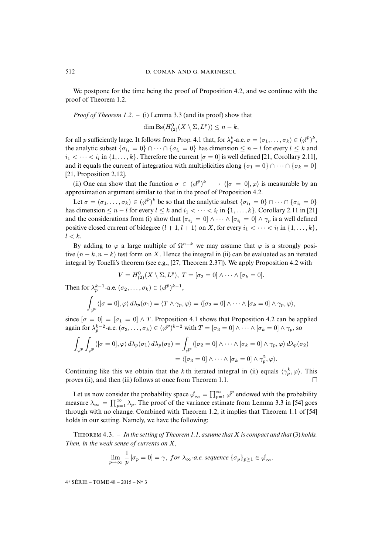We postpone for the time being the proof of Proposition [4.2,](#page-0-0) and we continue with the proof of Theorem [1.2.](#page-0-0)

*Proof of Theorem [1.2](#page-0-0)*. – (i) Lemma [3.3](#page-0-0) (and its proof) show that

dim  $\operatorname{Bs}(H_{(2)}^0(X \setminus \Sigma, L^p)) \leq n - k$ ,

for all p sufficiently large. It follows from Prop. [4.1](#page-0-0) that, for  $\lambda_p^k$ -a.e.  $\sigma = (\sigma_1, \ldots, \sigma_k) \in (\phi^p)^k$ , the analytic subset  $\{\sigma_{i_1} = 0\} \cap \cdots \cap \{\sigma_{i_l} = 0\}$  has dimension  $\leq n - l$  for every  $l \leq k$  and  $i_1 < \cdots < i_l$  in  $\{1, \ldots, k\}$ . Therefore the current  $[\sigma = 0]$  is well defined [\[21,](#page-39-7) Corollary 2.11], and it equals the current of integration with multiplicities along  ${\sigma_1 = 0} \cap \cdots \cap {\sigma_k = 0}$ [\[21,](#page-39-7) Proposition 2.12].

(ii) One can show that the function  $\sigma \in (\mathcal{J}^p)^k \longrightarrow \langle [\sigma = 0], \varphi \rangle$  is measurable by an approximation argument similar to that in the proof of Proposition [4.2.](#page-0-0)

Let  $\sigma = (\sigma_1, \ldots, \sigma_k) \in (\mathcal{J}^p)^k$  be so that the analytic subset  $\{\sigma_{i_1} = 0\} \cap \cdots \cap \{\sigma_{i_l} = 0\}$ has dimension  $\leq n-l$  for every  $l \leq k$  and  $i_1 < \cdots < i_l$  in  $\{1, \ldots, k\}$ . Corollary 2.11 in [\[21\]](#page-39-7) and the considerations from (i) show that  $[\sigma_{i_1} = 0] \wedge \cdots \wedge [\sigma_{i_l} = 0] \wedge \gamma_p$  is a well defined positive closed current of bidegree  $(l + 1, l + 1)$  on X, for every  $i_1 < \cdots < i_l$  in  $\{1, \ldots, k\}$ ,  $l < k$ .

By adding to  $\varphi$  a large multiple of  $\Omega^{n-k}$  we may assume that  $\varphi$  is a strongly positive  $(n - k, n - k)$  test form on X. Hence the integral in (ii) can be evaluated as an iterated integral by Tonelli's theorem (see e.g., [\[27,](#page-39-14) Theorem 2.37]). We apply Proposition [4.2](#page-0-0) with

$$
V = H_{(2)}^{0}(X \setminus \Sigma, L^{p}), T = [\sigma_2 = 0] \wedge \cdots \wedge [\sigma_k = 0].
$$

Then for  $\lambda_p^{k-1}$ -a.e.  $(\sigma_2, \ldots, \sigma_k) \in (\mathcal{J}^p)^{k-1}$ ,

$$
\int_{\phi^p} \langle [\sigma=0], \varphi \rangle \, d\lambda_p(\sigma_1) = \langle T \wedge \gamma_p, \varphi \rangle = \langle [\sigma_2=0] \wedge \cdots \wedge [\sigma_k=0] \wedge \gamma_p, \varphi \rangle,
$$

since  $[\sigma = 0] = [\sigma_1 = 0] \wedge T$ . Proposition [4.1](#page-0-0) shows that Proposition [4.2](#page-0-0) can be applied again for  $\lambda_p^{k-2}$ -a.e.  $(\sigma_3, \ldots, \sigma_k) \in (\mathcal{J}^p)^{k-2}$  with  $T = [\sigma_3 = 0] \wedge \cdots \wedge [\sigma_k = 0] \wedge \gamma_p$ , so

$$
\int_{\phi^{p}} \int_{\phi^{p}} \langle [\sigma = 0], \varphi \rangle d\lambda_{p}(\sigma_{1}) d\lambda_{p}(\sigma_{2}) = \int_{\phi^{p}} \langle [\sigma_{2} = 0] \wedge \cdots \wedge [\sigma_{k} = 0] \wedge \gamma_{p}, \varphi \rangle d\lambda_{p}(\sigma_{2})
$$

$$
= \langle [\sigma_{3} = 0] \wedge \cdots \wedge [\sigma_{k} = 0] \wedge \gamma_{p}^{2}, \varphi \rangle.
$$

Continuing like this we obtain that the k<sup>th</sup> iterated integral in (ii) equals  $\langle \gamma_p^k, \varphi \rangle$ . This proves (ii), and then (iii) follows at once from Theorem [1.1.](#page-0-0)  $\Box$ 

Let us now consider the probability space  $\phi_{\infty} = \prod_{p=1}^{\infty} \phi^p$  endowed with the probability measure  $\lambda_{\infty} = \prod_{p=1}^{\infty} \lambda_p$ . The proof of the variance estimate from Lemma 3.3 in [\[54\]](#page-40-4) goes through with no change. Combined with Theorem [1.2,](#page-0-0) it implies that Theorem 1.1 of [\[54\]](#page-40-4) holds in our setting. Namely, we have the following:

THEOREM  $4.3. - In the setting of Theorem 1.1, assume that X is compact and that (3) holds.$  $4.3. - In the setting of Theorem 1.1, assume that X is compact and that (3) holds.$  $4.3. - In the setting of Theorem 1.1, assume that X is compact and that (3) holds.$  $4.3. - In the setting of Theorem 1.1, assume that X is compact and that (3) holds.$  $4.3. - In the setting of Theorem 1.1, assume that X is compact and that (3) holds.$ *Then, in the weak sense of currents on* X*,*

$$
\lim_{p \to \infty} \frac{1}{p} [\sigma_p = 0] = \gamma, \text{ for } \lambda_{\infty} \text{-a.e. sequence } {\{\sigma_p\}_{p \ge 1} \in \mathcal{A}_{\infty}}.
$$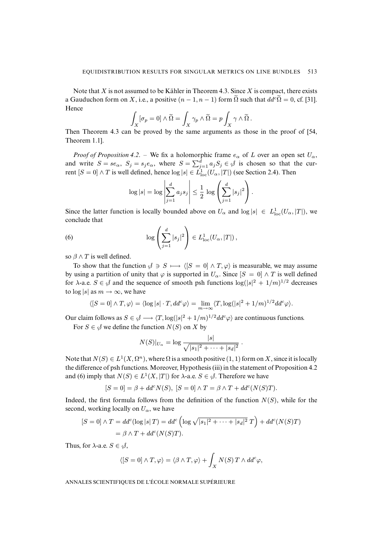Note that  $X$  is not assumed to be Kähler in Theorem [4.3.](#page-0-0) Since  $X$  is compact, there exists a Gauduchon form on X, i.e., a positive  $(n-1, n-1)$  form  $\tilde{\Omega}$  such that  $dd^c \tilde{\Omega} = 0$ , cf. [\[31\]](#page-39-15). Hence

$$
\int_X [\sigma_p = 0] \wedge \widetilde{\Omega} = \int_X \gamma_p \wedge \widetilde{\Omega} = p \int_X \gamma \wedge \widetilde{\Omega} .
$$

Then Theorem [4.3](#page-0-0) can be proved by the same arguments as those in the proof of [\[54,](#page-40-4) Theorem 1.1].

*Proof of Proposition* [4.2](#page-0-0). – We fix a holomorphic frame  $e_{\alpha}$  of L over an open set  $U_{\alpha}$ , and write  $S = s e_\alpha$ ,  $S_j = s_j e_\alpha$ , where  $S = \sum_{j=1}^d a_j S_j \in \emptyset$  is chosen so that the current  $[S = 0] \wedge T$  is well defined, hence  $\log |s| \in L^1_{\text{loc}}(U_\alpha, |T|)$  (see Section [2.4\)](#page-9-1). Then

<span id="page-18-0"></span>
$$
\log|s| = \log \left|\sum_{j=1}^d a_j s_j\right| \le \frac{1}{2} \log \left(\sum_{j=1}^d |s_j|^2\right).
$$

Since the latter function is locally bounded above on  $U_{\alpha}$  and  $\log |s| \in L^1_{\text{loc}}(U_{\alpha}, |T|)$ , we conclude that

(6) 
$$
\log \left( \sum_{j=1}^d |s_j|^2 \right) \in L^1_{\text{loc}}(U_\alpha, |T|),
$$

so  $\beta \wedge T$  is well defined.

To show that the function  $\mathcal{S} \ni S \longmapsto \langle [S = 0] \wedge T, \varphi \rangle$  is measurable, we may assume by using a partition of unity that  $\varphi$  is supported in  $U_{\alpha}$ . Since  $[S = 0] \wedge T$  is well defined for  $\lambda$ -a.e.  $S \in \mathcal{S}$  and the sequence of smooth psh functions  $\log(|s|^2 + 1/m)^{1/2}$  decreases to  $\log |s|$  as  $m \to \infty$ , we have

$$
\langle [S=0] \wedge T, \varphi \rangle = \langle \log |s| \cdot T, dd^c \varphi \rangle = \lim_{m \to \infty} \langle T, \log(|s|^2 + 1/m)^{1/2} dd^c \varphi \rangle.
$$

Our claim follows as  $S \in \mathcal{J} \longrightarrow \langle T, \log(|s|^2 + 1/m)^{1/2} d d^c \varphi \rangle$  are continuous functions.

For  $S \in \mathcal{S}$  we define the function  $N(S)$  on X by

$$
N(S)|_{U_{\alpha}} = \log \frac{|s|}{\sqrt{|s_1|^2 + \cdots + |s_d|^2}}.
$$

Note that  $N(S) \in L^1(X, \Omega^n)$ , where  $\Omega$  is a smooth positive  $(1, 1)$  form on X, since it is locally the difference of psh functions. Moreover, Hypothesis (iii) in the statement of Proposition [4.2](#page-0-0) and [\(6\)](#page-18-0) imply that  $N(S) \in L^1(X, |T|)$  for  $\lambda$ -a.e.  $S \in \mathcal{S}$ . Therefore we have

$$
[S=0]=\beta+dd^cN(S),\; [S=0]\wedge T=\beta\wedge T+dd^c(N(S)T).
$$

Indeed, the first formula follows from the definition of the function  $N(S)$ , while for the second, working locally on  $U_{\alpha}$ , we have

$$
[S = 0] \wedge T = dd^c(\log |s| T) = dd^c\left(\log \sqrt{|s_1|^2 + \dots + |s_d|^2} T\right) + dd^c(N(S)T)
$$
  
=  $\beta \wedge T + dd^c(N(S)T).$ 

Thus, for  $\lambda$ -a.e.  $S \in \mathcal{S}$ ,

$$
\langle [S = 0] \wedge T, \varphi \rangle = \langle \beta \wedge T, \varphi \rangle + \int_X N(S) \, T \wedge dd^c \varphi,
$$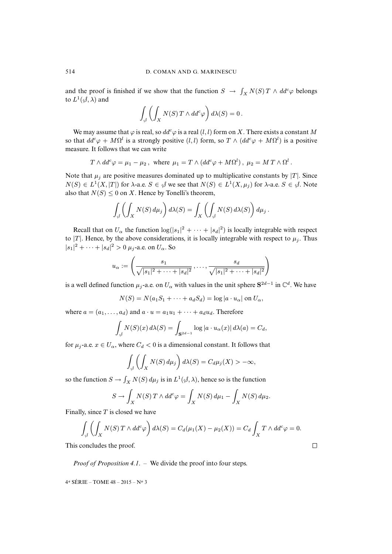and the proof is finished if we show that the function  $S \to \int_X N(S) T \wedge dd^c \varphi$  belongs to  $L^1(\mathcal{A},\lambda)$  and

$$
\int_{\mathcal{J}} \left( \int_X N(S) \, T \wedge dd^c \varphi \right) d\lambda(S) = 0 \, .
$$

We may assume that  $\varphi$  is real, so  $dd^c\varphi$  is a real  $(l, l)$  form on X. There exists a constant M so that  $dd^c \varphi + M\Omega^l$  is a strongly positive  $(l, l)$  form, so  $T \wedge (dd^c \varphi + M\Omega^l)$  is a positive measure. It follows that we can write

$$
T \wedge dd^c \varphi = \mu_1 - \mu_2
$$
, where  $\mu_1 = T \wedge (dd^c \varphi + M\Omega^l)$ ,  $\mu_2 = M T \wedge \Omega^l$ .

Note that  $\mu_j$  are positive measures dominated up to multiplicative constants by |T|. Since  $N(S) \in L^1(X, |T|)$  for  $\lambda$ -a.e.  $S \in \mathcal{S}$  we see that  $N(S) \in L^1(X, \mu_j)$  for  $\lambda$ -a.e.  $S \in \mathcal{S}$ . Note also that  $N(S) \leq 0$  on X. Hence by Tonelli's theorem,

$$
\int_{\mathcal{J}} \left( \int_X N(S) \, d\mu_j \right) d\lambda(S) = \int_X \left( \int_{\mathcal{J}} N(S) \, d\lambda(S) \right) d\mu_j.
$$

Recall that on  $U_{\alpha}$  the function  $\log(|s_1|^2 + \cdots + |s_d|^2)$  is locally integrable with respect to |T|. Hence, by the above considerations, it is locally integrable with respect to  $\mu_j$ . Thus  $|s_1|^2 + \cdots + |s_d|^2 > 0$   $\mu_j$ -a.e. on  $U_\alpha$ . So

$$
u_{\alpha} := \left(\frac{s_1}{\sqrt{|s_1|^2 + \dots + |s_d|^2}}, \dots, \frac{s_d}{\sqrt{|s_1|^2 + \dots + |s_d|^2}}\right)
$$

is a well defined function  $\mu_j$ -a.e. on  $U_\alpha$  with values in the unit sphere  $S^{2d-1}$  in  $\mathbb{C}^d$ . We have

$$
N(S) = N(a_1S_1 + \dots + a_dS_d) = \log |a \cdot u_\alpha| \text{ on } U_\alpha,
$$

where  $a = (a_1, \ldots, a_d)$  and  $a \cdot u = a_1u_1 + \cdots + a_du_d$ . Therefore

$$
\int_{\mathcal{J}} N(S)(x) d\lambda(S) = \int_{\mathbf{S}^{2d-1}} \log |a \cdot u_{\alpha}(x)| d\lambda(a) = C_d,
$$

for  $\mu_i$ -a.e.  $x \in U_\alpha$ , where  $C_d < 0$  is a dimensional constant. It follows that

$$
\int_{\mathcal{J}} \left( \int_X N(S) \, d\mu_j \right) d\lambda(S) = C_d \mu_j(X) > -\infty,
$$

so the function  $S \to \int_X N(S) d\mu_j$  is in  $L^1(\mathcal{A}, \lambda)$ , hence so is the function

$$
S \to \int_X N(S) T \wedge dd^c \varphi = \int_X N(S) d\mu_1 - \int_X N(S) d\mu_2.
$$

Finally, since  $T$  is closed we have

$$
\int_{\mathcal{J}} \left( \int_X N(S) \, T \wedge dd^c \varphi \right) d\lambda(S) = C_d(\mu_1(X) - \mu_2(X)) = C_d \int_X T \wedge dd^c \varphi = 0.
$$

This concludes the proof.

*Proof of Proposition [4.1](#page-0-0)*. – We divide the proof into four steps.

4 <sup>e</sup> SÉRIE – TOME 48 – 2015 – N<sup>o</sup> 3

 $\Box$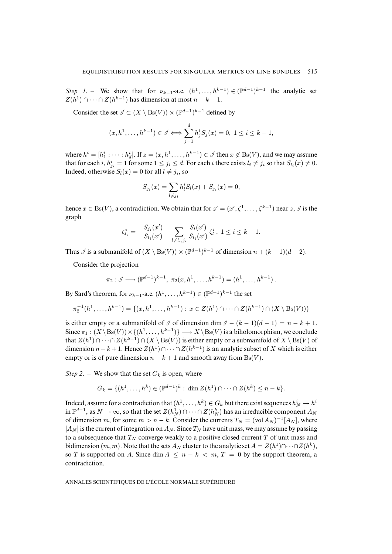*Step 1*. – We show that for  $\nu_{k-1}$ -a.e.  $(h^1, \ldots, h^{k-1}) \in (\mathbb{P}^{d-1})^{k-1}$  the analytic set  $Z(h^1) \cap \cdots \cap Z(h^{k-1})$  has dimension at most  $n - k + 1$ .

Consider the set  $\mathcal{I} \subset (X \setminus \text{Bs}(V)) \times (\mathbb{P}^{d-1})^{k-1}$  defined by

$$
(x, h1,..., hk-1) \in \mathcal{I} \Longleftrightarrow \sum_{j=1}^{d} h_j^{i} S_j(x) = 0, 1 \le i \le k-1,
$$

where  $h^i = [h_1^i : \cdots : h_d^i]$ . If  $z = (x, h^1, \dots, h^{k-1}) \in \mathcal{I}$  then  $x \notin \text{Bs}(V)$ , and we may assume that for each i,  $h_{j_i}^i = 1$  for some  $1 \le j_i \le d$ . For each i there exists  $l_i \ne j_i$  so that  $S_{l_i}(x) \ne 0$ . Indeed, otherwise  $S_l(x) = 0$  for all  $l \neq j_i$ , so

$$
S_{j_i}(x) = \sum_{l \neq j_i} h_l^i S_l(x) + S_{j_i}(x) = 0,
$$

hence  $x \in Bs(V)$ , a contradiction. We obtain that for  $z' = (x', \zeta^1, \ldots, \zeta^{k-1})$  near  $z, \mathcal{I}$  is the graph

$$
\zeta_{l_i}^i = -\frac{S_{j_i}(x')}{S_{l_i}(x')} - \sum_{l \neq l_i, j_i} \frac{S_l(x')}{S_{l_i}(x')} \zeta_l^i, \ 1 \le i \le k - 1.
$$

Thus  $\mathcal I$  is a submanifold of  $(X \setminus Bs(V)) \times (\mathbb{P}^{d-1})^{k-1}$  of dimension  $n + (k-1)(d-2)$ .

Consider the projection

$$
\pi_2: \mathcal{I} \longrightarrow (\mathbb{P}^{d-1})^{k-1}, \ \pi_2(x, h^1, \ldots, h^{k-1}) = (h^1, \ldots, h^{k-1}).
$$

By Sard's theorem, for  $\nu_{k-1}$ -a.e.  $(h^1, \ldots, h^{k-1}) \in (\mathbb{P}^{d-1})^{k-1}$  the set

$$
\pi_2^{-1}(h^1, \ldots, h^{k-1}) = \{(x, h^1, \ldots, h^{k-1}) : x \in Z(h^1) \cap \cdots \cap Z(h^{k-1}) \cap (X \setminus \text{Bs}(V))\}
$$

is either empty or a submanifold of  $\Im$  of dimension dim  $\Im$  –  $(k-1)(d-1) = n - k + 1$ . Since  $\pi_1: (X \setminus B\mathfrak{s}(V)) \times \{(h^1, \ldots, h^{k-1})\} \longrightarrow X \setminus B\mathfrak{s}(V)$  is a biholomorphism, we conclude that  $Z(h^1) \cap \cdots \cap Z(h^{k-1}) \cap (X \setminus \text{Bs}(V))$  is either empty or a submanifold of  $X \setminus \text{Bs}(V)$  of dimension  $n - k + 1$ . Hence  $Z(h^1) \cap \cdots \cap Z(h^{k-1})$  is an analytic subset of X which is either empty or is of pure dimension  $n - k + 1$  and smooth away from  $Bs(V)$ .

*Step 2.* – We show that the set  $G_k$  is open, where

$$
G_k = \{(h^1, \ldots, h^k) \in (\mathbb{P}^{d-1})^k : \dim Z(h^1) \cap \cdots \cap Z(h^k) \leq n - k\}.
$$

Indeed, assume for a contradiction that  $(h^1, \ldots, h^k) \in G_k$  but there exist sequences  $h^i_N \to h^i$ in  $\mathbb{P}^{d-1}$ , as  $N \to \infty$ , so that the set  $Z(h_N^1) \cap \cdots \cap Z(h_N^k)$  has an irreducible component  $A_N$ of dimension m, for some  $m > n - k$ . Consider the currents  $T_N = (\text{vol } A_N)^{-1} [A_N]$ , where  $[A_N]$  is the current of integration on  $A_N$ . Since  $T_N$  have unit mass, we may assume by passing to a subsequence that  $T_N$  converge weakly to a positive closed current T of unit mass and bidimension  $(m, m)$ . Note that the sets  $A_N$  cluster to the analytic set  $A = Z(h^1) \cap \cdots \cap Z(h^k)$ , so T is supported on A. Since dim  $A \leq n - k < m$ ,  $T = 0$  by the support theorem, a contradiction.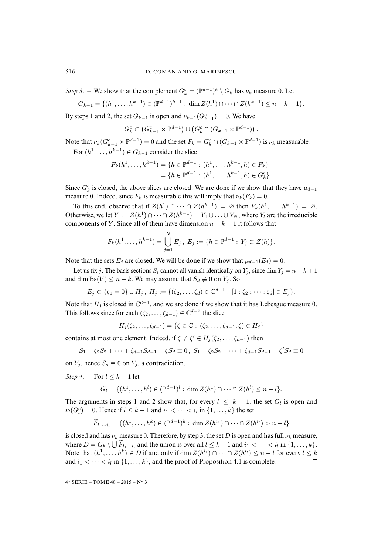*Step 3*. – We show that the complement  $G_k^c = (\mathbb{P}^{d-1})^k \setminus G_k$  has  $\nu_k$  measure 0. Let

$$
G_{k-1} = \{(h^1, \ldots, h^{k-1}) \in (\mathbb{P}^{d-1})^{k-1} : \dim Z(h^1) \cap \cdots \cap Z(h^{k-1}) \leq n-k+1\}.
$$

By steps 1 and 2, the set  $G_{k-1}$  is open and  $\nu_{k-1}(G_{k-1}^c) = 0$ . We have

$$
G_{k}^{c} \subset (G_{k-1}^{c} \times \mathbb{P}^{d-1}) \cup (G_{k}^{c} \cap (G_{k-1} \times \mathbb{P}^{d-1})).
$$

Note that  $\nu_k(G_{k-1}^c \times \mathbb{P}^{d-1}) = 0$  and the set  $F_k = G_k^c \cap (G_{k-1} \times \mathbb{P}^{d-1})$  is  $\nu_k$  measurable. For  $(h^1, \ldots, h^{k-1}) \in G_{k-1}$  consider the slice

$$
F_k(h^1, \dots, h^{k-1}) = \{ h \in \mathbb{P}^{d-1} : (h^1, \dots, h^{k-1}, h) \in F_k \}
$$
  
=  $\{ h \in \mathbb{P}^{d-1} : (h^1, \dots, h^{k-1}, h) \in G_k^c \}.$ 

Since  $G_k^c$  is closed, the above slices are closed. We are done if we show that they have  $\mu_{d-1}$ measure 0. Indeed, since  $F_k$  is measurable this will imply that  $\nu_k(F_k) = 0$ .

To this end, observe that if  $Z(h^1) \cap \cdots \cap Z(h^{k-1}) = \emptyset$  then  $F_k(h^1, \ldots, h^{k-1}) = \emptyset$ . Otherwise, we let  $Y := Z(h^1) \cap \cdots \cap Z(h^{k-1}) = Y_1 \cup \ldots \cup Y_N$ , where  $Y_l$  are the irreducible components of Y. Since all of them have dimension  $n - k + 1$  it follows that

$$
F_k(h^1,\ldots,h^{k-1})=\bigcup_{j=1}^N E_j, E_j:=\{h\in\mathbb{P}^{d-1}: Y_j\subset Z(h)\}.
$$

Note that the sets  $E_j$  are closed. We will be done if we show that  $\mu_{d-1}(E_j) = 0$ .

Let us fix j. The basis sections  $S_i$  cannot all vanish identically on  $Y_i$ , since dim  $Y_i = n - k + 1$ and dim Bs(V)  $\leq n - k$ . We may assume that  $S_d \not\equiv 0$  on  $Y_j$ . So

$$
E_j \subset \{\zeta_1 = 0\} \cup H_j \, , \, H_j := \{(\zeta_2, \ldots, \zeta_d) \in \mathbb{C}^{d-1} : [1 : \zeta_2 : \cdots : \zeta_d] \in E_j\}.
$$

Note that  $H_j$  is closed in  $\mathbb{C}^{d-1}$ , and we are done if we show that it has Lebesgue measure 0. This follows since for each  $(\zeta_2, \ldots, \zeta_{d-1}) \in \mathbb{C}^{d-2}$  the slice

 $H_i(\zeta_2, \ldots, \zeta_{d-1}) = \{ \zeta \in \mathbb{C} : (\zeta_2, \ldots, \zeta_{d-1}, \zeta) \in H_i \}$ 

contains at most one element. Indeed, if  $\zeta \neq \zeta' \in H_j(\zeta_2, \ldots, \zeta_{d-1})$  then

$$
S_1 + \zeta_2 S_2 + \dots + \zeta_{d-1} S_{d-1} + \zeta S_d \equiv 0, \ S_1 + \zeta_2 S_2 + \dots + \zeta_{d-1} S_{d-1} + \zeta' S_d \equiv 0
$$

on  $Y_i$ , hence  $S_d \equiv 0$  on  $Y_i$ , a contradiction.

*Step 4.* – For  $l \leq k-1$  let

$$
G_l = \{(h^1, \ldots, h^l) \in (\mathbb{P}^{d-1})^l : \dim Z(h^1) \cap \cdots \cap Z(h^l) \leq n - l\}.
$$

The arguments in steps 1 and 2 show that, for every  $l \leq k - 1$ , the set  $G_l$  is open and  $\nu_l(G_l^c) = 0.$  Hence if  $l \leq k - 1$  and  $i_1 < \cdots < i_l$  in  $\{1, \ldots, k\}$  the set

$$
\widetilde{F}_{i_1...i_l} = \{(h^1,...,h^k) \in (\mathbb{P}^{d-1})^k : \dim Z(h^{i_1}) \cap \cdots \cap Z(h^{i_l}) > n-l\}
$$

is closed and has  $\nu_k$  measure 0. Therefore, by step 3, the set D is open and has full  $\nu_k$  measure, where  $D = G_k \setminus \bigcup F_{i_1...i_l}$  and the union is over all  $l \leq k - 1$  and  $i_1 < \cdots < i_l$  in  $\{1, \ldots, k\}$ . Note that  $(h^1, \ldots, h^k) \in D$  if and only if  $\dim Z(h^{i_1}) \cap \cdots \cap Z(h^{i_l}) \leq n - l$  for every  $l \leq k$ and  $i_1 < \cdots < i_l$  in  $\{1, \ldots, k\}$ , and the proof of Proposition [4.1](#page-0-0) is complete.  $\Box$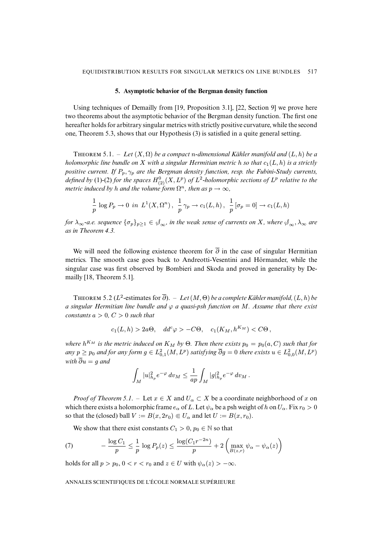#### **5. Asymptotic behavior of the Bergman density function**

<span id="page-22-0"></span>Using techniques of Demailly from [\[19,](#page-39-1) Proposition 3.1], [\[22,](#page-39-2) Section 9] we prove here two theorems about the asymptotic behavior of the Bergman density function. The first one hereafter holds for arbitrary singular metrics with strictly positive curvature, while the second one, Theorem [5.3,](#page-0-0) shows that our Hypothesis [\(3\)](#page-4-1) is satisfied in a quite general setting.

THEOREM 5.1. – Let  $(X, \Omega)$  be a compact *n*-dimensional Kähler manifold and  $(L, h)$  be a *holomorphic line bundle on* X with a singular Hermitian metric h so that  $c_1(L, h)$  is a strictly *positive current. If* Pp, γ<sup>p</sup> *are the Bergman density function, resp. the Fubini-Study currents,* defined by [\(1\)](#page-4-2)-[\(2\)](#page-4-0) for the spaces  $H_{(2)}^{0}(X,L^{p})$  of  $L^{2}$ -holomorphic sections of  $L^{p}$  relative to the *metric induced by h and the volume form*  $\Omega^n$ *, then as*  $p \to \infty$ *,* 

$$
\frac{1}{p} \log P_p \to 0 \ \ in \ \ L^1(X,\Omega^n) \ , \ \ \frac{1}{p} \ \gamma_p \to c_1(L,h) \ , \ \ \frac{1}{p} \left[ \sigma_p = 0 \right] \to c_1(L,h)
$$

*for*  $\lambda_{\infty}$ -a.e. sequence  $\{\sigma_p\}_{p\geq 1} \in \mathcal{S}_{\infty}$ , in the weak sense of currents on X, where  $\mathcal{S}_{\infty}, \lambda_{\infty}$  are *as in Theorem [4.3.](#page-0-0)*

We will need the following existence theorem for  $\overline{\partial}$  in the case of singular Hermitian metrics. The smooth case goes back to Andreotti-Vesentini and Hörmander, while the singular case was first observed by Bombieri and Skoda and proved in generality by Demailly [\[18,](#page-39-16) Theorem 5.1].

THEOREM 5.2 ( $L^2$ -estimates for  $\overline{\partial}$ ). – Let (M,  $\Theta$ ) be a complete Kähler manifold, (L, h) be *a singular Hermitian line bundle and* ϕ *a quasi-psh function on* M*. Assume that there exist constants*  $a > 0$ *,*  $C > 0$  *such that* 

$$
c_1(L, h) > 2a\Theta
$$
,  $dd^c \varphi > -C\Theta$ ,  $c_1(K_M, h^{K_M}) < C\Theta$ ,

where  $h^{K_M}$  is the metric induced on  $K_M$  by  $\Theta$ . Then there exists  $p_0 = p_0(a,C)$  such that for any  $p \geq p_0$  and for any form  $g \in L^2_{0,1}(M,L^p)$  satisfying  $\overline{\partial} g = 0$  there exists  $u \in L^2_{0,0}(M,L^p)$ *with*  $\overline{\partial} u = q$  *and* 

$$
\int_M |u|^2_{h_p} e^{-\varphi} \, dv_M \leq \frac{1}{ap} \int_M |g|^2_{h_p} e^{-\varphi} \, dv_M \, .
$$

*Proof of Theorem [5.1](#page-0-0).* – Let  $x \in X$  and  $U_\alpha \subset X$  be a coordinate neighborhood of x on which there exists a holomorphic frame  $e_{\alpha}$  of L. Let  $\psi_{\alpha}$  be a psh weight of h on  $U_{\alpha}$ . Fix  $r_0 > 0$ so that the (closed) ball  $V := B(x, 2r_0) \in U_\alpha$  and let  $U := B(x, r_0)$ .

<span id="page-22-1"></span>We show that there exist constants  $C_1 > 0$ ,  $p_0 \in \mathbb{N}$  so that

(7) 
$$
-\frac{\log C_1}{p} \leq \frac{1}{p} \log P_p(z) \leq \frac{\log(C_1 r^{-2n})}{p} + 2\left(\max_{B(z,r)} \psi_\alpha - \psi_\alpha(z)\right)
$$

holds for all  $p > p_0$ ,  $0 < r < r_0$  and  $z \in U$  with  $\psi_\alpha(z) > -\infty$ .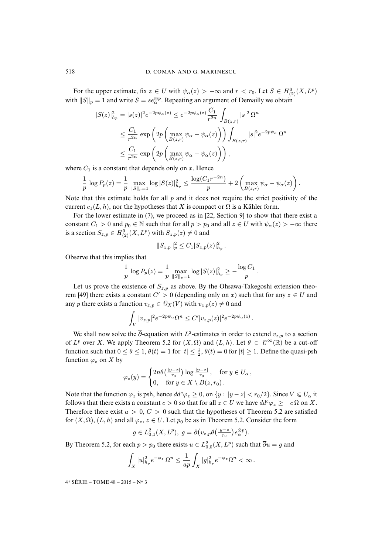For the upper estimate, fix  $z \in U$  with  $\psi_{\alpha}(z) > -\infty$  and  $r < r_0$ . Let  $S \in H_{(2)}^{0}(X, L^p)$ with  $||S||_p = 1$  and write  $S = s e_{\alpha}^{\otimes p}$ . Repeating an argument of Demailly we obtain

$$
|S(z)|_{h_p}^2 = |s(z)|^2 e^{-2p\psi_{\alpha}(z)} \le e^{-2p\psi_{\alpha}(z)} \frac{C_1}{r^{2n}} \int_{B(z,r)} |s|^2 \Omega^n
$$
  

$$
\le \frac{C_1}{r^{2n}} \exp\left(2p \left(\max_{B(z,r)} \psi_{\alpha} - \psi_{\alpha}(z)\right)\right) \int_{B(z,r)} |s|^2 e^{-2p\psi_{\alpha}} \Omega^n
$$
  

$$
\le \frac{C_1}{r^{2n}} \exp\left(2p \left(\max_{B(z,r)} \psi_{\alpha} - \psi_{\alpha}(z)\right)\right),
$$

where  $C_1$  is a constant that depends only on x. Hence

$$
\frac{1}{p} \log P_p(z) = \frac{1}{p} \max_{\|S\|_p = 1} \log |S(z)|_{h_p}^2 \le \frac{\log(C_1 r^{-2n})}{p} + 2 \left( \max_{B(z,r)} \psi_\alpha - \psi_\alpha(z) \right).
$$

Note that this estimate holds for all  $p$  and it does not require the strict positivity of the current  $c_1(L, h)$ , nor the hypotheses that X is compact or  $\Omega$  is a Kähler form.

For the lower estimate in [\(7\)](#page-22-1), we proceed as in [\[22,](#page-39-2) Section 9] to show that there exist a constant  $C_1 > 0$  and  $p_0 \in \mathbb{N}$  such that for all  $p > p_0$  and all  $z \in U$  with  $\psi_\alpha(z) > -\infty$  there is a section  $S_{z,p} \in H_{(2)}^{0}(X, L^{p})$  with  $S_{z,p}(z) \neq 0$  and

$$
||S_{z,p}||_p^2 \leq C_1 |S_{z,p}(z)|_{h_p}^2.
$$

Observe that this implies that

$$
\frac{1}{p} \log P_p(z) = \frac{1}{p} \max_{\|S\|_p = 1} \log |S(z)|_{h_p}^2 \ge -\frac{\log C_1}{p}.
$$

Let us prove the existence of  $S_{z,p}$  as above. By the Ohsawa-Takegoshi extension theo-rem [\[49\]](#page-40-10) there exists a constant  $C' > 0$  (depending only on x) such that for any  $z \in U$  and any p there exists a function  $v_{z,p} \in \mathcal{O}_X(V)$  with  $v_{z,p}(z) \neq 0$  and

$$
\int_V |v_{z,p}|^2 e^{-2p\psi_\alpha} \Omega^n \le C' |v_{z,p}(z)|^2 e^{-2p\psi_\alpha(z)}.
$$

We shall now solve the  $\overline{\partial}$ -equation with  $L^2$ -estimates in order to extend  $v_{z,p}$  to a section of  $L^p$  over X. We apply Theorem [5.2](#page-0-0) for  $(X, \Omega)$  and  $(L, h)$ . Let  $\theta \in \mathcal{C}^{\infty}(\mathbb{R})$  be a cut-off function such that  $0 \le \theta \le 1$ ,  $\theta(t) = 1$  for  $|t| \le \frac{1}{2}$ ,  $\theta(t) = 0$  for  $|t| \ge 1$ . Define the quasi-psh function  $\varphi_z$  on X by

$$
\varphi_z(y) = \begin{cases} 2n\theta\left(\frac{|y-z|}{r_0}\right) \log \frac{|y-z|}{r_0}, & \text{for } y \in U_\alpha, \\ 0, & \text{for } y \in X \setminus B(z,r_0). \end{cases}
$$

Note that the function  $\varphi_z$  is psh, hence  $dd^c \varphi_z \ge 0$ , on  $\{y : |y - z| < r_0/2\}$ . Since  $V \in U_\alpha$  it follows that there exists a constant  $c > 0$  so that for all  $z \in U$  we have  $dd^c \varphi_z \ge -c \Omega$  on X. Therefore there exist  $a > 0$ ,  $C > 0$  such that the hypotheses of Theorem [5.2](#page-0-0) are satisfied for  $(X, \Omega)$ ,  $(L, h)$  and all  $\varphi_z$ ,  $z \in U$ . Let  $p_0$  be as in Theorem [5.2.](#page-0-0) Consider the form

$$
g\in L^2_{0,1}(X,L^p),\; g=\overline{\partial}\big(v_{z,p}\theta\big(\tfrac{|y-z|}{r_0}\big)e^{\otimes p}_\alpha\big).
$$

By Theorem [5.2,](#page-0-0) for each  $p > p_0$  there exists  $u \in L^2_{0,0}(X, L^p)$  such that  $\overline{\partial} u = g$  and

$$
\int_X |u|^2_{h_p} e^{-\varphi_z} \Omega^n \le \frac{1}{ap} \int_X |g|^2_{h_p} e^{-\varphi_z} \Omega^n < \infty.
$$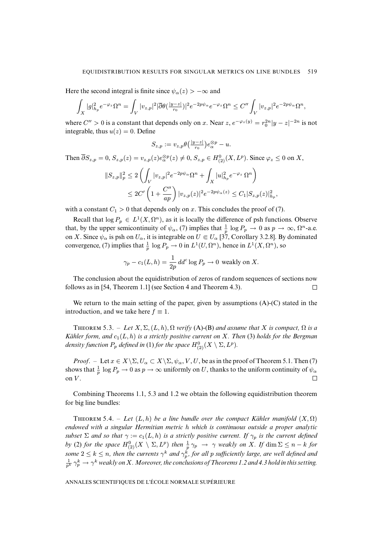Here the second integral is finite since  $\psi_{\alpha}(z) > -\infty$  and

$$
\int_X |g|_{h_p}^2 e^{-\varphi_z} \Omega^n = \int_V |v_{z,p}|^2 |\overline{\partial} \theta(\frac{|y-z|}{r_0})|^2 e^{-2p\psi_\alpha} e^{-\varphi_z} \Omega^n \leq C'' \int_V |v_{z,p}|^2 e^{-2p\psi_\alpha} \Omega^n,
$$

where  $C'' > 0$  is a constant that depends only on x. Near  $z, e^{-\varphi_z(y)} = r_0^{2n}|y - z|^{-2n}$  is not integrable, thus  $u(z) = 0$ . Define

$$
S_{z,p} := v_{z,p} \theta\left(\frac{|y-z|}{r_0}\right) e_{\alpha}^{\otimes p} - u.
$$

Then  $\overline{\partial}S_{z,p} = 0$ ,  $S_{z,p}(z) = v_{z,p}(z)e_{\alpha}^{\otimes p}(z) \neq 0$ ,  $S_{z,p} \in H_{(2)}^{0}(X, L^{p})$ . Since  $\varphi_{z} \leq 0$  on X,

$$
||S_{z,p}||_p^2 \le 2\left(\int_V |v_{z,p}|^2 e^{-2p\psi_\alpha} \Omega^n + \int_X |u|_{h_p}^2 e^{-\varphi_z} \Omega^n\right) \\
\le 2C'\left(1 + \frac{C''}{ap}\right) |v_{z,p}(z)|^2 e^{-2p\psi_\alpha(z)} \le C_1 |S_{z,p}(z)|_{h_p}^2
$$

,

with a constant  $C_1 > 0$  that depends only on x. This concludes the proof of [\(7\)](#page-22-1).

Recall that  $\log P_p \in L^1(X, \Omega^n)$ , as it is locally the difference of psh functions. Observe that, by the upper semicontinuity of  $\psi_{\alpha}$ , [\(7\)](#page-22-1) implies that  $\frac{1}{p} \log P_p \to 0$  as  $p \to \infty$ ,  $\Omega^n$ -a.e. on X. Since  $\psi_{\alpha}$  is psh on  $U_{\alpha}$ , it is integrable on  $U \in U_{\alpha}$  [\[37,](#page-40-9) Corollary 3.2.8]. By dominated convergence, [\(7\)](#page-22-1) implies that  $\frac{1}{p} \log P_p \to 0$  in  $L^1(U, \Omega^n)$ , hence in  $L^1(X, \Omega^n)$ , so

$$
\gamma_p - c_1(L, h) = \frac{1}{2p} \, dd^c \log P_p \to 0 \text{ weakly on } X.
$$

The conclusion about the equidistribution of zeros of random sequences of sections now follows as in [\[54,](#page-40-4) Theorem 1.1] (see Section [4](#page-15-0) and Theorem [4.3\)](#page-0-0).  $\Box$ 

We return to the main setting of the paper, given by assumptions (A)-(C) stated in the introduction, and we take here  $f \equiv 1$ .

THEOREM 5.3. – Let  $X, \Sigma, (L, h), \Omega$  verify (A)-(B) and assume that X is compact,  $\Omega$  is a *Kähler form, and*  $c_1(L, h)$  *is a strictly positive current on* X*. Then* [\(3\)](#page-4-1) *holds for the Bergman density function*  $P_p$  *defined in* [\(1\)](#page-4-2) *for the space*  $H^0_{(2)}(X \setminus \Sigma, L^p)$ *.* 

*Proof.* – Let  $x \in X \setminus \Sigma$ ,  $U_\alpha \subset X \setminus \Sigma$ ,  $\psi_\alpha$ ,  $V$ ,  $U$ , be as in the proof of Theorem [5.1.](#page-0-0) Then [\(7\)](#page-22-1) shows that  $\frac{1}{p} \log P_p \to 0$  as  $p \to \infty$  uniformly on U, thanks to the uniform continuity of  $\psi_\alpha$ on  $V$ .  $\Box$ 

Combining Theorems [1.1,](#page-0-0) [5.3](#page-0-0) and [1.2](#page-0-0) we obtain the following equidistribution theorem for big line bundles:

THEOREM 5.4. – Let  $(L, h)$  be a line bundle over the compact Kähler manifold  $(X, \Omega)$ *endowed with a singular Hermitian metric* h *which is continuous outside a proper analytic subset*  $\Sigma$  *and so that*  $\gamma := c_1(L, h)$  *is a strictly positive current. If*  $\gamma_p$  *is the current defined by* [\(2\)](#page-4-0) *for the space*  $H^0_{(2)}(X \setminus \Sigma, L^p)$  *then*  $\frac{1}{p} \gamma_p \to \gamma$  *weakly on* X*. If* dim  $\Sigma \leq n - k$  *for* some  $2 \leq k \leq n$ , then the currents  $\gamma^k$  and  $\gamma^k_p$ , for all p sufficiently large, are well defined and  $\frac{1}{p^k} \gamma_p^k \to \gamma^k$  weakly on X . Moreover, the conclusions of Theorems [1.2](#page-0-0) and [4.3](#page-0-0) hold in this setting.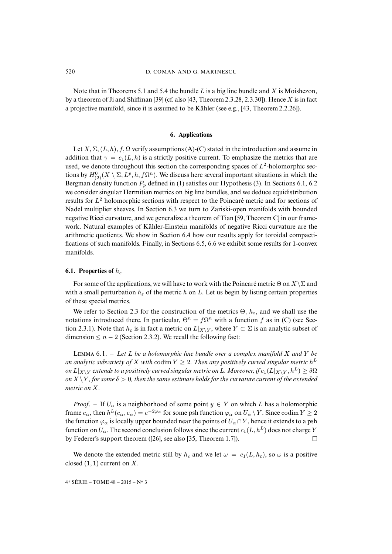Note that in Theorems [5.1](#page-0-0) and [5.4](#page-0-0) the bundle L is a big line bundle and X is Moishezon, by a theorem of Ji and Shiffman [\[39\]](#page-40-11) (cf. also [\[43,](#page-40-2) Theorem 2.3.28, 2.3.30]). Hence X is in fact a projective manifold, since it is assumed to be Kähler (see e.g., [\[43,](#page-40-2) Theorem 2.2.26]).

#### **6. Applications**

<span id="page-25-0"></span>Let X,  $\Sigma$ ,  $(L, h)$ ,  $f$ ,  $\Omega$  verify assumptions (A)-(C) stated in the introduction and assume in addition that  $\gamma = c_1(L, h)$  is a strictly positive current. To emphasize the metrics that are used, we denote throughout this section the corresponding spaces of  $L^2$ -holomorphic sections by  $H^0_{(2)}(X \setminus \Sigma, L^p, h, f\Omega^n)$ . We discuss here several important situations in which the Bergman density function  $P_p$  defined in [\(1\)](#page-4-2) satisfies our Hypothesis [\(3\)](#page-4-1). In Sections [6.1,](#page-25-1) [6.2](#page-27-0) we consider singular Hermitian metrics on big line bundles, and we deduce equidistribution results for  $L^2$  holomorphic sections with respect to the Poincaré metric and for sections of Nadel multiplier sheaves. In Section [6.3](#page-28-0) we turn to Zariski-open manifolds with bounded negative Ricci curvature, and we generalize a theorem of Tian [\[59,](#page-41-0) Theorem C] in our framework. Natural examples of Kähler-Einstein manifolds of negative Ricci curvature are the arithmetic quotients. We show in Section [6.4](#page-31-0) how our results apply for toroidal compactifications of such manifolds. Finally, in Sections [6.5,](#page-34-0) [6.6](#page-36-0) we exhibit some results for 1-convex manifolds.

#### <span id="page-25-1"></span>**6.1. Properties of**  $h_{\varepsilon}$

For some of the applications, we will have to work with the Poincaré metric  $\Theta$  on  $X\setminus\Sigma$  and with a small perturbation  $h_{\varepsilon}$  of the metric h on L. Let us begin by listing certain properties of these special metrics.

We refer to Section [2.3](#page-7-1) for the construction of the metrics  $\Theta$ ,  $h_{\varepsilon}$ , and we shall use the notations introduced there. In particular,  $\Theta^n = f\Omega^n$  with a function f as in (C) (see Sec-tion [2.3.1\)](#page-8-1). Note that  $h_{\varepsilon}$  is in fact a metric on  $L|_{X\setminus Y}$ , where  $Y \subset \Sigma$  is an analytic subset of dimension  $\leq n-2$  (Section [2.3.2\)](#page-8-2). We recall the following fact:

LEMMA  $6.1. - Let L be a holomorphic line bundle over a complex manifold X and Y be$ *an analytic subvariety of X with*  $\text{codim } Y \geq 2$ . Then any positively curved singular metric  $h^L$ *on*  $L|_{X\setminus Y}$  *extends to a positively curved singular metric on* L. Moreover, if  $c_1(L|_{X\setminus Y}, h^L) \ge \delta\Omega$ *on*  $X \ Y$ *, for some*  $\delta > 0$ *, then the same estimate holds for the curvature current of the extended metric on* X*.*

*Proof.* – If  $U_{\alpha}$  is a neighborhood of some point  $y \in Y$  on which L has a holomorphic frame  $e_\alpha$ , then  $h^L(e_\alpha, e_\alpha) = e^{-2\varphi_\alpha}$  for some psh function  $\varphi_\alpha$  on  $U_\alpha \setminus Y$ . Since codim  $Y \ge 2$ the function  $\varphi_{\alpha}$  is locally upper bounded near the points of  $U_{\alpha} \cap Y$ , hence it extends to a psh function on  $U_{\alpha}$ . The second conclusion follows since the current  $c_1(L, h^L)$  does not charge Y by Federer's support theorem ([\[26\]](#page-39-12), see also [\[35,](#page-39-11) Theorem 1.7]).  $\Box$ 

We denote the extended metric still by  $h_{\epsilon}$  and we let  $\omega = c_1(L, h_{\epsilon})$ , so  $\omega$  is a positive closed  $(1, 1)$  current on X.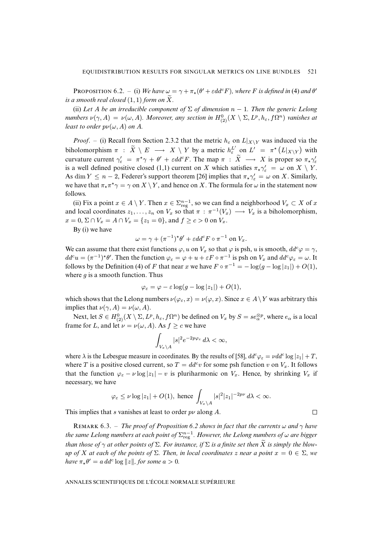**PROPOSITION** 6.2. – (i) We have  $\omega = \gamma + \pi_*(\theta' + \epsilon dd^c F)$ , where F is defined in [\(4\)](#page-8-0) and  $\theta'$ *is a smooth real closed*  $(1, 1)$  *form on*  $\widetilde{X}$ *.* 

(ii) Let A be an irreducible component of  $\Sigma$  of dimension  $n-1$ . Then the generic Lelong *numbers*  $\nu(\gamma, A) = \nu(\omega, A)$ . Moreover, any section in  $H^0_{(2)}(X \setminus \Sigma, L^p, h_\varepsilon, f\Omega^n)$  vanishes at *least to order*  $p\nu(\omega, A)$  *on A.* 

*Proof.* – (i) Recall from Section [2.3.2](#page-8-2) that the metric  $h_{\varepsilon}$  on  $L|_{X\setminus Y}$  was induced via the biholomorphism  $\pi$  :  $\widetilde{X} \setminus E \longrightarrow X \setminus Y$  by a metric  $h_{\varepsilon}^{L'}$  on  $L' = \pi^*(L|_{X\setminus Y})$  with curvature current  $\gamma_{\varepsilon}' = \pi^* \gamma + \theta' + \varepsilon dd^c F$ . The map  $\pi : \tilde{X} \longrightarrow X$  is proper so  $\pi_* \gamma_{\varepsilon}'$ is a well defined positive closed (1,1) current on X which satisfies  $\pi_{\star}\gamma_{\varepsilon}' = \omega$  on  $X \setminus Y$ . As dim  $Y \le n - 2$ , Federer's support theorem [\[26\]](#page-39-12) implies that  $\pi_{\star} \gamma_{\varepsilon}^{\prime} = \omega$  on X. Similarly, we have that  $\pi_*\pi^*\gamma = \gamma$  on  $X \setminus Y$ , and hence on X. The formula for  $\omega$  in the statement now follows.

(ii) Fix a point  $x \in A \setminus Y$ . Then  $x \in \sum_{reg}^{n-1}$ , so we can find a neighborhood  $V_x \subset X$  of  $x$ and local coordinates  $z_1, \ldots, z_n$  on  $V_x$  so that  $\pi : \pi^{-1}(V_x) \longrightarrow V_x$  is a biholomorphism,  $x = 0$ ,  $\Sigma \cap V_x = A \cap V_x = \{z_1 = 0\}$ , and  $f \ge c > 0$  on  $V_x$ .

By (i) we have

$$
\omega = \gamma + (\pi^{-1})^* \theta' + \varepsilon dd^c F \circ \pi^{-1} \text{ on } V_x.
$$

We can assume that there exist functions  $\varphi$ , u on  $V_x$  so that  $\varphi$  is psh, u is smooth,  $dd^c \varphi = \gamma$ ,  $dd^c u = (\pi^{-1})^* \theta'$ . Then the function  $\varphi_{\varepsilon} = \varphi + u + \varepsilon F \circ \pi^{-1}$  is psh on  $V_x$  and  $dd^c \varphi_{\varepsilon} = \omega$ . It follows by the Definition [\(4\)](#page-8-0) of F that near x we have  $F \circ \pi^{-1} = -\log(g - \log|z_1|) + O(1)$ , where  $g$  is a smooth function. Thus

$$
\varphi_{\varepsilon} = \varphi - \varepsilon \log(g - \log|z_1|) + O(1),
$$

which shows that the Lelong numbers  $\nu(\varphi_{\varepsilon}, x) = \nu(\varphi, x)$ . Since  $x \in A \setminus Y$  was arbitrary this implies that  $\nu(\gamma, A) = \nu(\omega, A)$ .

Next, let  $S \in H^0_{(2)}(X \setminus \Sigma, L^p, h_\varepsilon, f\Omega^n)$  be defined on  $V_x$  by  $S = s e_{\alpha}^{\otimes p}$ , where  $e_{\alpha}$  is a local frame for L, and let  $\nu = \nu(\omega, A)$ . As  $f \geq c$  we have

$$
\int_{V_x\backslash A} |s|^2 e^{-2p\varphi_{\varepsilon}} d\lambda < \infty,
$$

where  $\lambda$  is the Lebesgue measure in coordinates. By the results of [\[58\]](#page-41-4),  $dd^c \varphi_{\varepsilon} = \nu dd^c \log |z_1| + T$ , where T is a positive closed current, so  $T = dd^c v$  for some psh function v on  $V_x$ . It follows that the function  $\varphi_{\varepsilon} - \nu \log |z_1| - \nu$  is pluriharmonic on  $V_x$ . Hence, by shrinking  $V_x$  if necessary, we have

$$
\varphi_{\varepsilon} \leq \nu \log |z_1| + O(1)
$$
, hence  $\int_{V_x \setminus A} |s|^2 |z_1|^{-2p\nu} d\lambda < \infty$ .

 $\Box$ 

This implies that s vanishes at least to order  $p\nu$  along A.

REMARK 6.3. – *The proof of Proposition* [6.2](#page-0-0) *shows in fact that the currents*  $\omega$  *and*  $\gamma$  *have* the same Lelong numbers at each point of  $\Sigma^{n-1}_{\mathrm{reg}}$  . However, the Lelong numbers of  $\omega$  are bigger *than those of*  $\gamma$  *at other points of*  $\Sigma$ *. For instance, if*  $\Sigma$  *is a finite set then*  $\bar{X}$  *is simply the blow* $up$  *of* X at each of the points of  $\Sigma$ . Then, in local coordinates z near a point  $x = 0 \in \Sigma$ , we *have*  $\pi_* \theta' = a \, dd^c \log ||z||$ , for some  $a > 0$ .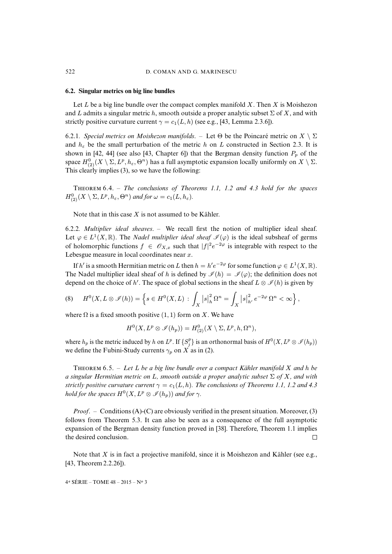#### <span id="page-27-0"></span>**6.2. Singular metrics on big line bundles**

Let  $L$  be a big line bundle over the compact complex manifold  $X$ . Then  $X$  is Moishezon and L admits a singular metric h, smooth outside a proper analytic subset  $\Sigma$  of X, and with strictly positive curvature current  $\gamma = c_1(L, h)$  (see e.g., [\[43,](#page-40-2) Lemma 2.3.6]).

6.2.1*. Special metrics on Moishezon manifolds.* – Let  $\Theta$  be the Poincaré metric on  $X \setminus \Sigma$ and  $h_{\varepsilon}$  be the small perturbation of the metric h on L constructed in Section [2.3.](#page-7-1) It is shown in [\[42,](#page-40-1) [44\]](#page-40-3) (see also [\[43,](#page-40-2) Chapter 6]) that the Bergman density function  $P_p$  of the space  $H^0_{(2)}(X \setminus \Sigma, L^p, h_\varepsilon, \Theta^n)$  has a full asymptotic expansion locally uniformly on  $X \setminus \Sigma$ . This clearly implies [\(3\)](#page-4-1), so we have the following:

T 6.4. – *The conclusions of Theorems [1.1,](#page-0-0) [1.2](#page-0-0) and [4.3](#page-0-0) hold for the spaces*  $H_{(2)}^{0}(X \setminus \Sigma, L^p, h_\varepsilon, \Theta^n)$  and for  $\omega = c_1(L, h_\varepsilon)$ .

Note that in this case  $X$  is not assumed to be Kähler.

6.2.2*. Multiplier ideal sheaves*. – We recall first the notion of multiplier ideal sheaf. Let  $\varphi \in L^1(X,\mathbb{R})$ . The *Nadel multiplier ideal sheaf*  $\mathcal{I}(\varphi)$  is the ideal subsheaf of germs of holomorphic functions  $f \in \mathcal{O}_{X,x}$  such that  $|f|^2 e^{-2\varphi}$  is integrable with respect to the Lebesgue measure in local coordinates near  $x$ .

If h' is a smooth Hermitian metric on L then  $h = h'e^{-2\varphi}$  for some function  $\varphi \in L^1(X, \mathbb{R})$ . The Nadel multiplier ideal sheaf of h is defined by  $\mathscr{I}(h) = \mathscr{I}(\varphi)$ ; the definition does not depend on the choice of h'. The space of global sections in the sheaf  $L \otimes \mathcal{I}(h)$  is given by

<span id="page-27-1"></span>
$$
(8) \tH0(X, L \otimes \mathscr{I}(h)) = \left\{ s \in H0(X, L) : \int_{X} |s|_{h}^{2} \Omega^{n} = \int_{X} |s|_{h'}^{2} e^{-2\varphi} \Omega^{n} < \infty \right\},
$$

where  $\Omega$  is a fixed smooth positive  $(1, 1)$  form on X. We have

$$
H^0(X, L^p \otimes \mathscr{I}(h_p)) = H^0_{(2)}(X \setminus \Sigma, L^p, h, \Omega^n),
$$

where  $h_p$  is the metric induced by h on  $L^p$ . If  $\{S_j^p\}$  is an orthonormal basis of  $H^0(X, L^p \otimes \mathcal{I}(h_p))$ we define the Fubini-Study currents  $\gamma_p$  on X as in [\(2\)](#page-4-0).

T 6.5. – *Let* L *be a big line bundle over a compact Kähler manifold* X *and* h *be a singular Hermitian metric on* L*, smooth outside a proper analytic subset* Σ *of* X*, and with strictly positive curvature current*  $\gamma = c_1(L, h)$ *. The conclusions of Theorems [1.1,](#page-0-0) [1.2](#page-0-0) and [4.3](#page-0-0) hold for the spaces*  $H^0(X, L^p \otimes \mathscr{I}(h_p))$  *and for*  $\gamma$ *.* 

*Proof*. – Conditions (A)-(C) are obviously verified in the present situation. Moreover, [\(3\)](#page-4-1) follows from Theorem [5.3.](#page-0-0) It can also be seen as a consequence of the full asymptotic expansion of the Bergman density function proved in [\[38\]](#page-40-12). Therefore, Theorem [1.1](#page-0-0) implies the desired conclusion.  $\Box$ 

Note that  $X$  is in fact a projective manifold, since it is Moishezon and Kähler (see e.g., [\[43,](#page-40-2) Theorem 2.2.26]).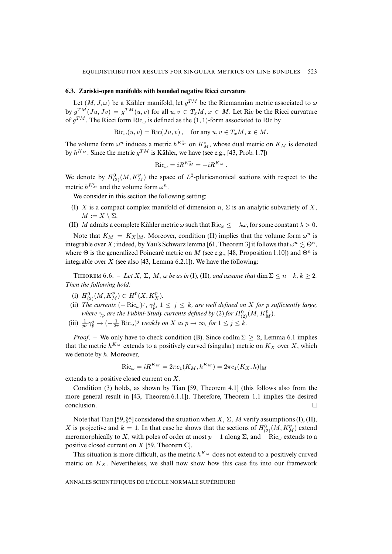#### <span id="page-28-0"></span>**6.3. Zariski-open manifolds with bounded negative Ricci curvature**

Let  $(M, J, \omega)$  be a Kähler manifold, let  $g^{TM}$  be the Riemannian metric associated to  $\omega$ by  $g^{TM}(Ju, Jv) = g^{TM}(u, v)$  for all  $u, v \in T_xM$ ,  $x \in M$ . Let Ric be the Ricci curvature of  $g^{TM}$ . The Ricci form Ric<sub> $\omega$ </sub> is defined as the (1, 1)-form associated to Ric by

$$
Ric_{\omega}(u,v) = Ric(Ju,v), \quad \text{for any } u, v \in T_xM, x \in M.
$$

The volume form  $\omega^n$  induces a metric  $h^{K_M^*}$  on  $K_M^*$ , whose dual metric on  $K_M$  is denoted by  $h^{K_M}$ . Since the metric  $g^{TM}$  is Kähler, we have (see e.g., [\[43,](#page-40-2) Prob. 1.7])

$$
\mathrm{Ric}_{\omega} = i R^{K_M^*} = -i R^{K_M}.
$$

We denote by  $H^0_{(2)}(M, K_M^p)$  the space of  $L^2$ -pluricanonical sections with respect to the metric  $h^{K_M^p}$  and the volume form  $\omega^n$ .

We consider in this section the following setting:

- (I) X is a compact complex manifold of dimension  $n$ ,  $\Sigma$  is an analytic subvariety of X,  $M := X \setminus \Sigma$ .
- (II) M admits a complete Kähler metric  $\omega$  such that Ric $\omega \leq -\lambda \omega$ , for some constant  $\lambda > 0$ .

Note that  $K_M = K_X |_{M}$ . Moreover, condition (II) implies that the volume form  $\omega^n$  is integrable over X; indeed, by Yau's Schwarz lemma [\[61,](#page-41-5) Theorem 3] it follows that  $\omega^n \lesssim \Theta^n$ , where  $\Theta$  is the generalized Poincaré metric on M (see e.g., [\[48,](#page-40-13) Proposition 1.10]) and  $\Theta^n$  is integrable over  $X$  (see also [\[43,](#page-40-2) Lemma 6.2.1]). We have the following:

THEOREM 6.6. – Let  $X$ ,  $\Sigma$ ,  $M$ ,  $\omega$  be as in (I), (II), and assume that dim  $\Sigma \le n - k$ ,  $k \ge 2$ . *Then the following hold:*

- (i)  $H_{(2)}^{0}(M, K_M^p) \subset H^0(X, K_X^p)$ .
- (ii) The currents  $(-Ric_{\omega})^j$ ,  $\gamma_p^j$ ,  $1 \leq j \leq k$ , are well defined on X for p sufficiently large, where  $\gamma_p$  are the Fubini-Study currents defined by [\(2\)](#page-4-0) for  $H^0_{(2)}(M,K^p_M)$ .
- (iii)  $\frac{1}{p^j} \gamma_p^j \to (-\frac{1}{2\pi} \text{Ric}_{\omega})^j$  *weakly on* X *as*  $p \to \infty$ *, for*  $1 \le j \le k$ *.*

*Proof.* – We only have to check condition (B). Since codim  $\Sigma \geq 2$ , Lemma [6.1](#page-0-0) implies that the metric  $h^{K_M}$  extends to a positively curved (singular) metric on  $K_X$  over X, which we denote by h. Moreover,

$$
-\operatorname{Ric}_{\omega} = iR^{K_M} = 2\pi c_1(K_M, h^{K_M}) = 2\pi c_1(K_X, h)|_M
$$

extends to a positive closed current on X.

Condition [\(3\)](#page-4-1) holds, as shown by Tian [\[59,](#page-41-0) Theorem 4.1] (this follows also from the more general result in [\[43,](#page-40-2) Theorem 6.1.1]). Therefore, Theorem [1.1](#page-0-0) implies the desired conclusion.  $\Box$ 

Note that Tian [\[59,](#page-41-0) §5] considered the situation when  $X, \Sigma, M$  verify assumptions (I), (II), X is projective and  $k = 1$ . In that case he shows that the sections of  $H_{(2)}^{0}(M, K_M^p)$  extend meromorphically to X, with poles of order at most  $p - 1$  along  $\Sigma$ , and  $-\text{Ric}_{\omega}$  extends to a positive closed current on X [\[59,](#page-41-0) Theorem C].

This situation is more difficult, as the metric  $h^{K_M}$  does not extend to a positively curved metric on  $K_X$ . Nevertheless, we shall now show how this case fits into our framework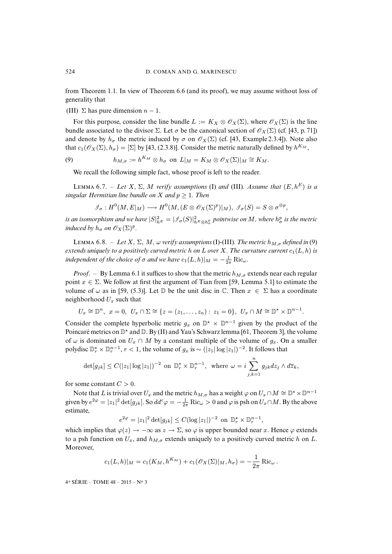from Theorem [1.1.](#page-0-0) In view of Theorem [6.6](#page-0-0) (and its proof), we may assume without loss of generality that

(III)  $\Sigma$  has pure dimension  $n - 1$ .

For this purpose, consider the line bundle  $L := K_X \otimes \mathscr{O}_X(\Sigma)$ , where  $\mathscr{O}_X(\Sigma)$  is the line bundle associated to the divisor  $\Sigma$ . Let  $\sigma$  be the canonical section of  $\mathscr{O}_X(\Sigma)$  (cf. [\[43,](#page-40-2) p. 71]) and denote by  $h_{\sigma}$  the metric induced by  $\sigma$  on  $\mathcal{O}_X(\Sigma)$  (cf. [\[43,](#page-40-2) Example 2.3.4]). Note also that  $c_1(\mathcal{O}_X(\Sigma), h_{\sigma}) = [\Sigma]$  by [\[43,](#page-40-2) (2.3.8)]. Consider the metric naturally defined by  $h^{K_M}$ ,

(9) 
$$
h_{M,\sigma} := h^{K_M} \otimes h_{\sigma} \text{ on } L|_M = K_M \otimes \mathscr{O}_X(\Sigma)|_M \cong K_M.
$$

<span id="page-29-0"></span>We recall the following simple fact, whose proof is left to the reader.

LEMMA 6.7. – Let X,  $\Sigma$ , M verify assumptions (I) and (III). Assume that  $(E, h^E)$  is a *singular Hermitian line bundle on*  $X$  *and*  $p \geq 1$ *. Then* 

$$
\mathscr{I}_{\sigma}:H^0(M,E|_M)\longrightarrow H^0(M,(E\otimes \mathscr{O}_X(\Sigma)^p)|_M),\ \mathscr{I}_{\sigma}(S)=S\otimes \sigma^{\otimes p},
$$

*is an isomorphism and we have*  $|S|^2_{h^E} = |\mathcal{I}_\sigma(S)|^2_{h^E \otimes h^p_\sigma}$  pointwise on  $M$ , where  $h^p_\sigma$  is the metric *induced by*  $h_{\sigma}$  *on*  $\mathscr{O}_X(\Sigma)^p$ *.* 

LEMMA 6.8. – *Let* X,  $\Sigma$ , M,  $\omega$  *verify assumptions* (I)-(III). The metric  $h_{M,\sigma}$  defined in [\(9\)](#page-29-0) *extends uniquely to a positively curved metric h on L over X. The curvature current*  $c_1(L, h)$  *is independent of the choice of*  $\sigma$  *and we have*  $c_1(L, h)|_M = -\frac{1}{2\pi} \text{Ric}_{\omega}$ .

*Proof.* – By Lemma [6.1](#page-0-0) it suffices to show that the metric  $h_{M,\sigma}$  extends near each regular point  $x \in \Sigma$ . We follow at first the argument of Tian from [\[59,](#page-41-0) Lemma 5.1] to estimate the volume of  $\omega$  as in [\[59,](#page-41-0) (5.3)]. Let D be the unit disc in  $\mathbb{C}$ . Then  $x \in \Sigma$  has a coordinate neighborhood  $U_x$  such that

$$
U_x \cong \mathbb{D}^n, \ \ x = 0, \ \ U_x \cap \Sigma \cong \{ z = (z_1, \ldots, z_n) : z_1 = 0 \}, \ \ U_x \cap M \cong \mathbb{D}^{\star} \times \mathbb{D}^{n-1}.
$$

Consider the complete hyperbolic metric  $g_x$  on  $\mathbb{D}^* \times \mathbb{D}^{n-1}$  given by the product of the Poincaré metrics on  $\mathbb{D}^*$  and  $\mathbb{D}$ . By (II) and Yau's Schwarz lemma [\[61,](#page-41-5) Theorem 3], the volume of  $\omega$  is dominated on  $U_x \cap M$  by a constant multiple of the volume of  $g_x$ . On a smaller polydisc  $\mathbb{D}_r^* \times \mathbb{D}_r^{n-1}$ ,  $r < 1$ , the volume of  $g_x$  is  $\sim (|z_1| \log |z_1|)^{-2}$ . It follows that

$$
\det[g_{jk}] \le C(|z_1| \log |z_1|)^{-2} \text{ on } \mathbb{D}_r^* \times \mathbb{D}_r^{n-1}, \text{ where } \omega = i \sum_{j,k=1}^n g_{jk} dz_j \wedge d\overline{z}_k,
$$

for some constant  $C > 0$ .

Note that L is trivial over  $U_x$  and the metric  $h_{M,\sigma}$  has a weight  $\varphi$  on  $U_x \cap M \cong \mathbb{D}^* \times \mathbb{D}^{n-1}$ given by  $e^{2\varphi} = |z_1|^2 \det[g_{jk}]$ . So  $dd^c \varphi = -\frac{1}{2\pi}$  Ric $\omega > 0$  and  $\varphi$  is psh on  $U_x \cap M$ . By the above estimate,

$$
e^{2\varphi} = |z_1|^2 \det[g_{jk}] \le C(\log |z_1|)^{-2}
$$
 on  $\mathbb{D}_r^* \times \mathbb{D}_r^{n-1}$ ,

which implies that  $\varphi(z) \to -\infty$  as  $z \to \Sigma$ , so  $\varphi$  is upper bounded near x. Hence  $\varphi$  extends to a psh function on  $U_x$ , and  $h_{M,\sigma}$  extends uniquely to a positively curved metric h on L. Moreover,

$$
c_1(L, h)|_M = c_1(K_M, h^{K_M}) + c_1(\mathscr{O}_X(\Sigma)|_M, h_{\sigma}) = -\frac{1}{2\pi} \operatorname{Ric}_{\omega}.
$$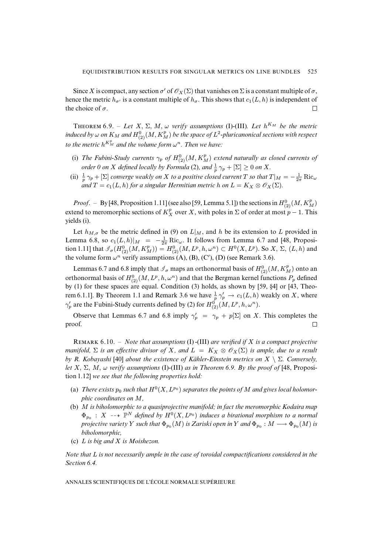Since X is compact, any section  $\sigma'$  of  $\mathcal{O}_X(\Sigma)$  that vanishes on  $\Sigma$  is a constant multiple of  $\sigma$ , hence the metric  $h_{\sigma}$  is a constant multiple of  $h_{\sigma}$ . This shows that  $c_1(L, h)$  is independent of the choice of  $\sigma$ .  $\Box$ 

**THEOREM** 6.9. – Let X,  $\Sigma$ , M,  $\omega$  *verify assumptions* (I)-(III). Let  $h^{K_M}$  be the metric induced by  $\omega$  on  $K_M$  and  $H^0_{(2)}(M,K_M^p)$  be the space of  $L^2$ -pluricanonical sections with respect to the metric  $h^{K_M^p}$  and the volume form  $\omega^n$ . Then we have:

- (i) The Fubini-Study currents  $\gamma_p$  of  $H_{(2)}^{0}(M,K_M^p)$  extend naturally as closed currents of *order 0 on X defined locally by Formula* [\(2\)](#page-4-0), and  $\frac{1}{p} \gamma_p + [\Sigma] \ge 0$  *on X*.
- (ii)  $\frac{1}{p} \gamma_p + [\Sigma]$  *converge weakly on X to a positive closed current* T *so that*  $T|_M = -\frac{1}{2\pi} \text{Ric}_{\omega}$ *and*  $T = c_1(L, h)$  *for a singular Hermitian metric h on*  $L = K_X \otimes \mathcal{O}_X(\Sigma)$ *.*

*Proof.* – By [\[48,](#page-40-13) Proposition 1.11] (see also [\[59,](#page-41-0) Lemma 5.1]) the sections in  $H_{(2)}^{0}(M, K_M^p)$ extend to meromorphic sections of  $K_X^p$  over X, with poles in  $\Sigma$  of order at most  $p-1$ . This yields (i).

Let  $h_{M,\sigma}$  be the metric defined in [\(9\)](#page-29-0) on  $L|_M$ , and h be its extension to L provided in Lemma [6.8,](#page-0-0) so  $c_1(L, h)|_M = -\frac{1}{2\pi} \text{Ric}_{\omega}$ . It follows from Lemma [6.7](#page-0-0) and [\[48,](#page-40-13) Proposition 1.11] that  $\mathcal{J}_{\sigma}(H^0_{(2)}(M, K^p_M)) = H^0_{(2)}(M, L^p, h, \omega^n) \subset H^0(X, L^p)$ . So  $X, \Sigma, (L, h)$  and the volume form  $\omega^n$  verify assumptions (A), (B), (C'), (D) (see Remark [3.6\)](#page-0-0).

Lemmas [6.7](#page-0-0) and [6.8](#page-0-0) imply that  $\mathcal{J}_{\sigma}$  maps an orthonormal basis of  $H_{(2)}^{0}(M, K_M^p)$  onto an orthonormal basis of  $H^0_{(2)}(M, L^p, h, \omega^n)$  and that the Bergman kernel functions  $P_p$  defined by [\(1\)](#page-4-2) for these spaces are equal. Condition [\(3\)](#page-4-1) holds, as shown by [\[59,](#page-41-0) §4] or [\[43,](#page-40-2) Theo-rem 6.[1.1](#page-0-0)]. By Theorem 1.1 and Remark [3.6](#page-0-0) we have  $\frac{1}{p} \gamma_p \to c_1(L, h)$  weakly on X, where  $\gamma_p'$  are the Fubini-Study currents defined by [\(2\)](#page-4-0) for  $H^0_{(2)}(M, L^p, h, \omega^n)$ .

Observe that Lemmas [6.7](#page-0-0) and [6.8](#page-0-0) imply  $\gamma'_p = \gamma_p + p[\Sigma]$  on X. This completes the proof.  $\Box$ 

R 6.10. – *Note that assumptions* (I) *-*(III) *are verified if* X *is a compact projective manifold,*  $\Sigma$  *is an effective divisor of* X, and  $L = K_X \otimes \mathcal{O}_X(\Sigma)$  *is ample, due to a result by R. Kobayashi* [\[40\]](#page-40-14) *about the existence of Kähler-Einstein metrics on* X \ Σ*. Conversely, let* X, Σ, M, ω *verify assumptions* (I)*-*(III) *as in Theorem [6.9.](#page-0-0) By the proof of* [\[48,](#page-40-13) Proposition 1.12] *we see that the following properties hold:*

- (a) There exists  $p_0$  such that  $H^0(X, L^{p_0})$  separates the points of  $M$  and gives local holomor*phic coordinates on* M*,*
- (b) M *is biholomorphic to a quasiprojective manifold; in fact the meromorphic Kodaira map*  $\Phi_{p_0}$  : X --+  $\mathbb{P}^N$  defined by  $H^0(X, L^{p_0})$  induces a birational morphism to a normal projective variety  $Y$  such that  $\Phi_{p_0}(M)$  is Zariski open in  $Y$  and  $\Phi_{p_0}:M\longrightarrow \Phi_{p_0}(M)$  is *biholomorphic,*
- (c) L *is big and* X *is Moishezon.*

*Note that* L *is not necessarily ample in the case of toroidal compactifications considered in the Section [6.4.](#page-31-0)*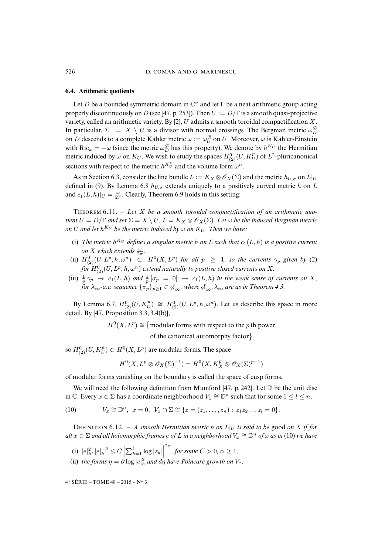#### <span id="page-31-0"></span>**6.4. Arithmetic quotients**

Let D be a bounded symmetric domain in  $\mathbb{C}^n$  and let  $\Gamma$  be a neat arithmetic group acting properly discontinuously on D (see [\[47,](#page-40-15) p. 253]). Then  $U := D/\Gamma$  is a smooth quasi-projective variety, called an arithmetic variety. By  $[2]$ , U admits a smooth toroidal compactification X. In particular,  $\Sigma := X \setminus U$  is a divisor with normal crossings. The Bergman metric  $\omega_D^{\mathcal{B}}$ on D descends to a complete Kähler metric  $\omega := \omega_U^{\mathcal{B}}$  on U. Moreover,  $\omega$  is Kähler-Einstein with  $\text{Ric}_{\omega} = -\omega$  (since the metric  $\omega_D^{\mathcal{B}}$  has this property). We denote by  $h^{K_U}$  the Hermitian metric induced by  $\omega$  on  $K_U$ . We wish to study the spaces  $H^0_{(2)}(U, K_U^p)$  of  $L^2$ -pluricanonical sections with respect to the metric  $h^{K_U^p}$  and the volume form  $\omega^n$ .

As in Section [6.3,](#page-28-0) consider the line bundle  $L := K_X \otimes \mathscr{O}_X(\Sigma)$  and the metric  $h_{U,\sigma}$  on  $L|_U$ defined in [\(9\)](#page-29-0). By Lemma [6.8](#page-0-0)  $h_{U,\sigma}$  extends uniquely to a positively curved metric h on L and  $c_1(L, h)|_U = \frac{\omega}{2\pi}$ . Clearly, Theorem [6.9](#page-0-0) holds in this setting:

THEOREM 6.11. - Let X be a smooth toroidal compactification of an arithmetic quo*tient*  $U = D/\Gamma$  *and set*  $\Sigma = X \setminus U$ ,  $L = K_X \otimes \mathscr{O}_X(\Sigma)$ *. Let*  $\omega$  *be the induced Bergman metric*  $\rho$  *on U and let*  $h^{K_U}$  *be the metric induced by*  $\omega$  *on*  $K_U$ *. Then we have:* 

- (i) The metric  $h^{K_U}$  defines a singular metric h on L such that  $c_1(L, h)$  is a positive current *on X* which extends  $\frac{\omega}{2\pi}$ .
- (ii)  $H^0_{(2)}(U, L^p, h, \omega^n)$  $H^0_{(2)}(U, L^p, h, \omega^n)$  $H^0_{(2)}(U, L^p, h, \omega^n)$   $\subset$   $H^0(X, L^p)$  *for all*  $p \geq 1$ *, so the currents*  $\gamma_p$  *given by* (2) for  $H^0_{(2)}(U,L^p,h,\omega^n)$  extend naturally to positive closed currents on  $X.$
- (iii)  $\frac{1}{p} \gamma_p \rightarrow c_1(L, h)$  and  $\frac{1}{p} [\sigma_p = 0] \rightarrow c_1(L, h)$  in the weak sense of currents on X, *for*  $\lambda_{\infty}$ -a.e. sequence  $\{\sigma_p\}_{p>1} \in \mathcal{S}_{\infty}$ , where  $\mathcal{S}_{\infty}, \lambda_{\infty}$  are as in Theorem [4.3.](#page-0-0)

By Lemma [6.7,](#page-0-0)  $H^0_{(2)}(U, K_U^p) \cong H^0_{(2)}(U, L^p, h, \omega^n)$ . Let us describe this space in more detail. By [\[47,](#page-40-15) Proposition 3.3, 3.4(b)],

 $H^0(X, L^p) \cong \{$  modular forms with respect to the p th power

of the canonical automorphy factor $\},$ 

so  $H_{(2)}^{0}(U, K_{U}^{p}) \subset H^{0}(X, L^{p})$  are modular forms. The space

$$
H^0(X, L^p \otimes \mathscr{O}_X(\Sigma)^{-1}) = H^0(X, K_X^p \otimes \mathscr{O}_X(\Sigma)^{p-1})
$$

of modular forms vanishing on the boundary is called the space of cusp forms.

We will need the following definition from Mumford [\[47,](#page-40-15) p. 242]. Let  $\mathbb D$  be the unit disc in  $\mathbb C$ . Every  $x \in \Sigma$  has a coordinate neighborhood  $V_x \cong \mathbb D^n$  such that for some  $1 \leq l \leq n$ ,

<span id="page-31-1"></span> $(10)$  $\cong \mathbb{D}^n$ ,  $x = 0$ ,  $V_x \cap \Sigma \cong \{z = (z_1, \ldots, z_n) : z_1 z_2 \ldots z_l = 0\}.$ 

DEFINITION 6.12. – *A smooth Hermitian metric h* on  $L|_U$  *is said to be good on X if for*  $all\ x\in\Sigma$  *and all holomorphic frames*  $e$  *of*  $L$  *in a neighborhood*  $V_x\cong\mathbb{D}^n$  *of*  $x$  *as in* [\(10\)](#page-31-1) we have

- (i)  $|e|_h^2, |e|_h^{-2} \le C \left| \sum_{k=1}^l \log |z_k| \right|$  $2\alpha$ , for some  $C > 0$ ,  $\alpha \geq 1$ ,
- (ii) *the forms*  $\eta = \partial \log |e|_h^2$  *and dn have Poincaré growth on*  $V_x$ *.*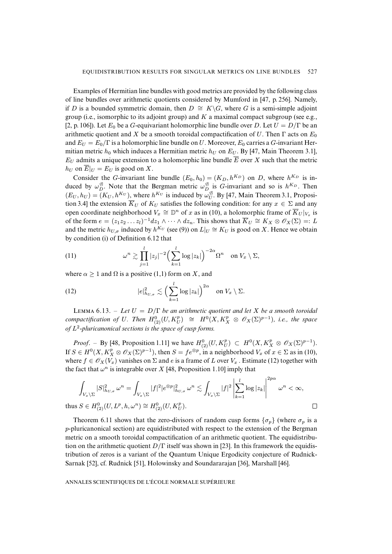Examples of Hermitian line bundles with good metrics are provided by the following class of line bundles over arithmetic quotients considered by Mumford in [\[47,](#page-40-15) p. 256]. Namely, if D is a bounded symmetric domain, then  $D \cong K\backslash G$ , where G is a semi-simple adjoint group (i.e., isomorphic to its adjoint group) and  $K$  a maximal compact subgroup (see e.g., [\[2,](#page-38-13) p. 106]). Let  $E_0$  be a G-equivariant holomorphic line bundle over D. Let  $U = D/\Gamma$  be an arithmetic quotient and X be a smooth toroidal compactification of U. Then  $\Gamma$  acts on  $E_0$ and  $E_U = E_0/\Gamma$  is a holomorphic line bundle on U. Moreover,  $E_0$  carries a G-invariant Hermitian metric  $h_0$  which induces a Hermitian metric  $h_U$  on  $E_U$ . By [\[47,](#page-40-15) Main Theorem 3.1],  $E_U$  admits a unique extension to a holomorphic line bundle  $\overline{E}$  over X such that the metric  $h_U$  on  $\overline{E}|_U = E_U$  is good on X.

Consider the G-invariant line bundle  $(E_0, h_0) = (K_D, h^{K_D})$  on D, where  $h^{K_D}$  is induced by  $\omega_D^{\mathcal{B}}$ . Note that the Bergman metric  $\omega_D^{\mathcal{B}}$  is *G*-invariant and so is  $h^{K_D}$ . Then  $(E_U, h_U) = (K_U, h^{K_U})$ , where  $h^{K_U}$  is induced by  $\omega_U^{\mathcal{B}}$ . By [\[47,](#page-40-15) Main Theorem 3.1, Proposition 3.4] the extension  $\overline{K}_U$  of  $K_U$  satisfies the following condition: for any  $x \in \Sigma$  and any open coordinate neighborhood  $V_x \cong \mathbb{D}^n$  of x as in [\(10\)](#page-31-1), a holomorphic frame of  $\overline{K}_U|_{V_x}$  is of the form  $e = (z_1 z_2 ... z_l)^{-1} dz_1 \wedge \cdots \wedge dz_n$ . This shows that  $\overline{K}_U \cong K_X \otimes \mathscr{O}_X(\Sigma) =: L$ and the metric  $h_{U,\sigma}$  induced by  $h^{K_U}$  (see [\(9\)](#page-29-0)) on  $L|_U \cong K_U$  is good on X. Hence we obtain by condition (i) of Definition [6.12](#page-0-0) that

<span id="page-32-1"></span>(11) 
$$
\omega^{n} \gtrsim \prod_{j=1}^{l} |z_{j}|^{-2} \Big(\sum_{k=1}^{l} \log |z_{k}|\Big)^{-2\alpha} \Omega^{n} \text{ on } V_{x} \setminus \Sigma,
$$

where  $\alpha \geq 1$  and  $\Omega$  is a positive (1,1) form on X, and

thus

<span id="page-32-0"></span>(12) 
$$
|e|^2_{h_{U,\sigma}} \lesssim \Big(\sum_{k=1}^l \log |z_k|\Big)^{2\alpha} \quad \text{on } V_x \setminus \Sigma.
$$

LEMMA 6.13. – Let  $U = D/\Gamma$  be an arithmetic quotient and let X be a smooth toroidal *compactification of* U. Then  $H_{(2)}^0(U, K_U^p) \cong H^0(X, K_X^p \otimes \mathscr{O}_X(\Sigma)^{p-1})$ , i.e., the space *of* L 2 *-pluricanonical sections is the space of cusp forms.*

*Proof.* – By [\[48,](#page-40-13) Proposition 1.11] we have  $H_{(2)}^0(U, K_U^p) \subset H^0(X, K_X^p \otimes \mathscr{O}_X(\Sigma)^{p-1})$ . If  $S \in H^0(X, K_X^p \otimes \mathscr{O}_X(\Sigma)^{p-1})$ , then  $S = fe^{\otimes p}$ , in a neighborhood  $V_x$  of  $x \in \Sigma$  as in [\(10\)](#page-31-1), where  $f \in \mathcal{O}_X(V_x)$  vanishes on  $\Sigma$  and e is a frame of L over  $V_x$ . Estimate [\(12\)](#page-32-0) together with the fact that  $\omega^n$  is integrable over X [\[48,](#page-40-13) Proposition 1.10] imply that

$$
\int_{V_x \backslash \Sigma} |S|^2_{h_{U,\sigma}} \omega^n = \int_{V_x \backslash \Sigma} |f|^2 |e^{\otimes p}|^2_{h_{U,\sigma}} \omega^n \lesssim \int_{V_x \backslash \Sigma} |f|^2 \left| \sum_{k=1}^l \log |z_k| \right|^{2p\alpha} \omega^n < \infty,
$$
  

$$
S \in H^0_{(2)}(U, L^p, h, \omega^n) \cong H^0_{(2)}(U, K_U^p).
$$

 $\Box$ 

Theorem [6.11](#page-0-0) shows that the zero-divisors of random cusp forms  $\{\sigma_p\}$  (where  $\sigma_p$  is a p-pluricanonical section) are equidistributed with respect to the extension of the Bergman metric on a smooth toroidal compactification of an arithmetic quotient. The equidistribution on the arithmetic quotient  $D/\Gamma$  itself was shown in [\[23\]](#page-39-5). In this framework the equidistribution of zeros is a variant of the Quantum Unique Ergodicity conjecture of Rudnick-Sarnak [\[52\]](#page-40-16), cf. Rudnick [\[51\]](#page-40-17), Holowinsky and Soundararajan [\[36\]](#page-40-18), Marshall [\[46\]](#page-40-19).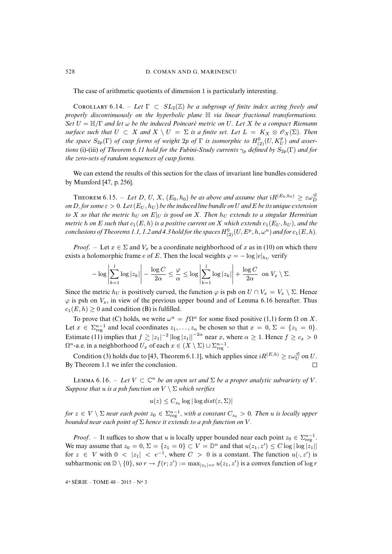The case of arithmetic quotients of dimension 1 is particularly interesting.

COROLLARY 6.14. – Let  $\Gamma \subset SL_2(\mathbb{Z})$  be a subgroup of finite index acting freely and *properly discontinuously on the hyperbolic plane* H *via linear fractional transformations. Set* U = H/Γ *and let* ω *be the induced Poincaré metric on* U*. Let* X *be a compact Riemann surface such that*  $U \subset X$  *and*  $X \setminus U = \Sigma$  *is a finite set. Let*  $L = K_X \otimes \mathscr{O}_X(\Sigma)$ *. Then the space*  $S_{2p}(\Gamma)$  *of cusp forms of weight*  $2p$  *of*  $\Gamma$  *is isomorphic to*  $H_{(2)}^{0}(U, K_{U}^{p})$  *and assertions* (i)-(iii) *of Theorem [6.11](#page-0-0) hold for the Fubini-Study currents*  $\gamma_p$  *defined by*  $S_{2p}(\Gamma)$  *and for the zero-sets of random sequences of cusp forms.*

We can extend the results of this section for the class of invariant line bundles considered by Mumford [\[47,](#page-40-15) p. 256].

THEOREM 6.15. – Let D, U, X,  $(E_0, h_0)$  be as above and assume that  $iR^{(E_0, h_0)} \geq \varepsilon \omega_D^{\mathcal{B}}$ *on* D, for some  $\varepsilon > 0$ . Let  $(E_U, h_U)$  be the induced line bundle on U and E be its unique extension *to* X so that the metric  $h_U$  on  $E|_U$  is good on X. Then  $h_U$  extends to a singular Hermitian *metric* h on E such that  $c_1(E, h)$  is a positive current on X which extends  $c_1(E_U, h_U)$ , and the  $conclusions of Theorems 1.1, 1.2 and 4.3 hold for the spaces  $H^0_{(2)}(U,E^p,h,\omega^n)$  and for  $c_1(E,h).$$  $conclusions of Theorems 1.1, 1.2 and 4.3 hold for the spaces  $H^0_{(2)}(U,E^p,h,\omega^n)$  and for  $c_1(E,h).$$  $conclusions of Theorems 1.1, 1.2 and 4.3 hold for the spaces  $H^0_{(2)}(U,E^p,h,\omega^n)$  and for  $c_1(E,h).$$  $conclusions of Theorems 1.1, 1.2 and 4.3 hold for the spaces  $H^0_{(2)}(U,E^p,h,\omega^n)$  and for  $c_1(E,h).$$  $conclusions of Theorems 1.1, 1.2 and 4.3 hold for the spaces  $H^0_{(2)}(U,E^p,h,\omega^n)$  and for  $c_1(E,h).$$  $conclusions of Theorems 1.1, 1.2 and 4.3 hold for the spaces  $H^0_{(2)}(U,E^p,h,\omega^n)$  and for  $c_1(E,h).$$  $conclusions of Theorems 1.1, 1.2 and 4.3 hold for the spaces  $H^0_{(2)}(U,E^p,h,\omega^n)$  and for  $c_1(E,h).$$ 

*Proof.* – Let  $x \in \Sigma$  and  $V_x$  be a coordinate neighborhood of x as in [\(10\)](#page-31-1) on which there exists a holomorphic frame  $e$  of  $E.$  Then the local weights  $\varphi = -\log|e|_{h_U}$  verify

$$
-\log \left|\sum_{k=1}^l \log |z_k|\right| - \frac{\log C}{2\alpha} \leq \frac{\varphi}{\alpha} \leq \log \left|\sum_{k=1}^l \log |z_k|\right| + \frac{\log C}{2\alpha} \text{ on } V_x \setminus \Sigma.
$$

Since the metric  $h_U$  is positively curved, the function  $\varphi$  is psh on  $U \cap V_x = V_x \setminus \Sigma$ . Hence  $\varphi$  is psh on  $V_x$ , in view of the previous upper bound and of Lemma [6.16](#page-0-0) hereafter. Thus  $c_1(E, h) \geq 0$  and condition (B) is fulfilled.

To prove that (C) holds, we write  $\omega^n = f\Omega^n$  for some fixed positive (1,1) form  $\Omega$  on X. Let  $x \in \sum_{reg}^{n-1}$  and local coordinates  $z_1, \ldots, z_n$  be chosen so that  $x = 0, \Sigma = \{z_1 = 0\}.$ Estimate [\(11\)](#page-32-1) implies that  $f \gtrsim |z_1|^{-2} |\log |z_1||^{-2\alpha}$  near x, where  $\alpha \geq 1$ . Hence  $f \geq c_x > 0$  $\Omega^n$ -a.e. in a neighborhood  $U_x$  of each  $x \in (X \setminus \Sigma) \cup \Sigma^{n-1}_{\text{reg}}$ .

Condition [\(3\)](#page-4-1) holds due to [\[43,](#page-40-2) Theorem 6.1.1], which applies since  $iR^{(E,h)} \geq \varepsilon \omega_U^{\mathcal{B}}$  on U. By Theorem [1.1](#page-0-0) we infer the conclusion.  $\Box$ 

LEMMA 6.16. – Let  $V \subset \mathbb{C}^n$  *be an open set and*  $\Sigma$  *be a proper analytic subvariety of* V. *Suppose that* u *is a psh function on* V \ Σ *which verifies*

 $u(z) \leq C_{z_0} \log |\log dist(z, \Sigma)|$ 

*for*  $z \in V \setminus \Sigma$  *near each point*  $z_0 \in \Sigma_{\mathrm{reg}}^{n-1}$ , with a constant  $C_{z_0} > 0$ . Then u is locally upper *bounded near each point of* Σ *hence it extends to a psh function on* V *.*

*Proof.* – It suffices to show that u is locally upper bounded near each point  $z_0 \in \sum_{reg}^{n-1}$ . We may assume that  $z_0 = 0$ ,  $\Sigma = \{z_1 = 0\} \subset V = \mathbb{D}^n$  and that  $u(z_1, z') \leq C \log |\log |z_1||$ for  $z \in V$  with  $0 < |z_1| < e^{-1}$ , where  $C > 0$  is a constant. The function  $u(\cdot, z')$  is subharmonic on  $\mathbb{D}\setminus\{0\}$ , so  $r \to f(r;z') := \max_{|z_1|=r} u(z_1,z')$  is a convex function of log r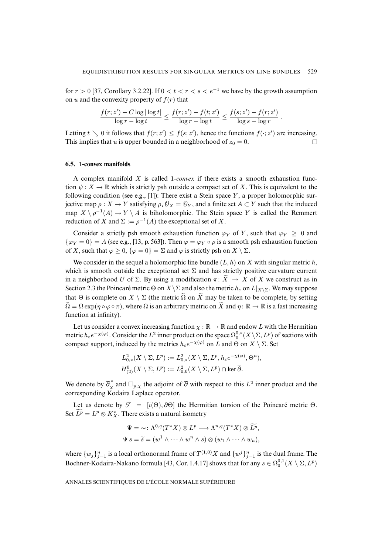for  $r > 0$  [\[37,](#page-40-9) Corollary 3.2.22]. If  $0 < t < r < s < e^{-1}$  we have by the growth assumption on u and the convexity property of  $f(r)$  that

$$
\frac{f(r;z') - C \log |\log t|}{\log r - \log t} \le \frac{f(r;z') - f(t;z')}{\log r - \log t} \le \frac{f(s;z') - f(r;z')}{\log s - \log r}.
$$

Letting  $t \searrow 0$  it follows that  $f(r; z') \leq f(s; z')$ , hence the functions  $f(\cdot; z')$  are increasing. This implies that u is upper bounded in a neighborhood of  $z_0 = 0$ .  $\Box$ 

#### <span id="page-34-0"></span>**6.5.** 1**-convex manifolds**

A complex manifold X is called 1*-convex* if there exists a smooth exhaustion function  $\psi: X \to \mathbb{R}$  which is strictly psh outside a compact set of X. This is equivalent to the following condition (see e.g., [\[1\]](#page-38-14)): There exist a Stein space Y, a proper holomorphic surjective map  $\rho: X \to Y$  satisfying  $\rho_* \mathcal{O}_X = \mathcal{O}_Y$ , and a finite set  $A \subset Y$  such that the induced map  $X \setminus \rho^{-1}(A) \to Y \setminus A$  is biholomorphic. The Stein space Y is called the Remmert reduction of X and  $\Sigma := \rho^{-1}(A)$  the exceptional set of X.

Consider a strictly psh smooth exhaustion function  $\varphi_Y$  of Y, such that  $\varphi_Y \geq 0$  and  $\{\varphi_Y = 0\} = A$  (see e.g., [\[13,](#page-38-15) p. 563]). Then  $\varphi = \varphi_Y \circ \rho$  is a smooth psh exhaustion function of X, such that  $\varphi \ge 0$ ,  $\{\varphi = 0\} = \Sigma$  and  $\varphi$  is strictly psh on  $X \setminus \Sigma$ .

We consider in the sequel a holomorphic line bundle  $(L, h)$  on X with singular metric h, which is smooth outside the exceptional set  $\Sigma$  and has strictly positive curvature current in a neighborhood U of  $\Sigma$ . By using a modification  $\pi: \widetilde{X} \to X$  of X we construct as in Section [2.3](#page-7-1) the Poincaré metric  $\Theta$  on  $X \setminus \Sigma$  and also the metric  $h_{\varepsilon}$  on  $L|_{X \setminus \Sigma}$ . We may suppose that  $\Theta$  is complete on  $X \setminus \Sigma$  (the metric  $\widetilde{\Omega}$  on  $\widetilde{X}$  may be taken to be complete, by setting  $\Omega = \Omega \exp(\eta \circ \varphi \circ \pi)$ , where  $\Omega$  is an arbitrary metric on X and  $\eta : \mathbb{R} \to \mathbb{R}$  is a fast increasing function at infinity).

Let us consider a convex increasing function  $\chi : \mathbb{R} \to \mathbb{R}$  and endow L with the Hermitian metric  $h_\varepsilon e^{-\chi(\varphi)}$ . Consider the  $L^2$  inner product on the space  $\Omega_0^{0,*}(X\setminus\Sigma,L^p)$  of sections with compact support, induced by the metrics  $h_{\varepsilon}e^{-\chi(\varphi)}$  on  $L$  and  $\Theta$  on  $X \setminus \Sigma$ . Set

$$
L^2_{0,*}(X \setminus \Sigma, L^p) := L^2_{0,*}(X \setminus \Sigma, L^p, h_{\varepsilon}e^{-\chi(\varphi)}, \Theta^n),
$$
  

$$
H^0_{(2)}(X \setminus \Sigma, L^p) := L^2_{0,0}(X \setminus \Sigma, L^p) \cap \ker \overline{\partial}.
$$

We denote by  $\overline{\partial}_x^*$  and  $\Box_{p,\chi}$  the adjoint of  $\overline{\partial}$  with respect to this  $L^2$  inner product and the corresponding Kodaira Laplace operator.

Let us denote by  $\mathcal{T} = [i(\Theta), \partial \Theta]$  the Hermitian torsion of the Poincaré metric  $\Theta$ . Set  $\overline{L^p} = L^p \otimes K_X^*$ . There exists a natural isometry

$$
\Psi = \sim: \Lambda^{0,q}(T^*X) \otimes L^p \longrightarrow \Lambda^{n,q}(T^*X) \otimes \widetilde{L^p},
$$
  

$$
\Psi s = \widetilde{s} = (w^1 \wedge \cdots \wedge w^n \wedge s) \otimes (w_1 \wedge \cdots \wedge w_n),
$$

where  $\{w_j\}_{j=1}^n$  is a local orthonormal frame of  $T^{(1,0)}X$  and  $\{w^j\}_{j=1}^n$  is the dual frame. The Bochner-Kodaira-Nakano formula [\[43,](#page-40-2) Cor. 1.4.17] shows that for any  $s \in \Omega_0^{0,1}(X \setminus \Sigma, L^p)$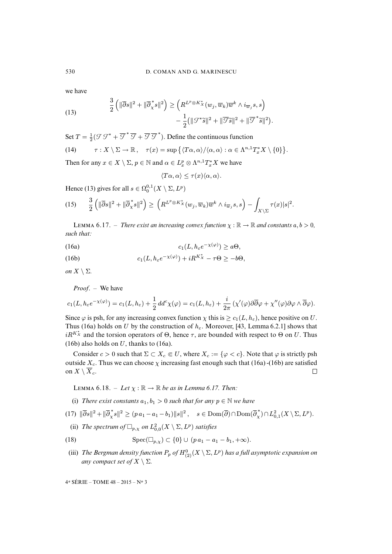we have

<span id="page-35-0"></span>(13) 
$$
\frac{3}{2} \left( \|\overline{\partial}s\|^2 + \|\overline{\partial}_{x}^{*} s\|^2 \right) \geq \left( R^{L^p \otimes K_x^*}(w_j, \overline{w}_k) \overline{w}^k \wedge i_{\overline{w}_j} s, s \right) - \frac{1}{2} (\|\mathcal{J}^*\tilde{s}\|^2 + \|\overline{\mathcal{J}}\tilde{s}\|^2 + \|\overline{\mathcal{J}}^*\tilde{s}\|^2).
$$

Set  $T = \frac{1}{2}(\mathcal{F}\mathcal{F}^* + \overline{\mathcal{F}}^*\overline{\mathcal{F}} + \overline{\mathcal{F}}\overline{\mathcal{F}}^*)$ . Define the continuous function

<span id="page-35-5"></span>(14) 
$$
\tau: X \setminus \Sigma \to \mathbb{R}, \quad \tau(x) = \sup \{ \langle T\alpha, \alpha \rangle / \langle \alpha, \alpha \rangle : \alpha \in \Lambda^{n,1} T_x^* X \setminus \{0\} \}.
$$

Then for any  $x \in X \setminus \Sigma$ ,  $p \in \mathbb{N}$  and  $\alpha \in L_x^p \otimes \Lambda^{n,1} T_x^* X$  we have

$$
\langle T\alpha, \alpha \rangle \le \tau(x) \langle \alpha, \alpha \rangle.
$$

Hence [\(13\)](#page-35-0) gives for all  $s \in \Omega_0^{0,1}(X \setminus \Sigma, L^p)$ 

<span id="page-35-4"></span>
$$
(15) \qquad \frac{3}{2}\left(\|\overline{\partial}s\|^2+\|\overline{\partial}^*_Xs\|^2\right)\geq \left(R^{L^p\otimes K_X^*}(w_j,\overline{w}_k)\overline{w}^k\wedge i_{\overline{w}_j}s,s\right)-\int_{X\setminus\Sigma}\tau(x)|s|^2.
$$

**LEMMA 6.17.** – *There exist an increasing convex function*  $\chi : \mathbb{R} \to \mathbb{R}$  *and constants*  $a, b > 0$ *, such that:*

<span id="page-35-1"></span>(16a) 
$$
c_1(L, h_\varepsilon e^{-\chi(\varphi)}) \geq a\Theta,
$$

<span id="page-35-2"></span>(16b) 
$$
c_1(L, h_\varepsilon e^{-\chi(\varphi)}) + iR^{K_X^*} - \tau \Theta \ge -b\Theta,
$$

*on*  $X \setminus \Sigma$ *.* 

*Proof*. – We have

$$
c_1(L, h_\varepsilon e^{-\chi(\varphi)}) = c_1(L, h_\varepsilon) + \frac{1}{2} dd^c \chi(\varphi) = c_1(L, h_\varepsilon) + \frac{i}{2\pi} \left( \chi'(\varphi) \partial \overline{\partial} \varphi + \chi''(\varphi) \partial \varphi \wedge \overline{\partial} \varphi \right).
$$

Since  $\varphi$  is psh, for any increasing convex function  $\chi$  this is  $\geq c_1(L, h_{\varepsilon})$ , hence positive on U. Thus [\(16a\)](#page-35-1) holds on U by the construction of  $h_{\varepsilon}$ . Moreover, [\[43,](#page-40-2) Lemma 6.2.1] shows that  $iR^{K_X^*}$  and the torsion operators of  $\Theta$ , hence  $\tau$ , are bounded with respect to  $\Theta$  on U. Thus [\(16b\)](#page-35-2) also holds on  $U$ , thanks to [\(16a\)](#page-35-1).

Consider  $c > 0$  such that  $\Sigma \subset X_c \Subset U$ , where  $X_c := \{\varphi < c\}$ . Note that  $\varphi$  is strictly psh outside  $X_c$ . Thus we can choose  $\chi$  increasing fast enough such that [\(16a\)](#page-35-1) -[\(16b\)](#page-35-2) are satisfied on  $X \setminus \overline{X}_c$ .  $\Box$ 

**LEMMA 6.18.** – *Let*  $\chi : \mathbb{R} \to \mathbb{R}$  *be as in Lemma [6.17.](#page-0-0) Then:* 

<span id="page-35-3"></span>(i) *There exist constants*  $a_1, b_1 > 0$  *such that for any*  $p \in \mathbb{N}$  *we have* 

 $(17)\ \|\overline{\partial}s\|^2 + \|\overline{\partial}_{\chi}^*s\|^2 \ge (p\ a_1 - a_1 - b_1)\|s\|^2\,,\quad s\in \text{Dom}(\overline{\partial})\cap \text{Dom}(\overline{\partial}_{\chi}^*)\cap L^2_{0,1}(X\setminus\Sigma, L^p).$ 

<span id="page-35-6"></span>(ii) The spectrum of  $\Box_{p,\chi}$  on  $L^2_{0,0}(X \setminus \Sigma, L^p)$  satisfies

(18) 
$$
\text{Spec}(\Box_{p,\chi}) \subset \{0\} \cup (p \, a_1 - a_1 - b_1, +\infty).
$$

(iii) The Bergman density function  $P_p$  of  $H^0_{(2)}(X\setminus\Sigma,L^p)$  has a full asymptotic expansion on *any compact set of*  $X \setminus \Sigma$ *.*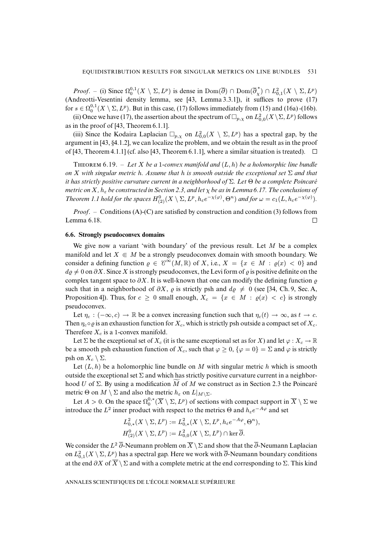*Proof.* – (i) Since  $\Omega_0^{0,1}(X \setminus \Sigma, L^p)$  is dense in  $Dom(\overline{\partial}) \cap Dom(\overline{\partial}_\chi^*) \cap L^2_{0,1}(X \setminus \Sigma, L^p)$ (Andreotti-Vesentini density lemma, see [\[43,](#page-40-2) Lemma 3.3.1]), it suffices to prove [\(17\)](#page-35-3) for  $s \in \Omega_0^{0,1}(X \setminus \Sigma, L^p)$ . But in this case, [\(17\)](#page-35-3) follows immediately from [\(15\)](#page-35-4) and [\(16a\)](#page-35-1)-[\(16b\)](#page-35-2).

(ii) Once we have [\(17\)](#page-35-3), the assertion about the spectrum of  $\Box_{p,\chi}$  on  $L^2_{0,0}(X\setminus\Sigma,L^p)$  follows as in the proof of [\[43,](#page-40-2) Theorem 6.1.1].

(iii) Since the Kodaira Laplacian  $\Box_{p,\chi}$  on  $L^2_{0,0}(X \setminus \Sigma, L^p)$  has a spectral gap, by the argument in [\[43,](#page-40-2) §4.1.2], we can localize the problem, and we obtain the result as in the proof of [\[43,](#page-40-2) Theorem 4.1.1] (cf. also [\[43,](#page-40-2) Theorem 6.1.1], where a similar situation is treated).  $\Box$ 

**THEOREM** 6.19. – Let X be a 1-convex manifold and  $(L, h)$  be a holomorphic line bundle *on* X *with singular metric* h*. Assume that* h *is smooth outside the exceptional set* Σ *and that it has strictly positive curvature current in a neighborhood of* Σ*. Let* Θ *be a complete Poincaré metric on*  $X$ *,*  $h_{\varepsilon}$  *be constructed in Section* 2.3*,* and let  $\chi$  *be as in Lemma* [6.17.](#page-0-0) *The conclusions of Theorem [1.1](#page-0-0) hold for the spaces*  $H^0_{(2)}(X \setminus \Sigma, L^p, h_\varepsilon e^{-\chi(\varphi)}, \Theta^n)$  *and for*  $\omega = c_1(L, h_\varepsilon e^{-\chi(\varphi)})$ .

*Proof*. – Conditions (A)-(C) are satisfied by construction and condition [\(3\)](#page-4-1) follows from Lemma [6.18.](#page-0-0)  $\Box$ 

#### <span id="page-36-0"></span>**6.6. Strongly pseudoconvex domains**

We give now a variant 'with boundary' of the previous result. Let  $M$  be a complex manifold and let  $X \in M$  be a strongly pseudoconvex domain with smooth boundary. We consider a defining function  $\varrho \in \mathcal{C}^{\infty}(M,\mathbb{R})$  of X, i.e.,  $X = \{x \in M : \varrho(x) < 0\}$  and  $d\rho \neq 0$  on  $\partial X$ . Since X is strongly pseudoconvex, the Levi form of  $\rho$  is positive definite on the complex tangent space to  $\partial X$ . It is well-known that one can modify the defining function  $\varrho$ such that in a neighborhood of  $\partial X$ ,  $\varrho$  is strictly psh and  $d\varrho \neq 0$  (see [\[34,](#page-39-17) Ch. 9, Sec. A, Proposition 4]). Thus, for  $c \ge 0$  small enough,  $X_c = \{x \in M : \varrho(x) < c\}$  is strongly pseudoconvex.

Let  $\eta_c : (-\infty, c) \to \mathbb{R}$  be a convex increasing function such that  $\eta_c(t) \to \infty$ , as  $t \to c$ . Then  $\eta_c \circ \varrho$  is an exhaustion function for  $X_c$ , which is strictly psh outside a compact set of  $X_c$ . Therefore  $X_c$  is a 1-convex manifold.

Let  $\Sigma$  be the exceptional set of  $X_c$  (it is the same exceptional set as for X) and let  $\varphi : X_c \to \mathbb{R}$ be a smooth psh exhaustion function of  $X_c$ , such that  $\varphi \geq 0$ ,  $\{\varphi = 0\} = \Sigma$  and  $\varphi$  is strictly psh on  $X_c \setminus \Sigma$ .

Let  $(L, h)$  be a holomorphic line bundle on M with singular metric h which is smooth outside the exceptional set  $\Sigma$  and which has strictly positive curvature current in a neighborhood U of  $\Sigma$ . By using a modification  $\widetilde{M}$  of M we construct as in Section [2.3](#page-7-1) the Poincaré metric  $\Theta$  on  $M \setminus \Sigma$  and also the metric  $h_{\varepsilon}$  on  $L|_{M \setminus \Sigma}$ .

Let  $A > 0$ . On the space  $\Omega_0^{0,*}(\overline{X} \setminus \Sigma, L^p)$  of sections with compact support in  $\overline{X} \setminus \Sigma$  we introduce the  $L^2$  inner product with respect to the metrics  $\Theta$  and  $h_{\varepsilon}e^{-A\varphi}$  and set

$$
L^2_{0,*}(X \setminus \Sigma, L^p) := L^2_{0,*}(X \setminus \Sigma, L^p, h_\varepsilon e^{-A\varphi}, \Theta^n),
$$
  

$$
H^0_{(2)}(X \setminus \Sigma, L^p) := L^2_{0,0}(X \setminus \Sigma, L^p) \cap \ker \overline{\partial}.
$$

We consider the  $L^2 \overline{\partial}$ -Neumann problem on  $\overline{X} \setminus \Sigma$  and show that the  $\overline{\partial}$ -Neumann Laplacian on  $L^2_{0,1}(X \setminus \Sigma, L^p)$  has a spectral gap. Here we work with  $\overline{\partial}$ -Neumann boundary conditions at the end  $\partial X$  of  $\overline{X} \setminus \Sigma$  and with a complete metric at the end corresponding to  $\Sigma$ . This kind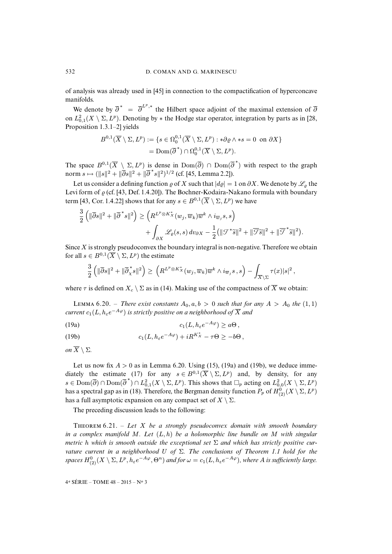of analysis was already used in [\[45\]](#page-40-20) in connection to the compactification of hyperconcave manifolds.

We denote by  $\overline{\partial}^* = \overline{\partial}^{L^p,*}$  the Hilbert space adjoint of the maximal extension of  $\overline{\partial}$ on  $L^2_{0,1}(X \setminus \Sigma, L^p)$ . Denoting by  $*$  the Hodge star operator, integration by parts as in [\[28,](#page-39-18) Proposition 1.3.1–2] yields

$$
B^{0,1}(\overline{X}\setminus\Sigma,L^p) := \{s \in \Omega_0^{0,1}(\overline{X}\setminus\Sigma,L^p) : * \partial \varrho \wedge *s = 0 \text{ on } \partial X\}
$$

$$
= \text{Dom}(\overline{\partial}^*) \cap \Omega_0^{0,1}(\overline{X}\setminus\Sigma,L^p).
$$

The space  $B^{0,1}(\overline{X} \setminus \Sigma, L^p)$  is dense in  $Dom(\overline{\partial})$   $\cap$   $Dom(\overline{\partial}^*)$  with respect to the graph norm  $s \mapsto (\|s\|^2 + \|\bar{\partial}s\|^2 + \|\bar{\partial}^*s\|^2)^{1/2}$  (cf. [\[45,](#page-40-20) Lemma 2.2]).

Let us consider a defining function  $\varrho$  of X such that  $|d\varrho| = 1$  on  $\partial X$ . We denote by  $\mathscr{L}_{\varrho}$  the Levi form of  $\rho$  (cf. [\[43,](#page-40-2) Def. 1.4.20]). The Bochner-Kodaira-Nakano formula with boundary term [\[43,](#page-40-2) Cor. 1.4.22] shows that for any  $s \in B^{0,1}(\overline{X} \setminus \Sigma, L^p)$  we have

$$
\frac{3}{2} \left( \|\overline{\partial}s\|^2 + \|\overline{\partial}^*s\|^2 \right) \ge \left( R^{L^p \otimes K_X^*}(w_j, \overline{w}_k) \overline{w}^k \wedge i_{\overline{w}_j} s, s \right) \n+ \int_{\partial X} \mathscr{L}_{\varrho}(s, s) dv_{\partial X} - \frac{1}{2} (\|\mathcal{J}^*\tilde{s}\|^2 + \|\overline{\mathcal{J}}\tilde{s}\|^2 + \|\overline{\mathcal{J}}^*\tilde{s}\|^2).
$$

Since  $X$  is strongly pseudoconvex the boundary integral is non-negative. Therefore we obtain for all  $s \in B^{0,1}(\overline{X} \setminus \Sigma, L^p)$  the estimate

$$
\frac{3}{2}\left(\|\overline{\partial}s\|^2+\|\overline{\partial}_x^*s\|^2\right)\geq \left(R^{L^p\otimes K_X^*}(w_j,\overline{w}_k)\overline{w}^k\wedge i_{\overline{w}_j}s\,,s\right)-\int_{\overline{X}\setminus\Sigma}\tau(x)|s|^2\,,
$$

where  $\tau$  is defined on  $X_c \setminus \Sigma$  as in [\(14\)](#page-35-5). Making use of the compactness of  $\overline{X}$  we obtain:

LEMMA 6.20. – *There exist constants*  $A_0$ ,  $a, b > 0$  *such that for any*  $A > A_0$  *the* (1, 1)  $\iota$ current  $c_1(L, h_\varepsilon e^{-A\varphi})$  is strictly positive on a neighborhood of  $\overline{X}$  and

<span id="page-37-0"></span>(19a) 
$$
c_1(L, h_\varepsilon e^{-A\varphi}) \geq a\Theta,
$$

<span id="page-37-1"></span>(19b) 
$$
c_1(L, h_\varepsilon e^{-A\varphi}) + iR^{K_X^*} - \tau \Theta \geq -b\Theta,
$$

*on*  $\overline{X} \setminus \Sigma$ *.* 

Let us now fix  $A > 0$  as in Lemma [6.20.](#page-0-0) Using [\(15\)](#page-35-4), [\(19a\)](#page-37-0) and [\(19b\)](#page-37-1), we deduce imme-diately the estimate [\(17\)](#page-35-3) for any  $s \in B^{0,1}(\overline{X} \setminus \Sigma, L^p)$  and, by density, for any  $s \in \text{Dom}(\overline{\partial}) \cap \text{Dom}(\overline{\partial}^*) \cap L^2_{0,1}(X \setminus \Sigma, L^p)$ . This shows that  $\square_p$  acting on  $L^2_{0,0}(X \setminus \Sigma, L^p)$ has a spectral gap as in [\(18\)](#page-35-6). Therefore, the Bergman density function  $P_p$  of  $H^0_{(2)}(X \setminus \Sigma, L^p)$ has a full asymptotic expansion on any compact set of  $X \setminus \Sigma$ .

The preceding discussion leads to the following:

T 6.21. – *Let* X *be a strongly pseudoconvex domain with smooth boundary in a complex manifold* M*. Let* (L, h) *be a holomorphic line bundle on* M *with singular metric* h which is smooth outside the exceptional set  $\Sigma$  and which has strictly positive cur*vature current in a neighborhood* U *of* Σ*. The conclusions of Theorem [1.1](#page-0-0) hold for the*  $spaces H^0_{(2)}(X \setminus \Sigma, L^p, h_\varepsilon e^{-A\varphi}, \Theta^n)$  and for  $\omega = c_1(L, h_\varepsilon e^{-A\varphi})$ , where A is sufficiently large.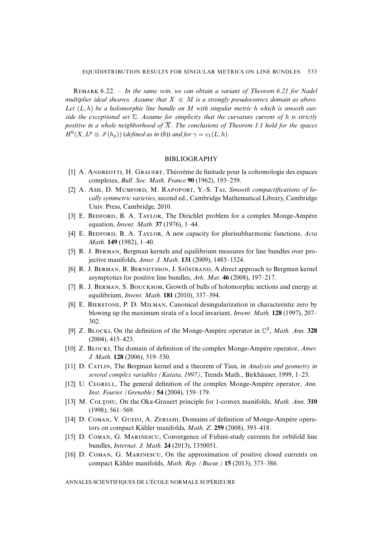R 6.22. – *In the same vein, we can obtain a variant of Theorem [6.21](#page-0-0) for Nadel multiplier ideal sheaves. Assume that*  $X \subseteq M$  *is a strongly pseudoconvex domain as above. Let* (L, h) *be a holomorphic line bundle on* M *with singular metric* h *which is smooth outside the exceptional set* Σ*. Assume for simplicity that the curvature current of* h *is strictly positive in a whole neighborhood of*  $\overline{X}$ *. The conclusions of Theorem [1.1](#page-0-0) hold for the spaces*  $H^0(X, L^p \otimes \mathscr{I}(h_p))$  (*defined as in* [\(8\)](#page-27-1)) *and for*  $\gamma = c_1(L, h)$ *.* 

#### BIBLIOGRAPHY

- <span id="page-38-14"></span>[\[1\]](http://smf.emath.fr/Publications/AnnalesENS/4_48/html/ens_ann-sc_48_3.html#1) A. ANDREOTTI, H. GRAUERT, Théorème de finitude pour la cohomologie des espaces complexes, *Bull. Soc. Math. France* **90** (1962), 193–259.
- <span id="page-38-13"></span>[\[2\]](http://smf.emath.fr/Publications/AnnalesENS/4_48/html/ens_ann-sc_48_3.html#2) A. Ash, D. MUMFORD, M. RAPOPORT, Y.-S. TAI, Smooth compactifications of lo*cally symmetric varieties*, second ed., Cambridge Mathematical Library, Cambridge Univ. Press, Cambridge, 2010.
- <span id="page-38-9"></span>[\[3\]](http://smf.emath.fr/Publications/AnnalesENS/4_48/html/ens_ann-sc_48_3.html#3) E. BEDFORD, B. A. TAYLOR, The Dirichlet problem for a complex Monge-Ampère equation, *Invent. Math.* **37** (1976), 1–44.
- <span id="page-38-10"></span>[\[4\]](http://smf.emath.fr/Publications/AnnalesENS/4_48/html/ens_ann-sc_48_3.html#4) E. BEDFORD, B. A. TAYLOR, A new capacity for plurisubharmonic functions, *Acta Math.* **149** (1982), 1–40.
- <span id="page-38-2"></span>[\[5\]](http://smf.emath.fr/Publications/AnnalesENS/4_48/html/ens_ann-sc_48_3.html#5) R. J. BERMAN, Bergman kernels and equilibrium measures for line bundles over projective manifolds, *Amer. J. Math.* **131** (2009), 1485–1524.
- <span id="page-38-1"></span>[\[6\]](http://smf.emath.fr/Publications/AnnalesENS/4_48/html/ens_ann-sc_48_3.html#6) R. J. BERMAN, B. BERNDTSSON, J. SJÖSTRAND, A direct approach to Bergman kernel asymptotics for positive line bundles, *Ark. Mat.* **46** (2008), 197–217.
- <span id="page-38-3"></span>[\[7\]](http://smf.emath.fr/Publications/AnnalesENS/4_48/html/ens_ann-sc_48_3.html#7) R. J. BERMAN, S. BOUCKSOM, Growth of balls of holomorphic sections and energy at equilibrium, *Invent. Math.* **181** (2010), 337–394.
- <span id="page-38-8"></span>[\[8\]](http://smf.emath.fr/Publications/AnnalesENS/4_48/html/ens_ann-sc_48_3.html#8) E. BIERSTONE, P. D. MILMAN, Canonical desingularization in characteristic zero by blowing up the maximum strata of a local invariant, *Invent. Math.* **128** (1997), 207– 302.
- <span id="page-38-4"></span>[\[9\]](http://smf.emath.fr/Publications/AnnalesENS/4_48/html/ens_ann-sc_48_3.html#9) Z. BLOCKI, On the definition of the Monge-Ampère operator in  $\mathbb{C}^2$ , *Math. Ann.* 328 (2004), 415–423.
- <span id="page-38-5"></span>[\[10\]](http://smf.emath.fr/Publications/AnnalesENS/4_48/html/ens_ann-sc_48_3.html#10) Z. BLOCKI, The domain of definition of the complex Monge-Ampère operator, *Amer. J. Math.* **128** (2006), 519–530.
- <span id="page-38-0"></span>[\[11\]](http://smf.emath.fr/Publications/AnnalesENS/4_48/html/ens_ann-sc_48_3.html#11) D. C, The Bergman kernel and a theorem of Tian, in *Analysis and geometry in several complex variables (Katata, 1997)*, Trends Math., Birkhäuser, 1999, 1–23.
- <span id="page-38-11"></span>[\[12\]](http://smf.emath.fr/Publications/AnnalesENS/4_48/html/ens_ann-sc_48_3.html#12) U. CEGRELL, The general definition of the complex Monge-Ampère operator, *Ann. Inst. Fourier (Grenoble)* **54** (2004), 159–179.
- <span id="page-38-15"></span>[\[13\]](http://smf.emath.fr/Publications/AnnalesENS/4_48/html/ens_ann-sc_48_3.html#13) M. COLTOIU, On the Oka-Grauert principle for 1-convex manifolds, *Math. Ann.* **310** (1998), 561–569.
- <span id="page-38-12"></span>[\[14\]](http://smf.emath.fr/Publications/AnnalesENS/4_48/html/ens_ann-sc_48_3.html#14) D. COMAN, V. GUEDJ, A. ZERIAHI, Domains of definition of Monge-Ampère operators on compact Kähler manifolds, *Math. Z.* **259** (2008), 393–418.
- <span id="page-38-6"></span>[\[15\]](http://smf.emath.fr/Publications/AnnalesENS/4_48/html/ens_ann-sc_48_3.html#15) D. COMAN, G. MARINESCU, Convergence of Fubini-study currents for orbifold line bundles, *Internat. J. Math.* **24** (2013), 1350051.
- <span id="page-38-7"></span>[\[16\]](http://smf.emath.fr/Publications/AnnalesENS/4_48/html/ens_ann-sc_48_3.html#16) D. COMAN, G. MARINESCU, On the approximation of positive closed currents on compact Kähler manifolds, *Math. Rep. (Bucur.)* **15** (2013), 373–386.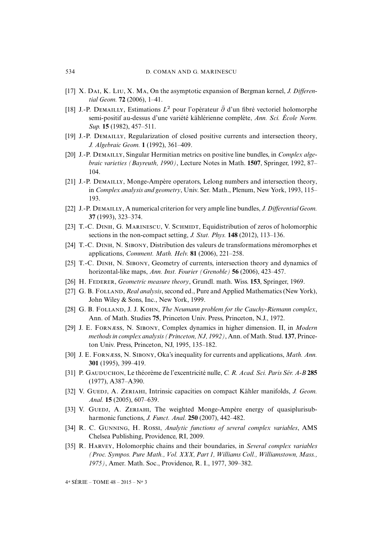- <span id="page-39-0"></span>[\[17\]](http://smf.emath.fr/Publications/AnnalesENS/4_48/html/ens_ann-sc_48_3.html#17) X. DAI, K. LIU, X. MA, On the asymptotic expansion of Bergman kernel, *J. Differential Geom.* **72** (2006), 1–41.
- <span id="page-39-16"></span>[\[18\]](http://smf.emath.fr/Publications/AnnalesENS/4_48/html/ens_ann-sc_48_3.html#18) J.-P. DEMAILLY, Estimations  $L^2$  pour l'opérateur  $\bar{\partial}$  d'un fibré vectoriel holomorphe semi-positif au-dessus d'une variété kählérienne complète, *Ann. Sci. École Norm. Sup.* **15** (1982), 457–511.
- <span id="page-39-1"></span>[\[19\]](http://smf.emath.fr/Publications/AnnalesENS/4_48/html/ens_ann-sc_48_3.html#19) J.-P. DEMAILLY, Regularization of closed positive currents and intersection theory, *J. Algebraic Geom.* **1** (1992), 361–409.
- <span id="page-39-6"></span>[\[20\]](http://smf.emath.fr/Publications/AnnalesENS/4_48/html/ens_ann-sc_48_3.html#20) J.-P. DEMAILLY, Singular Hermitian metrics on positive line bundles, in *Complex algebraic varieties (Bayreuth, 1990)*, Lecture Notes in Math. **1507**, Springer, 1992, 87– 104.
- <span id="page-39-7"></span>[\[21\]](http://smf.emath.fr/Publications/AnnalesENS/4_48/html/ens_ann-sc_48_3.html#21) J.-P. DEMAILLY, Monge-Ampère operators, Lelong numbers and intersection theory, in *Complex analysis and geometry*, Univ. Ser. Math., Plenum, New York, 1993, 115– 193.
- <span id="page-39-2"></span>[\[22\]](http://smf.emath.fr/Publications/AnnalesENS/4_48/html/ens_ann-sc_48_3.html#22) J.-P. DEMAILLY, A numerical criterion for very ample line bundles, *J. Differential Geom.* **37** (1993), 323–374.
- <span id="page-39-5"></span>[\[23\]](http://smf.emath.fr/Publications/AnnalesENS/4_48/html/ens_ann-sc_48_3.html#23) T.-C. DINH, G. MARINESCU, V. SCHMIDT, Equidistribution of zeros of holomorphic sections in the non-compact setting, *J. Stat. Phys.* **148** (2012), 113–136.
- <span id="page-39-4"></span>[\[24\]](http://smf.emath.fr/Publications/AnnalesENS/4_48/html/ens_ann-sc_48_3.html#24) T.-C. DINH, N. SIBONY, Distribution des valeurs de transformations méromorphes et applications, *Comment. Math. Helv.* **81** (2006), 221–258.
- <span id="page-39-13"></span>[\[25\]](http://smf.emath.fr/Publications/AnnalesENS/4_48/html/ens_ann-sc_48_3.html#25) T.-C. DINH, N. SIBONY, Geometry of currents, intersection theory and dynamics of horizontal-like maps, *Ann. Inst. Fourier (Grenoble)* **56** (2006), 423–457.
- <span id="page-39-12"></span>[\[26\]](http://smf.emath.fr/Publications/AnnalesENS/4_48/html/ens_ann-sc_48_3.html#26) H. F, *Geometric measure theory*, Grundl. math. Wiss. **153**, Springer, 1969.
- <span id="page-39-14"></span>[\[27\]](http://smf.emath.fr/Publications/AnnalesENS/4_48/html/ens_ann-sc_48_3.html#27) G. B. FOLLAND, *Real analysis*, second ed., Pure and Applied Mathematics (New York), John Wiley & Sons, Inc., New York, 1999.
- <span id="page-39-18"></span>[\[28\]](http://smf.emath.fr/Publications/AnnalesENS/4_48/html/ens_ann-sc_48_3.html#28) G. B. FOLLAND, J. J. KOHN, *The Neumann problem for the Cauchy-Riemann complex*, Ann. of Math. Studies **75**, Princeton Univ. Press, Princeton, N.J., 1972.
- <span id="page-39-3"></span>[\[29\]](http://smf.emath.fr/Publications/AnnalesENS/4_48/html/ens_ann-sc_48_3.html#29) J. E. FORNÆSS, N. SIBONY, Complex dynamics in higher dimension. II, in *Modern methods in complex analysis (Princeton, NJ, 1992)*, Ann. of Math. Stud. **137**, Princeton Univ. Press, Princeton, NJ, 1995, 135–182.
- <span id="page-39-8"></span>[\[30\]](http://smf.emath.fr/Publications/AnnalesENS/4_48/html/ens_ann-sc_48_3.html#30) J. E. FORNESS, N. SIBONY, Oka's inequality for currents and applications, *Math. Ann.* **301** (1995), 399–419.
- <span id="page-39-15"></span>[\[31\]](http://smf.emath.fr/Publications/AnnalesENS/4_48/html/ens_ann-sc_48_3.html#31) P. G, Le théorème de l'excentricité nulle, *C. R. Acad. Sci. Paris Sér. A-B* **285** (1977), A387–A390.
- <span id="page-39-9"></span>[\[32\]](http://smf.emath.fr/Publications/AnnalesENS/4_48/html/ens_ann-sc_48_3.html#32) V. GUEDJ, A. ZERIAHI, Intrinsic capacities on compact Kähler manifolds, *J. Geom. Anal.* **15** (2005), 607–639.
- <span id="page-39-10"></span>[\[33\]](http://smf.emath.fr/Publications/AnnalesENS/4_48/html/ens_ann-sc_48_3.html#33) V. GUEDJ, A. ZERIAHI, The weighted Monge-Ampère energy of quasiplurisubharmonic functions, *J. Funct. Anal.* **250** (2007), 442–482.
- <span id="page-39-17"></span>[\[34\]](http://smf.emath.fr/Publications/AnnalesENS/4_48/html/ens_ann-sc_48_3.html#34) R. C. GUNNING, H. ROSSI, *Analytic functions of several complex variables*, AMS Chelsea Publishing, Providence, RI, 2009.
- <span id="page-39-11"></span>[\[35\]](http://smf.emath.fr/Publications/AnnalesENS/4_48/html/ens_ann-sc_48_3.html#35) R. HARVEY, Holomorphic chains and their boundaries, in *Several complex variables (Proc. Sympos. Pure Math., Vol. XXX, Part 1, Williams Coll., Williamstown, Mass., 1975)*, Amer. Math. Soc., Providence, R. I., 1977, 309–382.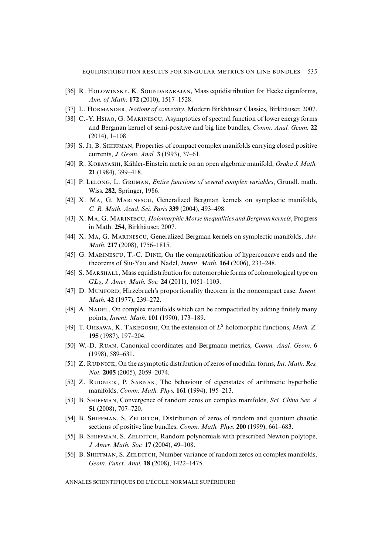- <span id="page-40-18"></span>[\[36\]](http://smf.emath.fr/Publications/AnnalesENS/4_48/html/ens_ann-sc_48_3.html#36) R. HOLOWINSKY, K. SOUNDARARAJAN, Mass equidistribution for Hecke eigenforms, *Ann. of Math.* **172** (2010), 1517–1528.
- <span id="page-40-9"></span>[\[37\]](http://smf.emath.fr/Publications/AnnalesENS/4_48/html/ens_ann-sc_48_3.html#37) L. H, *Notions of convexity*, Modern Birkhäuser Classics, Birkhäuser, 2007.
- <span id="page-40-12"></span>[\[38\]](http://smf.emath.fr/Publications/AnnalesENS/4_48/html/ens_ann-sc_48_3.html#38) C.-Y. HsIAO, G. MARINESCU, Asymptotics of spectral function of lower energy forms and Bergman kernel of semi-positive and big line bundles, *Comm. Anal. Geom.* **22** (2014), 1–108.
- <span id="page-40-11"></span>[\[39\]](http://smf.emath.fr/Publications/AnnalesENS/4_48/html/ens_ann-sc_48_3.html#39) S. Ji, B. SHIFFMAN, Properties of compact complex manifolds carrying closed positive currents, *J. Geom. Anal.* **3** (1993), 37–61.
- <span id="page-40-14"></span>[\[40\]](http://smf.emath.fr/Publications/AnnalesENS/4_48/html/ens_ann-sc_48_3.html#40) R. K, Kähler-Einstein metric on an open algebraic manifold, *Osaka J. Math.* **21** (1984), 399–418.
- <span id="page-40-8"></span>[\[41\]](http://smf.emath.fr/Publications/AnnalesENS/4_48/html/ens_ann-sc_48_3.html#41) P. LELONG, L. GRUMAN, *Entire functions of several complex variables*, Grundl. math. Wiss. **282**, Springer, 1986.
- <span id="page-40-1"></span>[\[42\]](http://smf.emath.fr/Publications/AnnalesENS/4_48/html/ens_ann-sc_48_3.html#42) X. MA, G. MARINESCU, Generalized Bergman kernels on symplectic manifolds, *C. R. Math. Acad. Sci. Paris* **339** (2004), 493–498.
- <span id="page-40-2"></span>[\[43\]](http://smf.emath.fr/Publications/AnnalesENS/4_48/html/ens_ann-sc_48_3.html#43) X. M, G. M, *HolomorphicMorse inequalities and Bergman kernels*, Progress in Math. **254**, Birkhäuser, 2007.
- <span id="page-40-3"></span>[\[44\]](http://smf.emath.fr/Publications/AnnalesENS/4_48/html/ens_ann-sc_48_3.html#44) X. MA, G. MARINESCU, Generalized Bergman kernels on symplectic manifolds, *Adv. Math.* **217** (2008), 1756–1815.
- <span id="page-40-20"></span>[\[45\]](http://smf.emath.fr/Publications/AnnalesENS/4_48/html/ens_ann-sc_48_3.html#45) G. MARINESCU, T.-C. DINH, On the compactification of hyperconcave ends and the theorems of Siu-Yau and Nadel, *Invent. Math.* **164** (2006), 233–248.
- <span id="page-40-19"></span>[\[46\]](http://smf.emath.fr/Publications/AnnalesENS/4_48/html/ens_ann-sc_48_3.html#46) S. MARSHALL, Mass equidistribution for automorphic forms of cohomological type on GL2, *J. Amer. Math. Soc.* **24** (2011), 1051–1103.
- <span id="page-40-15"></span>[\[47\]](http://smf.emath.fr/Publications/AnnalesENS/4_48/html/ens_ann-sc_48_3.html#47) D. MUMFORD, Hirzebruch's proportionality theorem in the noncompact case, *Invent. Math.* **42** (1977), 239–272.
- <span id="page-40-13"></span>[\[48\]](http://smf.emath.fr/Publications/AnnalesENS/4_48/html/ens_ann-sc_48_3.html#48) A. NADEL, On complex manifolds which can be compactified by adding finitely many points, *Invent. Math.* **101** (1990), 173–189.
- <span id="page-40-10"></span>[\[49\]](http://smf.emath.fr/Publications/AnnalesENS/4_48/html/ens_ann-sc_48_3.html#49) T. OHSAWA, K. TAKEGOSHI, On the extension of  $L^2$  holomorphic functions, *Math. Z.* **195** (1987), 197–204.
- <span id="page-40-0"></span>[\[50\]](http://smf.emath.fr/Publications/AnnalesENS/4_48/html/ens_ann-sc_48_3.html#50) W.-D. R, Canonical coordinates and Bergmann metrics, *Comm. Anal. Geom.* **6** (1998), 589–631.
- <span id="page-40-17"></span>[\[51\]](http://smf.emath.fr/Publications/AnnalesENS/4_48/html/ens_ann-sc_48_3.html#51) Z. R, On the asymptotic distribution of zeros of modular forms,*Int.Math. Res. Not.* **2005** (2005), 2059–2074.
- <span id="page-40-16"></span>[\[52\]](http://smf.emath.fr/Publications/AnnalesENS/4_48/html/ens_ann-sc_48_3.html#52) Z. RUDNICK, P. SARNAK, The behaviour of eigenstates of arithmetic hyperbolic manifolds, *Comm. Math. Phys.* **161** (1994), 195–213.
- <span id="page-40-7"></span>[\[53\]](http://smf.emath.fr/Publications/AnnalesENS/4_48/html/ens_ann-sc_48_3.html#53) B. SHIFFMAN, Convergence of random zeros on complex manifolds, *Sci. China Ser. A* **51** (2008), 707–720.
- <span id="page-40-4"></span>[\[54\]](http://smf.emath.fr/Publications/AnnalesENS/4_48/html/ens_ann-sc_48_3.html#54) B. SHIFFMAN, S. ZELDITCH, Distribution of zeros of random and quantum chaotic sections of positive line bundles, *Comm. Math. Phys.* **200** (1999), 661–683.
- <span id="page-40-5"></span>[\[55\]](http://smf.emath.fr/Publications/AnnalesENS/4_48/html/ens_ann-sc_48_3.html#55) B. SHIFFMAN, S. ZELDITCH, Random polynomials with prescribed Newton polytope, *J. Amer. Math. Soc.* **17** (2004), 49–108.
- <span id="page-40-6"></span>[\[56\]](http://smf.emath.fr/Publications/AnnalesENS/4_48/html/ens_ann-sc_48_3.html#56) B. SHIFFMAN, S. ZELDITCH, Number variance of random zeros on complex manifolds, *Geom. Funct. Anal.* **18** (2008), 1422–1475.